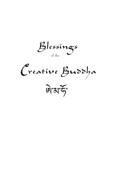Blessings of the

Creative Buddha

बियां के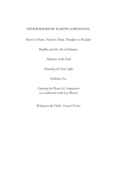#### **OTHER BOOKS BY MARTIN LOWENTHAL**

*Heart to Heart, Hand in Hand, Shoulder to Shoulder*

*Buddha and the Art of Intimacy*

*Alchemy of the Soul*

*Dawning of Clear Light*

*Embrace Yes*

*Opening the Heart of Compassion* (co-authored with Lar Short)

*Writing in the Dark: Unseen Poems*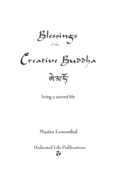Blessings of the

Creative Buddha बिमार्क

living a sacred life

**Martin Lowenthal**

**Dedicated Life Publications**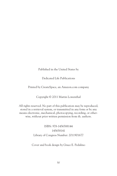Published in the United States by

Dedicated Life Publications

Printed by CreateSpace, an Amazon.com company

Copyright © 2011 Martin Lowenthal

All rights reserved. No part of this publication may be reproduced, stored in a retrieval system, or transmitted in any form or by any means electronic, mechanical, photocopying, recording, or otherwise, without prior written permission from th. authors.

> ISBN: 978-1456588144 145658141 Library of Congress Number: 2011901677

Cover and book design by Grace E. Pedalino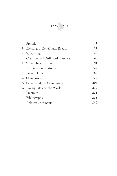

|    | Prelude                                | 1   |
|----|----------------------------------------|-----|
| 1. | Blessings of Benefit and Beauty        | 11  |
| 2. | Sacralizing                            | 25  |
| 3. | <b>Creation and Dedicated Presence</b> | 49  |
|    | 4. Sacred Imagination                  | 81  |
|    | 5. Path of More Resistance             | 129 |
| 6. | - Born to Give                         | 163 |
| 7. | Compassion                             | 175 |
| 8. | Sacred and Just Community              | 203 |
| 9. | Loving Life and the World              | 217 |
|    | Practices                              | 221 |
|    | Bibliography                           | 238 |
|    | Acknowledgements                       | 240 |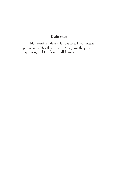#### **Dedication**

This humble effort is dedicated to future generations. May these blessings support the growth, happiness, and freedom of all beings.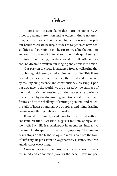## Prelude

There is an insistent flame that burns in our core. At times it demands attention and at others it draws no attention, yet it is always there, even if hidden. It is what propels our hands to create beauty, our desire to generate new possibilities, and our minds and hearts to live a life that matters and our soul to sanctify life. Absent the subtle quickening of this force of our being, our days would be dull with no horizon, no dream to awaken our longing and stir us into action.

Our passion to create is sustained from a wellspring that is bubbling with energy and excitement for life. This flame is what enables us to serve others, the world and the sacred by making our presence and contributions a blessing. Upon our entrance to the world, we are blessed by the embrace of life in all its rich expressions, by the harvested experience of ancestors, by the dreams of generations past, present and future, and by the challenge of crafting a personal and collective gift of heart pounding, eye popping, and mind dazzling beauty—an offering only we can make.

It would be infinitely deadening to live in world without constant creation. Creation suggests motion, energy, and life itself. Each life is a participant in an endless, interactive dynamic landscape, narrative, and symphony. The process never stops on the highs of joy and moves on from the lows of suffering. Its persistent drive generates, sustains, dissolves and destroys everything.

Creation governs life, just as consciousness governs the mind and connection governs the heart. How we par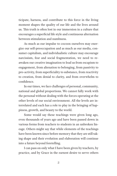ticipate, harness, and contribute to this force in the living moment shapes the quality of our life and the lives around us. This truth is often lost in our immersion in a culture that encourages a superficial life style and continuous alternation between stimulation and numbness.

As much as our impulse to cocoon ourselves may energize our self-preoccupation and as much as our media, consumer capitalism, and individualistic culture may encourage narcissism, fear and social fragmentation, we need to reawaken our creative imagination to lead us from escapism to engagement, from alienation to belonging, from passivity to pro-activity, from superficiality to substance, from reactivity to creation, from denial to clarity, and from overwhelm to confidence.

In our times, we face challenges of personal, community, national and global proportions. We cannot fully work with the personal without dealing with the forces operating at the other levels of our social environment. All the levels are interrelated and each has a role to play in the bringing of happiness, growth, and beauty to the world.

Some would say these teachings were given long ago, even thousands of years ago and have been passed down in various forms from teachers to students in an unbroken lineage. Others might say that while elements of the teachings have been known since before memory that they are still taking shape and their evolution and elaboration will continue into a future beyond foretelling.

I can pass on only what I have been given by teachers, by practice, and by Grace in the earnest desire to serve others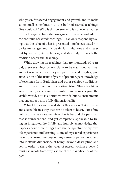who yearn for sacred engagement and growth and to make some small contribution to the body of sacred teachings. One could ask "Who is this person who is not even a master of any lineage to have the arrogance to reshape and add to the contours of sacred teachings?" I can only respond by saying that the value of what is presented here be evaluated not by its messenger and his particular limitations and virtues but by its truth, its usefulness, and its ability to enrich the tradition of spiritual teachings.

While drawing on teachings that are thousands of years old, these teachings do not claim to be traditional and yet are not original either. They are part revealed insights, part articulation of the fruits of years of practice, part knowledge of teachings from Buddhism and other religious traditions, and part the expression of a creative vision. These teachings arise from my experience of invisible dimensions beyond the visible world, not as alternative worlds but as enrichments that engender a more fully dimensional life.

What I hope can be said about this work is that it is alive and accessible in a way that can be taken to heart. Part of my task is to convey a sacred view that is beyond the personal, that is transcendent, and yet completely applicable to living an integrated life. I fully and humbly acknowledge that I speak about these things from the perspective of my own life experience and learning. Many of my sacred experiences have transported me beyond any sense of personhood and into ineffable dimensions of being, beyond description and yet, in order to share the value of sacred work in a book, I must use words to convey a sense of the magnificence of this path.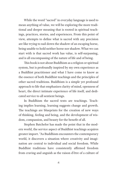While the word "sacred" in everyday language is used to mean anything of value, we will be exploring the more traditional and deeper meaning that is rooted in spiritual teachings, practices, stories, and experiences. From this point of view, attempts to define what is sacred with any precision are like trying to nail down the shadow of an escaping horse, being unable to hold neither horse nor shadow. What we can start with is that sacred work has value, is self-surpassing, and is all encompassing of the nature of life and of being.

This book is not about Buddhism as a religion or spiritual system, but is profoundly inspired by my own experience as a Buddhist practitioner and what I have come to know as the essence of both Buddhist teachings and the principles of other sacred traditions. Buddhism is a simple yet profound approach to life that emphasizes clarity of mind, openness of heart, the direct intimate experience of life itself, and dedicated service to all sentient beings.

In Buddhism the sacred texts are teachings. Teaching implies learning, learning suggests change and growth. The teachings are blueprints for the creation of new ways of thinking, feeling and being, and the development of wisdom, compassion, and beauty for the benefit of all.

Stephen Batchelor has made the point that in the modern world, the service aspect of Buddhist teachings acquires greater import. "As Buddhism encounters the contemporary world, it discovers a situation where creativity and imagination are central to individual and social freedom. While Buddhist traditions have consistently affirmed freedom from craving and anguish as the raison d'être of a culture of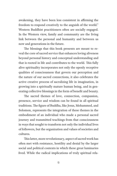awakening, they have been less consistent in affirming the freedom to respond creatively to the anguish of the world." Western Buddhist practitioners often are socially engaged. In the Western view, family and community are the living link between the personal and humanity and between us now and generations in the future.

The blessings that this book presents are meant to reveal the core of sacred service that enhances loving aliveness beyond personal history and conceptual understanding and that is rooted in life and contributes to the world. This fully alive spirituality incorporates not only the openly receptive qualities of consciousness that govern our perception and the nature of our sacred connections, it also celebrates the active creative process of sacralizing life in imagination, in growing into a spiritually mature human being, and in generating collective blessings in the form of benefit and beauty.

The sacred themes of love, connection, compassion, presence, service and wisdom can be found in all spiritual traditions. The figure of Buddha, like Jesus, Mohammed, and Solomon, represents the integration of these themes in the embodiment of an individual who made a personal sacred journey and transmitted teachings from that consciousness in ways that sought to transform not only the individual lives of followers, but the organization and values of societies and cultures.

This latter, more revolutionary, aspect of sacred work has often met with resistance, hostility and denial by the larger social and political contexts in which these great luminaries lived. While the radical implications of truly spiritual rela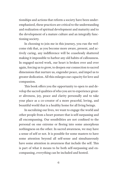tionships and actions that reform a society have been underemphasized, these practices are critical to the understanding and realization of spiritual development and maturity and to the development of a mature culture and an integrally functioning society.

In choosing to join me in this journey, you run the welcome risk that, as you become more aware, present, and actively caring, any indifference will be ceaselessly shattered making it impossible to harbor any old habits of callousness. In engaged sacred work, our heart is broken over and over again, forcing us to grow, to deepen our connection to sacred dimensions that nurture us, engender peace, and impel us to greater dedication. All this enlarges our capacity for love and compassion.

This book offers you the opportunity to open to and develop the sacred qualities of who you are to experience greater aliveness, joy, peace and clarity personally and to take your place as a co-creator of a more peaceful, loving, and beautiful world that is a healthy home for all living beings.

In sacralizing our lives, we want to engage the world and other people from a heart posture that is self-surpassing and all encompassing. Our sensibilities are not confined to the personal on one extreme or fleeing into some amorphous nothingness on the other. In sacred awareness, we may have a sense of self or not. It is possible for some masters to have some attention beyond all self-sense and simultaneously have some attention in awareness that include the self. This is part of what it means to be both self-surpassing and encompassing, everything can be included and hosted.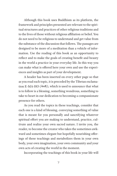Although this book uses Buddhism as its platform, the framework and principles presented are relevant to the spiritual structures and practices of other religious traditions and to the lives of those without religious affiliation or belief. You do not need to be religious to understand and get value from the substance of the discussion that follows. The passages are designed to be more of a meditation than a vehicle of information. Use the reading of this book as an opportunity to reflect and to make the goals of creating benefit and beauty in the world a practice in your everyday life. In this way you can make what is offered here your own and use the experiences and insights as part of your development.

A header has been inserted on every other page so that as you read each topic, it is preceded by the Tibetan exclamation E-MA-HO ( $\sqrt{x}$ ), which is used to announce that what is to follow is a blessing, something wondrous, something to take to heart in our dedication to becoming a compassionate presence for others.

As you read the topics in these teachings, consider that each one is a kind of blessing, conveying something of value that is meant for you personally and sanctifying whatever spiritual effort you are making to understand, practice, cultivate and realize your own sacred nature. I invite you, the reader, to become the creator who takes the sometimes awkward and sometimes elegant but hopefully nourishing offerings of these teachings and metabolizes them in your own body, your own imagination, your own community and your own acts of creating the world in the moment.

Incorporating the teachings of this book in your life will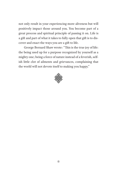not only result in your experiencing more aliveness but will positively impact those around you. You become part of a great process and spiritual principle of passing it on. Life is a gift and part of what it takes to fully open that gift is to discover and enact the ways you are a gift to life.

George Bernard Shaw wrote: "This is the true joy of life: the being used up for a purpose recognized by yourself as a mighty one; being a force of nature instead of a feverish, selfish little clot of ailments and grievances, complaining that the world will not devote itself to making you happy."

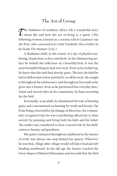## **The Art of Living**

The bushmen of southern Africa tell a wonderful story<br>about life and how the art of living is a quest. (The<br>following version is based on a version told to Laurence was about life and how the art of living is a quest. (The following version is based on a version told to Laurence van der Post, who conveyed it to Colin Turnbull, who retold it in his book *The Human Cycle.*)

A Bushman child, in the course of a day of playful wandering, drank from a clear waterhole. In the shimmering surface he beheld the reflection of a beautiful bird. It was the most beautiful thing he had ever seen. Even as he looked up, he knew that the bird had already gone. The boy decided he had to follow that vision and find it, so off he went. He sought it throughout his adolescence and throughout his youth as he grew into a hunter. Even as he performed his everyday functional and sacred roles in his community, he kept searching for the bird.

Eventually, as an adult, he abandoned the role of hunting game and concentrated on hunting for truth and beauty. Far from being criticized for his change of direction, the community recognized that he was contributing effectively to their society by pursuing and living both his faith and his belief. The seeker was considered to have a sacred role by his dedication to beauty and goodness.

His quest continued throughout adulthood as the hunter of truth was always one step behind his quarry. Wherever he traveled, village after village would tell him it had just left heading northward. In his old age the hunter reached the lower slopes of Mount Kilimanjaro and was told that the bird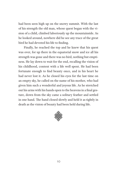had been seen high up on the snowy summit. With the last of his strength the old man, whose quest began with the vision of a child, climbed laboriously up the mountainside. As he looked around, nowhere did he see any trace of the great bird he had devoted his life to finding.

Finally, he reached the top and he knew that his quest was over, for up there in the equatorial snow and ice all his strength was gone and there was no bird, nothing but emptiness. He lay down to wait for the end, recalling the vision of his childhood, content with a life well spent. He had been fortunate enough to find beauty once, and in his heart he had never lost it. As he closed his eyes for the last time on an empty sky, he called on the name of his mother, who had given him such a wonderful and joyous life. As he stretched out his arms with his hands open to the heavens in a final gesture, down from the sky came a solitary feather and settled in one hand. The hand closed slowly and held it as tightly in death as the vision of beauty had been held during life.

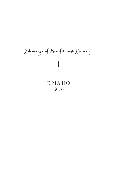# Blessings of Benefit and Beauty **1**

# **E-MA-HOA** A  $\widetilde{\mathfrak{H}}$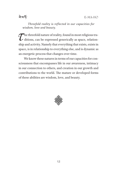## ৰ ম'ৰ্দ

*Threefold reality is reflected in our capacities for wisdom, love and beauty.*

 $\tau$  the threefold nature of reality, found in most religious tra-<br>ditions, can be expressed generically as space, relation-<br>this and activity. Namely that executive that exists exists in ditions, can be expressed generically as space, relationship and activity. Namely that everything that exists, exists in space, is in relationship to everything else, and is dynamic as an energetic process that changes over time.

We know these natures in terms of our capacities for consciousness that encompasses life in our awareness, intimacy in our connection to others, and creation in our growth and contributions to the world. The mature or developed forms of these abilities are wisdom, love, and beauty.

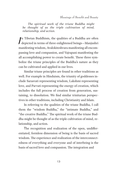Blessings of Benefit and Beauty

*The spiritual work of the triune Buddha might be thought of as the triple cultivation of mind, relationship, and action.*

 $\int$ n Tibetan Buddhism, the qualities of a Buddha are often depicted in terms of three enlightened beings—Manjushri manifesting wisdom, Avalokiteshvara manifesting all encompassing love and compassion, and Vajrapani manifesting the all accomplishing power to create benefit. These three symbolize the triune principles of the Buddha's nature as they can be cultivated and applied in our lives.

Similar triune principles are found in other traditions as well. For example in Hinduism, the triunity of goddesses include Sarasvati representing wisdom, Lakshmi representing love, and Parvati representing the energy of creation, which includes the full process of creation from generation, sustaining, to dissolution. We find similar trinitarian perspectives in other traditions, including Christianity and Islam.

In referring to the qualities of the triune Buddha, I call them the "wisdom Buddha," the "intimate Buddha," and "the creative Buddha." The spiritual work of the triune Buddha might be thought of as the triple cultivation of mind, relationship, and action.

The recognition and realization of the open, undifferentiated, formless dimension of being is the basis of sacred wisdom. The experience and realization of the interconnectedness of everything and everyone and of interbeing is the basis of sacred love and compassion. The integration and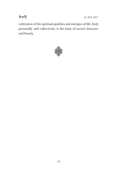

E-MA-HO

cultivation of the spiritual qualities and energies of life, both personally and collectively, is the basis of sacred character and beauty.

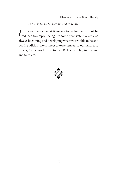*To live is to be, to become and to relate.*

 $\int$ n spiritual work, what it means to be human cannot be reduced to simply "being," to some pure state. We are also always becoming and developing what we are able to be and do. In addition, we connect to experiences, to our nature, to others, to the world, and to life. To live is to be, to become and to relate.

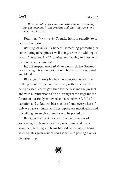*Blessing intensifies and sanctifies life by increasing our engagement in the present and planting seeds of a beneficial future.*

*Bless, blessing as verb:* To make holy, to sanctify, to sacralize, to endow.

*Blessing as noun:* a benefit, something promoting or contributing to happiness, well-being. From the Old English words *blaedsian, bledsian, bletsian* meaning to bless, wish happiness, and consecrate.

Indo-European root: *bhel*- to bloom, thrive. Related words using this same root: bloom, blossom, flower, bleed and blood.

Blessings intensify life by increasing our engagement in the present. At the same time, we, with the sense of being blessed, access gratitude for the past and the present and with our intention to be a blessing set the stage for the future. In our richly endowed and faceted world, full of variation and unknown, blessings are found everywhere if only we have a mindset and heartspace of sanctification and the willingness to give them form to be passed on.

Becoming a conscious creator in life is the way of sacralizing and being sacralized, sanctifying and being sanctified, blessing and being blessed, working and being worked. This grows out of being gifted and passing it on as giving/gifting.

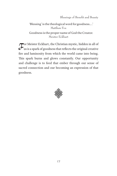Blessings of Benefit and Beauty

'Blessing' is the theological word for goodness….' Matthew Fox Goodness is the proper name of God the Creator. Meister Eckhart

 $\sigma$  Weister Eckhart, the Christian mystic, hidden in all of<br>us is a spark of goodness that reflects the original creative<br>free and luminosity from which the world came into heing us is a spark of goodness that reflects the original creative fire and luminosity from which the world came into being. This spark burns and glows constantly. Our opportunity and challenge is to feed that ember through our sense of sacred connection and our becoming an expression of that goodness.

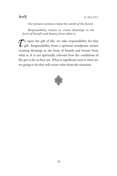

#### *Our present actions create the womb of the future.*

*Responsibility means to create blessings in the form of benefit and beauty from what is.*

 $\mathcal{T}$ <sup>o</sup> open the gift of life, we take responsibility for that gift. Responsibility from a spiritual standpoint means gift. Responsibility from a spiritual standpoint means creating blessings in the form of benefit and beauty from what is. It is not spiritually relevant how the conditions of life got to be as they are. What is significant now is what are we going to do that will create value from the situation.

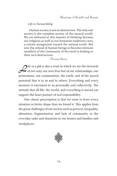#### *Life is Stewardship*

Human society is not an abstraction. The only real society is the complete society of the natural world. We are awkward at this manner of thinking because our religious as well as our humanist traditions carry a certain antagonism toward the natural world. But now the refusal of human beings to become intimate members of the community of the earth is leading to their own destruction.

Thomas Berry

Tife as a gift is also a trust in which we are the stewards<br>of not only our own lives but of our relationships, our possessions, our communities, the earth, and of the sacred potential that is in us and in others. Everything and every moment is entrusted to us personally and collectively. The attitude that all life, the world, and everything is sacred can support the heart posture of real responsibility.

One classic prescription is that we want to leave every situation in better shape than we found it. This applies from the great challenges of our society such as poverty, inequality, alienation, fragmentation and lack of community to the everyday tasks and situations in our homes and families and workplaces.

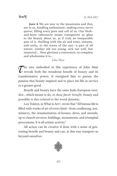ৰ ম'ৰ্দ

*June 6* We are now in the mountains and they are in us, kindling enthusiasm, making every nerve quiver, filling every pore and cell of us. Our fleshand-bone tabernacle seems transparent as glass to the beauty about us, as if truly an inseparable part of it, thrilling with the air and trees, streams, and rocks, in the waves of the sun—a part of all nature, neither old nor young, sick nor well, but immortal…. How glorious a conversion, so complete and wholesome it is….

#### John Muir

The awe embodied in this experience of John Muir<br>reveals both the wondrous benefit of beauty and its<br>transformative nower. It energies him to pure<br>the reveals both the wondrous benefit of beauty and its transformative power. It energized him to pursue the passion that beauty inspired and to place his life in service to a greater good.

Benefit and beauty have the same Indo-European root: *deu-*, which meant *to do, to show favor, benefit, beauty* and possibly is also related to the word *dynamic*.

Leo Tolstoy, in What is Art?, wrote that "All human life is filled with works of art of every kind—from cradlesong, jest, mimicry, the ornamentation of houses, dress, and utensils, up to church services, buildings, monuments, and triumphal processions. It is all artistic activity."

All action can be creative if done with a sense of generating benefit and beauty and can, in this way transport us beyond ourselves.

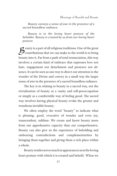*Beauty conveys a sense of awe in the presence of a sacred boundless radiance.*

*Beauty is in the loving heart posture of the beholder. Beauty is created by us from our loving heart posture.*

 $\mathcal D$  eauty is a part of all religious traditions. One of the great  $\rightarrow$  contributions that we can make to the world is to bring beauty into it. Far from a path of total renunciation, this way involves a certain kind of embrace that expresses love not hate, engagement not detachment and presence not absence. It can be seen as one way to direct our attention to the wonder of the Divine and convey in a small way the larger sense of awe in the presence of a sacred boundless radiance.

The key is in relating to beauty in a sacred way, not the trivialization of beauty as a vanity and self-preoccupation or simply as a comfortable way of feeling good. The sacred way involves having physical beauty evoke the greater and wondrous invisible beauty.

We often employ the word "beauty" to indicate what is pleasing, good, evocative of wonder and even joy, transcendent, sublime. We create and know beauty more from our apprehensive capacity than our comprehensive. Beauty can also give us the experience of beholding and embracing contradictions and complementarities by bringing them together and giving them a rich place within a whole.

Beauty resides not so much in appearances as in the loving heart posture with which it is created and beheld. When we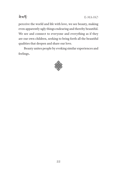

perceive the world and life with love, we see beauty, making even apparently ugly things endearing and thereby beautiful. We see and connect to everyone and everything as if they are our own children, seeking to bring forth all the beautiful qualities that deepen and share our love.

Beauty unites people by evoking similar experiences and feelings.

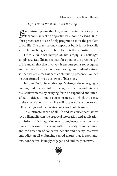#### *Life is Not a Problem. It is a Blessing.*

 $\mathcal{B}$ uddhism suggests that life, even suffering, is not a prob-<br>Plem and is in fact an opportunity, a noble blessing. Buddhist practice is not a self-help program to solve the problem of our life. The practices may impact us but it is not basically a problem-solving approach. In fact it is the opposite.

From a Buddhist viewpoint, life simply is. Challenges simply are. Buddhism is a path for opening the precious gift of life and all that that involves. It encourages us to recognize and cultivate our basic wisdom, loving, and radiant nature, so that we are a magnificent contributing presence. We can be transformed into a bestower of blessings.

In some Buddhist mythology, Maitreya, the emerging or coming Buddha, will follow the age of wisdom and intellectual achievements by bringing forth an expanded and intensified intuitive, intimate consciousness, in which the sense of the essential unity of all life will support the active love of fellow beings and the creation of a world of blessings.

This intimate sense of all life and its consequent active love will manifest in the practical integration and application of wisdom. This integration of wisdom, love, and action combines the warmth of caring with the clarity of inner vision and the creation of collective benefit and beauty. Maitreya embodies an all-embracing sacred nature that is spontaneous, connective, lovingly engaged and endlessly creative.

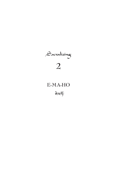

# **E-MA-HO**

<sup>ৰ ম'ৰ্</sup>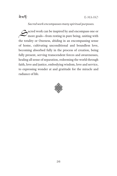

#### *Sacred work encompasses many spiritual purposes.*

Sacred work can be inspired by and encompass one or more goals—from resting in pure being, uniting with the totality or Oneness, abiding in an encompassing sense of home, cultivating unconditional and boundless love, becoming absorbed fully in the process of creation, being fully present, serving transcendent forces and awarenesses, healing all sense of separation, redeeming the world through faith, love and justice, embodying wisdom, love and service, to expressing wonder at and gratitude for the miracle and radiance of life.

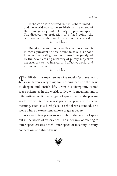If the world is to be lived in, it must be founded and no world can come to birth in the chaos of the homogeneity and relativity of profane space. The discovery or projection of a fixed point—the center—is equivalent to the creation of the world…. Mircea Eliade

Religious man's desire to live in the sacred is in fact equivalent to this desire to take his abode in objective reality, not let himself be paralyzed by the never-ceasing relativity of purely subjective experiences, to live in a real and effective world, and not in an illusion.

Mircea Eliade

For Eliade, the experiences of a secular/profane world<br>view flatten everything and nothing can stir the heart<br>to degree and enrich life. From his viewpoint, second view flatten everything and nothing can stir the heart to deepen and enrich life. From his viewpoint, sacred space orients us in the world, to live with meaning, and to differentiate qualitatively types of space. Even in the profane world, we will tend to invest particular places with special meaning, such as a birthplace, a school we attended, or a scene where we experienced love or great beauty.

A sacred view places us not only in the world of space but in the world of experience. The inner way of relating to outer space creates a rich inner space of meaning, beauty, connection, and shared value.

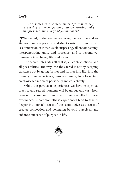*The sacred is a dimension of life that is selfsurpassing, all encompassing, interpenetrating unity and presence, and is beyond yet immanent.*

The sacred, in the way we are using the word here, does  $\mathcal L$  not have a separate and distinct existence from life but is a dimension of it that is self-surpassing, all encompassing, interpenetrating unity and presence, and is beyond yet immanent in all being, life, and forms.

The sacred integrates all that is, all contradictions, and all possibilities. The way into the sacred is not by escaping existence but by going further and further into life, into the mystery, into experience, into awareness, into love, into creating each moment personally and collectively.

While the particular experiences we have in spiritual practice and sacred moments will be unique and vary from person to person and from time to time, the effect of these experiences is common. These experiences tend to take us deeper into our felt sense of the sacred, give us a sense of greater connection and belonging beyond ourselves, and enhance our sense of purpose in life.

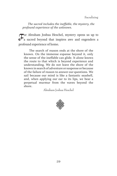Sacralizing

*The sacred includes the ineffable, the mystery, the profound experience of the unknown.*

 $\sigma$  a sacred beyond that inspires awe and engenders a profound ernorion of borne a sacred beyond that inspires awe and engenders a profound experience of home.

The search of reason ends at the shore of the known. On the immense expanse beyond it, only the sense of the ineffable can glide. It alone knows the route to that which is beyond experience and understanding. We do not leave the shore of the known in search of adventure or suspense or because of the failure of reason to answer our questions. We sail because our mind is like a fantastic seashell, and, when applying our ear to its lips, we hear a perpetual murmur from the waves beyond the shore.

Abraham Joshua Heschel

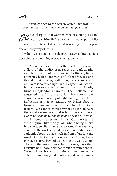<u>ৰামৰ্দ্ধ</u>

*When we open to the deeper, vaster unknown, it is possible that something sacred can happen to us.*

See Schel argues that we resist what is coming at us and<br>live on a spiritually "dainty diet" in our superficiality<br>heavy we are feated about what is writing for us beyond live on a spiritually "dainty diet" in our superficiality because we are fearful about what is waiting for us beyond our ordinary way of living.

When we open to the deeper, vaster unknown, it is possible that something sacred can happen to us.

A moment comes like a thunderbolt, in which a flash of the undisclosed rends our dark apathy asunder. It is full of overpowering brilliance, like a point in which all moments of life are focused or a thought that outweighs all thoughts ever conceived of. There is so much light in our cage, in our world, it is as if we are suspended amidst the stars. Apathy turns to splendor unawares. The ineffable has shuttered itself into the soul. It has entered our consciousness, like a ray of light passing into a lake. Refraction of that penetrating ray brings about a turning in our mind: We are penetrated by God's insight. We cannot think anymore as if God were there and we are here. God is both there and here. God is not *a being* but *being in and beyond all beings*.

A tremor seizes our limbs. Our nerves are struck, quiver like strings; our whole being bursts into shudders. But then a cry, wrested from our very core, fills the world around us, as if a mountain were suddenly about to place itself in front of us. It is one word: God. Not an emotion, a stir within us, but a power, a marvel beyond us, tearing the world apart. The word that means more than universe, more than eternity, holy, holy, holy; we cannot comprehend it. We only know it means infinitely more than we are able to echo. Staggered, embarrassed, we stammer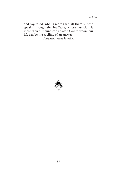Sacralizing

and say, "God, who is more than all there is, who speaks through the ineffable, whose question is more than our mind can answer, God to whom our life can be the spelling of an answer.

Abraham Joshua Heschel

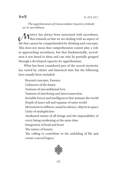*The apprehension of transcendent mystery embeds us in sacredness.*

*Mystery has always been associated with sacredness.*<br>This reminds us that we are dealing with an aspect of life that cannot be comprehended by thinking and concepts. This does not mean that comprehension cannot play a role in approaching sacredness, but that fundamentally, sacredness is not based in ideas and can only be partially grasped through a developed capacity for apprehension.

What has been considered part of the sacred mysteries has varied by culture and historical time but the following have usually been included:

Beyond concepts, Essence Unknown of the future Vastness of unconditional love Vastness of interbeing and interconnection Invisible forces and intelligences that animate the world Depth of inner self and expanse of outer world Movement in stillness, sound in silence, objects in space Unity of multiplicities Awakened nature of all beings and the impossibility of every being awakening at the same time Integration of head and heart The nature of beauty The calling to contribute to the unfolding of life and create a sacred legacy

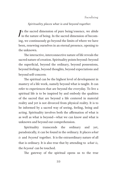#### *Spirituality places what is and beyond together.*

 $\int$ n the sacred dimension of pure being/essence, we abide in the nature of being. In the sacred dimension of becoming, we continuously go beyond the limits of where we have been, renewing ourselves in an eternal presence, opening to the unknown.

The interactive, interconnective nature of life reveals the sacred nature of creation. Spirituality points beyond: beyond the superficial, beyond the ordinary, beyond possessions, beyond feelings, beyond thoughts, beyond expectations and beyond self-concern.

The spiritual can be the highest level of development in mastery of a life work, namely beyond what is taught. It can refer to experiences that are beyond the everyday. To live a spiritual life is to be inspired by and embody the qualities of the sacred that are beyond a life centered in material reality and yet is not divorced from physical reality. It is to be informed by a sacred way of seeing, feeling, being and acting. Spirituality involves both the affirmation of what is as well as what is beyond—what we can know and what is unknown and beyond our comprehension.

Spirituality transcends the ordinary and yet, paradoxically, it can be found in the ordinary. It places *what is* and *beyond* together. It is the extraordinary nature of all that is ordinary. It is also true that by attending to *what is,*  the *beyond* can be touched.

The gateway of the spiritual opens us to the true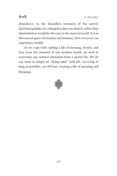

abundance, to the boundless treasures of the sacred. Spiritual qualities are enlarged as they are shared, rather than diminished as would be the case in the material world. It is in this sacred space of creation and intimacy that everyone can experience wealth.

As we cope with crafting a life of meaning, beauty, and love from the material of our modern world, we seek to overcome our cultural alienation from a sacred life. We do not want to simply be "doing time" with life, surviving as long as possible, cut off from creating a life of meaning and blessings.

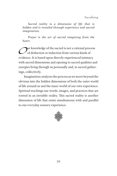*Sacred reality is a dimension of life that is hidden and is revealed through experience and sacred imagination.*

*Prayer is the art of sacred imagining from the heart.*

Our knowledge of the sacred is not a rational process<br>of deduction or induction from various kinds of<br>oridones. It is besed upon directly experienced intimew. of deduction or induction from various kinds of evidence. It is based upon directly experienced intimacy with sacred dimensions and opening to sacred qualities and energies living through us personally and, in sacred gatherings, collectively.

Imagination catalyzes the process as we move beyond the obvious into the hidden dimensions of both the outer world of life around us and the inner world of our own experience. Spiritual teachings use words, images, and practices that are rooted in an invisible reality. This sacred reality is another dimension of life that exists simultaneous with and parallel to our everyday sensory experience.

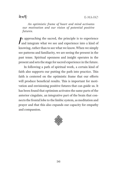### ৰ ম'ৰ্দ

*An optimistic frame of heart and mind activates our motivation and our vision of potential positive futures.*

 $\int$ n approaching the sacred, the principle is to experience and integrate what we see and experience into a kind of knowing, rather than to see what we know. When we simply see patterns and familiarity, we are seeing the present in the past tense. Spiritual openness and insight operates in the present and sets the stage for sacred experience in the future.

In following a path of spiritual work, a certain kind of faith also supports our putting the path into practice. This faith is centered on the optimistic frame that our efforts will produce beneficial results. This is important for motivation and envisioning positive futures that can guide us. It has been found that optimism activates the same parts of the anterior cingulate, an integrative part of the brain that connects the frontal lobe to the limbic system, as meditation and prayer and that this also expands our capacity for empathy and compassion.

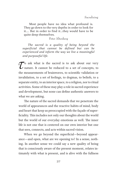Most people have no idea what profound is. They go down to the very depths in order to look for it…. But in order to find it…they would have to be quite deep themselves.

#### Peter Altenberg

*The sacred is a quality of being beyond the superficial that cannot be defined but can be experienced and inform the way we live a meaningful and purposeful life.*

 $\tau$  ask what is the sacred is to ask about our very<br>
mature. It cannot be reduced to a set of concepts, to<br>
the measurements of brainways to scientific validation or nature. It cannot be reduced to a set of concepts, to the measurements of brainwaves, to scientific validation or invalidation, to a set of feelings, to dogmas, to beliefs, to a separate entity, to an interior space, to a religion, nor to ritual activities. Some of these may play a role in sacred experience and development, but none can define authentic answers to what we are asking.

The nature of the sacred demands that we penetrate the world of appearances and the reactive habits of mind, body and heart that keep us preoccupied with the façade of superficiality. This includes not only our thoughts about the world but the world of our everyday emotions as well. The inner life is not one that is centered on our own interior but one that sees, connects, and acts within sacred vision.

When we go beyond the superficial—beyond appearance—and open, what are we opening to? In a sense, nothing. In another sense we could say a new quality of being that is consciously aware of the present moment, relates intimately with what is present, and is alive with the fullness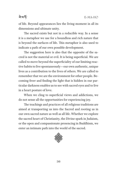## <u>ৰামৰ্দ</u>

of life. Beyond appearances lies the living moment in all its dimensions and ultimate unity.

The sacred exists but not in a reducible way. In a sense it is a metaphor we use for a boundless and rich nature that is beyond the surfaces of life. This metaphor is also used to indicate a path of our own possible development.

The suggestion here is also that the opposite of the sacred is not the material or evil. It is being superficial. We are called to move beyond the superficiality of our limiting reactive habits to live spontaneously—our own authentic, unique lives as a contribution to the lives of others. We are called to remember that we are the environment for other people. Becoming freer and finding the light that is hidden in our particular darkness enables us to see with sacred eyes and to live in a heart posture of love.

When we cling to superficial views and addictions, we do not sense all the opportunities for experiencing joy.

The teachings and practices of all religious traditions are aimed at transporting us into the Sacred and rooting us in our own sacred nature as well as all life. Whether we explore the sacred heart of Christianity, the Divine spark in Judaism, or the open and compassionate presencing in Buddhism, we enter an intimate path into the world of the sacred.

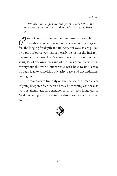Sacralizing

*We are challenged by our fears, overwhelm, and busy-ness in trying to establish and sustain a spiritual life.*

 $\int_{0}^{\infty}$  art of our challenge centers around our human<br>condition in which we not only hear sacred callings and<br>feel the longing for donth and fullness, but we also are nulled condition in which we not only hear sacred callings and feel the longing for depth and fullness, but we also are pulled by a part of ourselves that can easily be lost in the insistent dynamics of a busy life. We see the chaos, conflicts, and struggles of our own lives and of the lives of so many others throughout the world but wrestle with how to find a way through it all to some kind of clarity, ease, and unconditional belonging.

The tendency to live only on the surface can breed a fear of going deeper, a fear that it all may be meaningless because we mistakenly attach permanence or at least longevity to "real" meaning as if meaning in this sense somehow must endure.

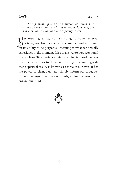*Living meaning is not an answer so much as a sacred process that transforms our consciousness, our sense of connection, and our capacity to act.*

**V**et meaning exists, not according to some external criteria, not from some outside source, and not based on its ability to be perpetual. Meaning is what we actually experience in the moment. It is our answer to how we should live our lives. To experience living meaning is one of the keys that opens the door to the sacred. Living meaning suggests that a spiritual reality is known as a force in our lives. It has the power to change us—not simply inform our thoughts. It has an energy to enliven our flesh, excite our heart, and engage our mind.

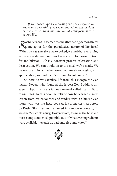*If we looked upon everything we do, everyone we know, and everything we see as sacred, as expressions of the Divine, then our life would transform into a sacred life.*

Roshi Bernard Glassman teaches that eating demonstrates<br>a metaphor for the paradoxical nature of life itself. a metaphor for the paradoxical nature of life itself. "When we eat a meal we have cooked, we find that everything we have created—all our work—has been for consumption, for annihilation. Life is a constant process of creation and destruction. We can't hold on to the meal we've made. We have to use it. In fact, when we eat our meal thoroughly, with appreciation, we find there's nothing to hold on to."

So how do we sacralize life from this viewpoint? Zen master Dogen, who founded the largest Zen Buddhist lineage in Japan, wrote a famous manual called *Instructions to the Cook*. In this book he tells of how he learned a great lesson from his encounter and studies with a Chinese Zen monk who was the head cook at his monastery. As retold by Roshi Glassman and reframed in a modern context, "It was the Zen cook's duty, Dogen wrote, to make the best and most sumptuous meal possible out of whatever ingredients were available—even if he had only rice and water."

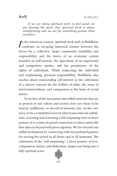<u>ৰে'ক্ষ'</u>

*If we are doing spiritual work to feel good, we are missing the point that spiritual work is about transforming who we are for something greater than ourselves.*

 $\iint_{\mathcal{L}_2}$ n the American context, spiritual work such as Buddhism confronts an on-going historical tension between the forces for a collective, larger community sensibility and responsibility and the forces of an economic system founded on self-interest, the operations of an impersonal and competitive market, and the prominence of the rights of individuals. While respecting the individual and emphasizing personal responsibility, Buddhism also teaches about transcending self-interest in the cultivation of a sincere concern for the welfare of other, the sense of interconnectedness, and compassion as the basis of social justice.

To be free of the narcissism and selfish interests that are so present in our culture and society does not mean to be neutral, indifferent, or devoid of interests, but, on the contrary, to be a committed actor in what transcends our selfishness, accessing and activating a self-surpassing view or heart posture. It is a sense of sacred connection to others and to life that takes us beyond self-preoccupation. We live beyond our selfish inclinations by connecting with our profound passion for serving the sacred in all forms and in all moments. The cultivation of the "self-surpassing," a heart posture of love, compassion, justice, and dedication, shapes our being into a fully spiritual actor.

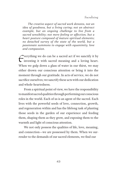*The creative aspect of sacred work denotes, not an idea of goodness, but a living caring; not an abstract example, but an ongoing challenge to live from a sacred sensibility; not mere feeling or affection, but a heart posture composed of mature spiritual elements; no detached survey of the state of the world, but a passionate summons to engage with equanimity, love and compassion.*

Everything we do can be a sacred act if we sanctify it by<br>investing it with sacred meaning and a loving heart. investing it with sacred meaning and a loving heart. When we gulp down a glass of water in our thirst, we may either drown our conscious attention or bring it into the moment through our gratitude. In acts of service, we do not sacrifice ourselves; we sanctify these acts with our dedication and whole-heartedness.

From a spiritual point of view, we have the responsibility to manifest sacred qualities through performing our conscious roles in the world. Each of us is an agent of the sacred. Each lives with the powerful seeds of love, connection, growth, and regeneration within and has the lifelong task of planting those seeds in the garden of our experience and feeding them, shaping them as they grow, and exposing them to the warmth and light of conscious attention.

We not only possess the qualities of life, love, meaning, and connection—we are possessed by them. When we surrender to the demands of our sacred elements, we find our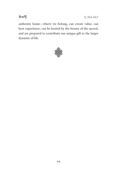

E-MA-HO

authentic home—where we belong, can create value, can host experience, can be hosted by the beauty of the sacred, and are prepared to contribute our unique gift to the larger dynamic of life.

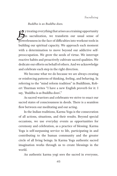#### *Buddha is as Buddha does.*

y treating everything that arises as a training opportunity<br>in sacralization, we transform our usual sense of in sacralization, we transform our usual sense of powerlessness in the face of difficulties into workout tools in building our spiritual capacity. We approach each moment with a determination to move beyond our addictive selfpreoccupation. We grow the seeds of virtue. We interrupt reactive habits and proactively cultivate sacred qualities. We dedicate our efforts on behalf of others. And we acknowledge and celebrate each step in the right direction.

We become what we do because we are always creating or reinforcing patterns of thinking, feeling, and behaving. In referring to the "mind reform tradition" in Buddhism, Robert Thurman writes "I have a new English proverb for it: I say, 'Buddha is as Buddha does'."

As sacred warriors and celebrants we strive to enact our sacred states of consciousness in deeds. There is a seamless flow between our meditating and our acting.

In the Indian traditions, Karma Yoga is the consecration of all actions, situations, and their results. Beyond special occasions, we use everyday events as opportunities for ceremony and celebration, as a practice of blessing. Karma Yoga is self-surpassing service to life, participating in and contributing to the human community and the greater circle of all living beings. In Karma Yoga authentic sacred imagination works through us to create blessings in the world.

An authentic karma yogi sees the sacred in everyone,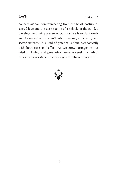

connecting and communicating from the heart posture of sacred love and the desire to be of a vehicle of the good, a blessings bestowing presence. Our practice is to plant seeds and to strengthen our authentic personal, collective, and sacred natures. This kind of practice is done paradoxically with both ease and effort. As we grow stronger in our wisdom, loving, and generative nature, we seek the path of ever greater resistance to challenge and enhance our growth.

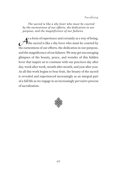#### Sacralizing

*The sacred is like a shy lover who must be courted by the earnestness of our efforts, the dedication in our purpose, and the magnificence of our failures.*

S a form of experience and certainly as a way of being,<br>the sacred is like a shy lover who must be courted by<br>the correctness of our offerts, the dedication in our purpose. the sacred is like a shy lover who must be courted by the earnestness of our efforts, the dedication in our purpose, and the magnificence of our failures. We may get encouraging glimpses of the beauty, peace, and wonder of this hidden lover that inspire us to continue with our practices day after day, week after week, month after month, and year after year. As all this work begins to bear fruit, the beauty of the sacred is revealed and experienced increasingly as an integral part of a full life as we engage in an increasingly pervasive process of sacralization.

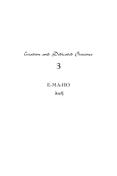# Creation and Dedicated Prescence

**3**

## **E-MA-HO**

बेशर्क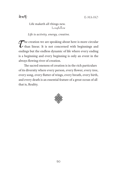

#### Life maketh all things new. Longfellow

*Life is activity, energy, creative.*

 $\sum$  he creation we are speaking about here is more circular<br>than linear. It is not concerned with beginnings and<br>ending but the endless dynamic of life where event on diago than linear. It is not concerned with beginnings and endings but the endless dynamic of life where every ending is a beginning and every beginning is only an event in the always flowing river of creation.

The sacred oneness of creation is in the rich particulars of its diversity where every person, every flower, every tree, every song, every flutter of wings, every breath, every birth, and every death is an essential feature of a great ocean of all that is, Reality.

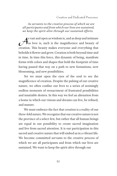*As servants to the creative process of which we are all participants and from which our lives are sustained, we keep the spirit alive through our sustained efforts.*

s vast and open as wisdom is, and as deep and intimate<br>as love is, such is the magnificence and beauty of<br>another. This beauty makes averyone and averything that as love is, such is the magnificence and beauty of creation. This beauty makes everyone and everything that beholds it flower and grow. Creation is both beyond time and in time. In time this force, this dynamic of being, manifests forms with colors and shapes that hold the footprint of time having passed that way on a path to new formations, new blossoming, and new possibilities.

Yet we must open the eyes of the soul to see the magnificence of creation. Despite the pulsing of our creative nature, we often confine our lives to a series of seemingly endless moments of reenactment of frustrated possibilities and insatiable desires. In this way we feel an alienation from a home in which our visions and dreams can live, be refined, and mature.

We must embrace the fact that creation is a reality of our three-fold nature. We recognize that our creative nature is not the province of a select few, but rather that all human beings are equal in our possibility to create sacred imagination and live from sacred attention. It is our participation in this sacred and creative nature that will embed us in a vibrant life. We become committed servants to the creative process of which we are all participants and from which our lives are sustained. We want to keep the spirit alive through our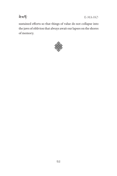

E-MA-HO

sustained efforts so that things of value do not collapse into the jaws of oblivion that always await our lapses on the shores of memory.

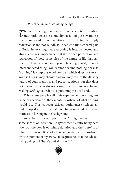*Presence includes all living beings.*

 $\sum$  he view of enlightenment as some absolute dissolution<br>into nothingness or some dimension of pure awareness<br>that is removed from the pitty gritty of living is simply into nothingness or some dimension of pure awareness that is removed from the nitty-gritty of living is simply reductionist and not Buddhist. It denies a fundamental part of Buddhist teaching that everything is interconnected and always changes, impermanent. It is the deep perception and realization of these principles of the nature of life that can free us. There is no separate you to be enlightened, no noninterconnected thing. You cannot become nothing because "nothing" is simply a word for that which does not exist. Your self-sense may change and you may realize the illusory nature of your identities and preconceptions, but that does not mean that you do not exist, that you are not living. Making *nothing* your deity is quite simply a dead end.

What some people call their experience of nothingness is their experience of their mental construct of what nothing would be. This concept driven nothingness reflects an undeveloped spirituality that often has some kind of escapist motivation lurking in the background.

As Robert Thurman points out: "Enlightenment is not some sort of obliteration. Enlightenment is fully being here now, but the now is of infinite duration and the "here" is of infinite extension. It is not a here and now that is an isolated, private moment of my own…. It is a presence that includes all living beings, all "here"s and all "now"s."

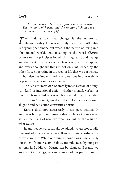ৰ ম'ৰ্দ

*Karma means action. Therefore it means creation. The dynamic of karma and the reality of change are the creative principles of life.*

 $\mathcal{T}$ he Buddha saw that change is the nature of phenomenality. He was not only concerned with what is bound phenomena but what is the nature of living in a phenomenality. He was not only concerned with what is beyond phenomena but what is the nature of living in a phenomenal world. One meaning of the word *dharma* centers on the principles by which things exist and change and the reality that every act we take, every word we speak, and every thought we think is not only influenced by the other forces operating in the web of life that we participate in, but also has impacts and reverberations in that web far beyond what we can see or imagine.

The Sanskrit term *karma* literally means action or doing. Any kind of intentional action whether mental, verbal, or physical, is regarded as Karma. It covers all that is included in the phrase "thought, word and deed". Generally speaking, all good and bad action constitutes Karma.

Karma does not necessarily mean past actions. It embraces both past and present deeds. Hence in one sense, we are the result of what we were; we will be the result of what we are.

In another sense, it should be added, we are not totally the result of what we were; we will not absolutely be the result of what we are. While our current conditions, particularly our inner life and reactive habits, are influenced by our past actions, in Buddhism, Karma can be changed. Because we are conscious beings, we can be aware of our past and strive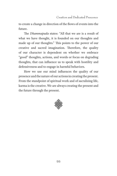to create a change in direction of the flows of events into the future.

The *Dhammapada* states: "All that we are is a result of what we have thought, it is founded on our thoughts and made up of our thoughts." This points to the power of our creative and sacred imagination. Therefore, the quality of our character is dependent on whether we embrace "good" thoughts, actions, and words or focus on degrading thoughts, that can influence us to speak with hostility and defensiveness and to engage in harmful behaviors.

How we use our mind influences the quality of our presence and the nature of our actions in creating the present. From the standpoint of spiritual work and of sacralizing life, karma is the creative. We are always creating the present and the future through the present.

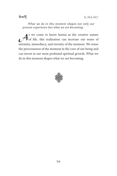

*What we do in this moment shapes not only our present experience but what we are becoming.*

As we come to know karma as the creative nature<br>of life, this realization can increase our sense of of life, this realization can increase our sense of intensity, immediacy, and eternity of the moment. We sense the preciousness of the moment in the core of our being and can invest in our most profound spiritual growth. What we do in this moment shapes what we are becoming.

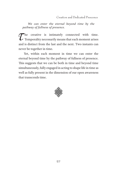Creation and Dedicated Prescence

*We can enter the eternal beyond time by the pathway of fullness of presence.*

 $\tau$  he creative is intimately connected with time.<br>Temporality necessarily means that each moment arises Temporality necessarily means that each moment arises and is distinct from the last and the next. Two instants can never be together in time.

Yet, within each moment in time we can enter the eternal beyond time by the pathway of fullness of presence. This suggests that we can be both in time and beyond time simultaneously, fully engaged in acting to shape life in time as well as fully present in the dimension of our open awareness that transcends time.

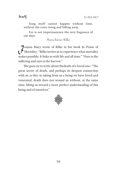<u>ৰে'ক্ষ'</u>

Song itself cannot happen without time, without the voice rising and falling away.

For is not impermanence the very fragrance of our days.

Maria Rainer Rilke

Joanna Macy wrote of Rilke in her book In Praise of Mortality: "Rilke invites us to experience what mortality makes possible. It links us with life and all time." "Ours is the suffering and ours is the harvest."

She goes on to write about thedeath of a loved one: "The great secret of death, and perhaps its deepest connection with us, is this: in taking from us a being we have loved and venerated, death does not wound us without, at the same time, lifting us toward a more perfect understanding of this being and of ourselves."

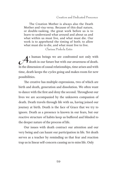Creation and Dedicated Prescence

The Creation Mother is always also the Death Mother and visa versa. Because of this dual nature, or double-tasking, the great work before us is to learn to understand what around and about us and what within us must live, and what must die. Our work is to apprehend the timing of both; to allow what must die to die, and what must live to live.

Clarissa Pinkola Estés

s human beings we are confronted not only with<br>death in our future but with our awareness of death. death in our future but with our awareness of death. In the dimension of causal relationships, time arises and with time, death keeps the cycles going and makes room for new possibilities.

The creative has multiple expressions, two of which are birth and death, generation and dissolution. We often want to dance with the first and deny the second. Throughout our lives we are accompanied by the unknown companion of death. Death travels through life with us, having joined our journey at birth. Death is the face of Grace that we try to ignore. Death as a presence is known in our fears, but our reactive structure of habits keep us buffered and blinded to the deeper nature of the process of life.

Our issues with death contract our attention and our very being and can haunt our participation in life. Yet death serves as a teacher by reminding us that fear and reaction trap us in linear self-concern causing us to miss life. Only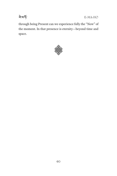बे'बार्ड़

E-MA-HO

through being Present can we experience fully the "Now" of the moment. In that presence is eternity—beyond time and space.

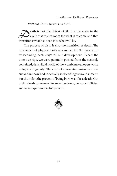*Without death, there is no birth.*

eath is not the defeat of life but the stage in the<br>cycle that makes room for what is to come and that<br>transitions what has been into what will be cycle that makes room for what is to come and that transitions what has been into what will be.

The process of birth is also the transition of death. The experience of physical birth is a model for the process of transcending each stage of our development. When the time was ripe, we were painfully pushed from the securely contained, dark, fluid world of the womb into an open world of light and gravity. The cord of automatic nurturance was cut and we now had to actively seek and ingest nourishment. For the infant the process of being born was like a death. Out of this death came new life, new freedoms, new possibilities, and new requirements for growth.

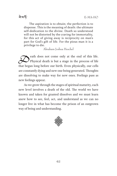ৰ ম'ৰ্দ

The aspiration is to obtain; the perfection is to dispense. This is the meaning of death: the ultimate self-dedication to the divine. Death so understood will not be distorted by the craving for immortality, for this act of giving away is reciprocity on man's part for God's gift of life. For the pious man it is a privilege to die.

Abraham Joshua Heschel

eath does not come only at the end of this life.<br>Physical death is but a stage in the process of life Physical death is but a stage in the process of life that began long before our birth. Even physically, our cells are constantly dying and new one being generated. Thoughts are dissolving to make way for new ones. Feelings pass as new feelings appear.

As we grow through the stages of spiritual maturity, each new level involves a death of the old. The world we have known and taken for granted dissolves and we must learn anew how to see, feel, act, and understand as we can no longer live in what has become the prison of an outgrown way of being and understanding.

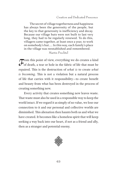Creation and Dedicated Prescence

 The secret of village togetherness and happiness has always been the generosity of the people, but the key to that generosity is inefficiency and decay. Because our village huts were not built to last very long, they had to be regularly renewed. To do this, villagers came together, at least once a year, to work on somebody's hut.... In this way, each family's place in the village was reestablished and remembered. Martín Prechtel

 $\sigma$  from this point of view, everything we do creates a kind<br>of death, a tear or hole in the fabric of life that must be<br>required. This is the destruction of what is to greate what of death, a tear or hole in the fabric of life that must be repaired. This is the destruction of *what is* to create *what is becoming*. This is not a violation but a natural process of life that carries with it responsibility—to create benefit and beauty from what has been destroyed in the process of creating something new.

Every activity that creates something new leaves waste. That waste must also be used in a responsible way to keep the world intact. If we regard it as simply of no value, we lose our connection to it and our personal and collective worlds are diminished. This alienation then haunts both us and what we have created. It becomes like a homeless spirit that will keep seeking a way back into our heart, if not as a friend and ally, then as a stranger and potential enemy.

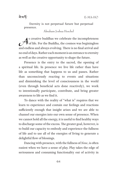ৰ ম'ৰ্দ

Eternity is not perpetual future but perpetual presence.

Abraham Joshua Heschel

Solution and settled the incompleteness<br>
As creative buddhas we celebrate the incompleteness<br>
and and log and always ovalying. There is no final arrival and of life. For the Buddha, the cosmos was beginingless and endless and always evolving. There is no final arrival and no end of days. Rather each moment is an entrance to eternity as well as the creative opportunity to shape the future.

Presence is the entry to the sacred, the opening of a spiritual life. In presence we live life rather than have life as something that happens to us and passes. Rather than unconsciously reacting to events and situations and diminishing the level of consciousness in the world (even through beneficial acts done reactively), we work to intentionally participate, contribute, and bring greater awareness to life as we find it.

To dance with the reality of "what is" requires that we learn to experience and contain our feelings and reactions sufficiently enough that insight arises and we are able to channel our energies into our own sense of presence. When we cannot hold all the energy, it is useful to find healthy ways to discharge some of the excess. The greater goal, however, is to build our capacity to embody and experience the fullness of life and to use all of the energies of living to generate a delightful flow of blessings.

Dancing with presence, with the fullness of *Now*, is often easiest when we have a sense of play. Play takes the edge of seriousness and consuming functionality out of activity in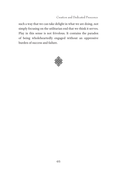Creation and Dedicated Prescence

such a way that we can take delight in what we are doing, not simply focusing on the utilitarian end that we think it serves. Play in this sense is not frivolous. It contains the paradox of being wholeheartedly engaged without an oppressive burden of success and failure.

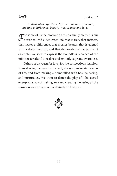## ৰ ম'ৰ্দ

*A dedicated spiritual life can include freedom, making a difference, beauty, nurturance and love.*

 $\sigma$  or some of us the motivation to spiritually mature is our desire to lead a dedicated life that is free, that matters, desire to lead a dedicated life that is free, that matters, that makes a difference, that creates beauty, that is aligned with a deep integrity, and that demonstrates the power of example. We seek to express the boundless radiance of the infinite sacred and to realize and embody supreme awareness.

Others of us yearn for love, for the connections that flow from sharing the great and small, always passionate dramas of life, and from making a home filled with beauty, caring, and nurturance. We want to dance the play of life's sacred energy as a way of making love and creating life, using all the senses as an expression our divinely rich nature.

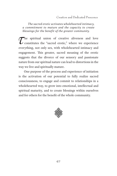Creation and Dedicated Prescence

*The sacred erotic activates wholehearted intimacy, a commitment to mature and the capacity to create blessings for the benefit of the greater community.*

The spiritual union of creative aliveness and love  $\boldsymbol{\mathcal{L}}$  constitutes the "sacred erotic," where we experience everything, not only sex, with wholehearted intimacy and engagement. This greater, sacred meaning of the erotic suggests that the divorce of our sensory and passionate nature from our spiritual nature can lead to distortions in the way we live and spiritually mature.

One purpose of the process and experience of initiation is the activation of our potential to fully realize sacred consciousness, to engage and commit to relationships in a wholehearted way, to grow into emotional, intellectual and spiritual maturity, and to create blessings within ourselves and for others for the benefit of the whole community.

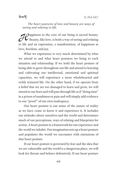*The heart postures of love and beauty are ways of seeing and relating to life.*

**A**Pappiness in the core of our being is sacred beauty.<br>Beauty, like love, is both a way of seeing and relating<br>to life and an aunreceion, a manifestation, of banningse as Beauty, like love, is both a way of seeing and relating to life and an expression, a manifestation, of happiness as love, freedom, and joy.

What we experience is very much determined by what we attend to and what heart postures we bring to each situation and relationship. If we hold the heart posture of being able to grow throughout our life and attend to learning and cultivating our intellectual, emotional and spiritual capacities, we will experience a more wholehearted and richly textured life. On the other hand, if we operate from a belief that we are too damaged to learn and grow, we will attend to our fears and will pass through life as if "doing time" in a prison of numbness or pain and will simply add evidence to our "proof " of our own inadequacy.

Our heart posture is our sense of the nature of reality as we have come to know it and experience it. It includes our attitudes about ourselves and the world and determines much of our perceptions, ways of relating and blueprints for action. A heart posture is a framework for our experience and the world we inhabit. Our imagination sets up a heart posture and populates the world we encounter with extensions of that heart posture.

If our heart posture is governed by fear and the idea that we are vulnerable and the world is a dangerous place, we will look for threats and behave defensively. If our heart posture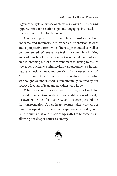is governed by love, we see ourselves as a lover of life, seeking opportunities for relationships and engaging intimately in the world with all of its challenges.

Our heart posture is not simply a repository of fixed concepts and memories but rather an orientation toward and a perspective from which life is apprehended as well as comprehended. Whenever we feel imprisoned in a limiting and isolating heart posture, one of the most difficult tasks we face in breaking out of our confinement is having to realize how much of what we think we know about ourselves, human nature, emotions, love, and creativity "isn't necessarily so." All of us come face to face with the realization that what we thought we understood is fundamentally colored by our reactive feelings of fear, anger, sadness and hope.

When we take on a new heart posture, it is like living in a different culture with its own codification of reality, its own guidelines for maturity, and its own possibilities for transformation. A new heart posture takes work and is based on opening to the direct experience of reality as it is. It requires that our relationship with life become fresh, allowing our deeper nature to emerge.

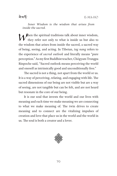*Inner Wisdom is the wisdom that arises from inside the sacred.*

A hen the spiritual traditions talk about inner wisdom, they refer not only to what is inside us but also to the wisdom that arises from inside the sacred, a sacred way of being, seeing, and acting. In Tibetan, *tag nang* refers to the experience of *sacred outlook* and literally means "pure perception." As my first Buddhist teacher, Chögyam Trungpa Rinpoche said, "Sacred outlook means perceiving the world and oneself as intrinsically good and unconditionally free."

The sacred is not a thing, not apart from the world or us. It is a way of perceiving, relating, and engaging with life. The sacred dimensions of our being are not visible but are a way of seeing, are not tangible but can be felt, and are not heard but resonate in the core of our being.

It is our soul that invests the world and our lives with meaning and each time we make meaning we are connecting to what we make meaning of. The twin drives to create meaning and to connect are the vitalizing impulses of creation and love that place us in the world and the world in us. The soul is both a creator and a lover.

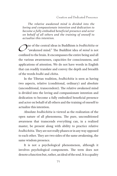Creation and Dedicated Prescence

*The relative awakened mind is divided into the loving and compassionate intention and dedication to become a fully embodied beneficial presence and actor on behalf of all others and the training of oneself to actualize this intention.*

One of the central ideas in Buddhism is *bodhichitta* or<br>
"awakened mind." The Buddhist idea of *mind* is not<br>
confined to the brain. It are emperessed the ontire being and all "awakened mind." The Buddhist idea of *mind* is not confined to the brain. It encompasses the entire being and all the various awarenesses, capacities for consciousness, and applications of attention. We do not have words in English that can readily translate and convey the depth and breadth of the words *bodhi* and *chitta*.

In the Tibetan tradition, *bodhichitta* is seen as having two aspects, relative (conditional, ordinary) and absolute (unconditional, transcendent). The relative awakened mind is divided into the loving and compassionate intention and dedication to become a fully embodied beneficial presence and actor on behalf of all others and the training of oneself to actualize this intention.

Absolute *bodhichitta* is viewed as the realization of the open nature of all phenomena. The pure, unconditioned awareness that transcends everything can, in a realized master, be present along with ability to practice relative *bodhichitta*. They are not really phases or in any way opposed to each other. They are two sides of the same awakening, the same wisdom presence.

It is not a psychological phenomenon, although it involves psychological components. The term does not denote a function but, rather, an ideal of the soul. It is a quality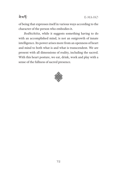## **ৰে'ক'**

of being that expresses itself in various ways according to the character of the person who embodies it.

*Bodhichitta*, while it suggests something having to do with an accomplished mind, is not an outgrowth of innate intelligence. Its power arises more from an openness of heart and mind to both what is and what is transcendent. We are present with all dimensions of reality, including the sacred. With this heart posture, we eat, drink, work and play with a sense of the fullness of sacred presence.

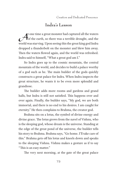Creation and Dedicated Prescence

# **Indra's Lesson**

t one time a great monster had captured all the waters<br>of the earth, so there was a terrible drought, and the of the earth, so there was a terrible drought, and the world was starving. Upon seeing this the great king god Indra dropped a thunderbolt on the monster and blew him away. Then the waters flowed again, and the world was refreshed. Indra said to himself, "What a great god am I."

So Indra goes up to the cosmic mountain, the central mountain of the world, and decides to build a palace worthy of a god such as he. The main builder of the gods quickly constructs a great palace for Indra. When Indra inspects the great structure, he wants it to be even more splendid and grandiose.

The builder adds more rooms and gardens and grand halls, but Indra is still not satisfied. This happens over and over again. Finally, the builder says, "My god, we are both immortal, and there is no end to his desires. I am caught for eternity." He then complains to Brahma, the creator god.

Brahma sits on a lotus, the symbol of divine energy and divine grace. The lotus grows from the navel of Vishnu, who is the sleeping god, whose dream is the universe. Standing at the edge of the great pond of the universe, the builder tells his story to Brahma. Brahma says, "Go home. I'll take care of this." Brahma gets off his lotus and kneels down and speaks to the sleeping Vishnu. Vishnu makes a gesture as if to say "This is an easy matter."

The very next morning, at the gate of the great palace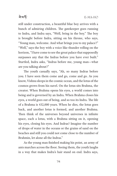

still under construction, a beautiful blue boy arrives with a bunch of admiring children. The gatekeeper goes running to Indra, and Indra says, "Well, bring in the boy." The boy is brought before Indra, sitting on his throne, who says, "Young man, welcome. And what brings you to my palace?" "Well," says the boy with a voice like thunder rolling on the horizon, "I have come to see the great palace that supposedly surpasses any that the Indras before you have ever built." Startled, Indra asks, "Indras before me, young man—what are you talking about?"

The youth casually says, "Ah, so many Indras before you. I have seen them come and go, come and go. As you know, Vishnu sleeps in the cosmic ocean, and the lotus of the cosmos grows from his navel. On the lotus sits Brahma, the creator. When Brahma opens his eyes, a world comes into being and is governed by an Indra. When Brahma closes his eyes, a world goes out of being, and so too its Indra. The life of a Brahma is 432,000 years. When he dies, the lotus goes back, and another lotus is formed, and another Brahma. Then think of the universes beyond universes in infinite space, each a lotus, with a Brahma sitting on it, opening his eyes, closing his eyes. And Indras? Imagine the number of drops of water in the oceans or the grains of sand on the beaches and still you could not come close to the number of Brahmin, let alone all the Indras."

As the young man finished making his point, an army of ants marches across the floor. Seeing them, the youth laughs in a way that makes Indra's hair stand on end. Indra says,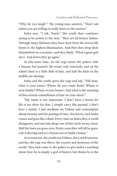"Why do you laugh?" The young man answers, "Don't ask unless you are willing to really listen to the answer."

Indra says, "I ask. Teach." The youth then continues saying as he points to the ants, "They are all former Indras. Through many lifetimes they have risen from the lowest life forms to the highest illumination. And then they drop their thunderbolt on a monster, and they think, 'What a great god am I.' And down they go again."

At this same time, an old yogi enters the palace with a banana leaf parasol. He wears only loincloth, and on his naked chest is a little disk of hair, and half the hairs in the middle are missing.

Indra and the youth greet the yogi and ask, "Old man, what is your name? Where do you come from? Where is your family? Where is your house? And what is the meaning of this curious constellation of hair on your chest?"

"My name is not important. I don't have a house for life is too short for that. I simply carry this parasol. I don't have a family. I just meditate on Vishnu and contemplate about eternity and the passing of time. You know, each Indra comes and goes like a flash. Every time an Indra dies, a world disappears, and one hair drops out of this circle on my chest. Half the hairs are gone now. Pretty soon they will all be gone. Life is fleeting and so I choose not to build a house."

As it turns out, the youth was Vishnu, the Lord Protector, and the old yogi was Shiva, the creator and destroyer of the world. They had come to the palace to give Indra a teaching about how he is simply a god of history but thinks he is the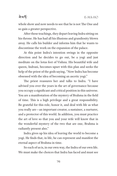#### <u>ৰামৰ্দ</u>

whole show and now needs to see that he is not The One and so gain a greater perspective.

After these teachings, they depart leaving Indra sitting on his throne. He has had all his illusions and grandiosity blown away. He calls his builder and informs him that he wants to discontinue the work on the expansion of the palace.

At this point Indra's intention swings in the opposite direction and he decides to go out, be a yogi and just meditate on the lotus feet of Vishnu. His beautiful wife and queen, Indrani, becomes upset with this plan and seeks the help of the priest of the gods saying, "Now Indra has become obsessed with the idea of becoming an ascetic yogi."

The priest reassures her and talks to Indra. "I have advised you over the years in the art of governance because you occupy a significant and critical position in this universe. You are a manifestation of the mystery of Brahma in the field of time. This is a high privilege and a great responsibility. Be grateful for this role, honor it, and deal with life as what you really are—an important creator, a sustainer, a nurturer, and a protector of this world. In addition, you must practice the art of love so that you and your wife will know that in the wonderful mystery of the two that are one, Brahma is radiantly present also."

Indra gives up his idea of leaving the world to become a yogi. He finds that, in life, he can represent and manifest the eternal aspect of Brahma in time.

So each of us is, in our own way, the Indra of our own life. We must make the choices that Indra has faced and must see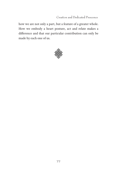Creation and Dedicated Prescence

how we are not only a part, but a feature of a greater whole. How we embody a heart posture, act and relate makes a difference and that our particular contribution can only be made by each one of us.

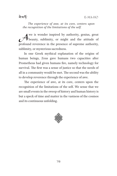ৰ ম'ৰ্দ

*The experience of awe, at its core, centers upon the recognition of the limitations of the self.*

We is wonder inspired by authority, genius, great<br>beauty, sublimity, or might and the attitude of beauty, sublimity, or might and the attitude of profound reverence in the presence of supreme authority, sublimity, or mysterious sacredness.

In one Greek mythical explanation of the origins of human beings, Zeus gave humans two capacities after Prometheus had given humans fire, namely technology for survival. The first was a sense of justice so that the needs of all in a community would be met. The second was the ability to develop reverence through the experience of awe.

The experience of awe, at its core, centers upon the recognition of the limitations of the self. We sense that we are small events in the sweep of history and human history is but a speck of time and matter in the vastness of the cosmos and its continuous unfolding.

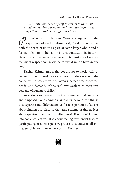Creation and Dedicated Prescence

*Awe shifts our sense of self to elements that unite us and emphasize our common humanity beyond the things that separate and differentiate us.*

**Paul Woodruff in his book** *Reverence* argues that the experience of awe leads to modesty. Modesty engenders experience of awe leads to modesty. Modesty engenders both the sense of unity as part of some larger whole and a feeling of common humanity in that context. This, in turn, gives rise to a sense of reverence. This sensibility fosters a feeling of respect and gratitude for what we do have in our lives.

Dacher Keltner argues that for groups to work well, "… we must often subordinate self-interest in the service of the collective. The collective must often supersede the concerns, needs, and demands of the self. Awe evolved to meet this demand of human sociality."

Awe shifts our sense of self to elements that unite us and emphasize our common humanity beyond the things that separate and differentiate us. "The experience of awe is about finding our place in the large scheme of things. It is about quieting the press of self-interest. It is about folding into social collectives. It is about feeling reverential toward participating in some expansive process that unites us all and that ennobles our life's endeavors." —Keltner

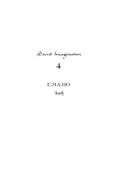# Sacred Imagination **4**

# **E-MA-HO**

बेशर्क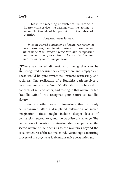ৰ ম'ৰ্দ

This is the meaning of existence: To reconcile liberty with service, the passing with the lasting, to weave the threads of temporality into the fabric of eternity.

Abraham Joshua Heschel

*In some sacred dimensions of being, we recognize pure awareness, our Buddha nature. In other sacred dimensions that involve sacred love and compassion our recognition flows from the cultivation and maturation of sacred imagination.*

There are sacred dimensions of being that can be<br>
recognized because they always there and simply "are."<br>
These would be nure auxenoses intimate witnessing and recognized because they always there and simply "are." These would be pure awareness, intimate witnessing, and suchness. One realization of a Buddhist path involves a lucid awareness of the "mind's" ultimate nature beyond all concepts of self and other, and resting in that nature, called "Buddha Mind." You recognize your nature as Buddha Nature.

There are other sacred dimensions that can only be recognized after a disciplined cultivation of sacred imagination. These might include deeper levels of compassion, sacred love, and the paradise of challenge. The cultivation of creative imagination that can perceive the sacred nature of life opens us to the mysteries beyond the usual structures of the rational mind. We undergo a maturing process of the psyche as it abandons naïve certainties and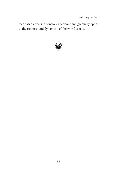Sacred Imagination

fear-based efforts to control experience and gradually opens to the richness and dynamism of the world as it is.

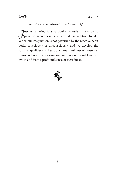

*Sacredness is an attitude in relation to life.*

 $J<sub>psi</sub>$  as suffering is a particular attitude in relation to life. When our imagination is not governed by the reactive habit body, consciously or unconsciously, and we develop the spiritual qualities and heart postures of fullness of presence, transcendence, transformation, and unconditional love, we live in and from a profound sense of sacredness.

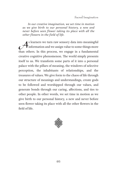*In our creative imagination, we set time in motion as we give birth to our personal history, a new and never before seen flower taking its place with all the other flowers in the field of life.*

As learners we turn raw sensory data into meaningful<br>information and we assign value to some things more<br>than others. In this process, we operate in a fundamental information and we assign value to some things more than others. In this process, we engage in a fundamental creative cognitive phenomenon. The world simply presents itself to us. We transform some parts of it into a personal palace with the pillars of meaning, the windows of selective perception, the inhabitants of relationships, and the treasures of values. We give form to the chaos of life through our structure of meanings and understandings, create gods to be followed and worshipped through our values, and generate bonds through our caring, affections, and ties to other people. In other words, we set time in motion as we give birth to our personal history, a new and never before seen flower taking its place with all the other flowers in the field of life.

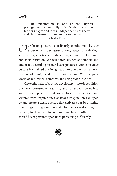<u>ৰূমৰ্দ্ধ</u>

The imagination is one of the highest prerogatives of man. By this faculty he unites former images and ideas, independently of the will, and thus creates brilliant and novel results.

Charles Darwin

Our heart posture is ordinarily conditioned by our<br>experiences, our assumptions, ways of thinking, experiences, our assumptions, ways of thinking, sensitivities, emotional predilections, cultural background, and social situation. We will habitually see and understand and react according to our heart postures. Our consumer culture has trained our imagination to operate from a heart posture of want, need, and dissatisfaction. We occupy a world of addictions, comforts, and self-preoccupations.

One of the tasks of spiritual development is to decondition our heart postures of reactivity and to recondition us into sacred heart postures that are cultivated by practice and watered with inspiration. Conscious imagination can open us and create a heart posture that activates our body/mind that brings forth greater potential for life, for realization, for growth, for love, and for wisdom qualities. In other words, sacred heart postures open us to perceiving differently.

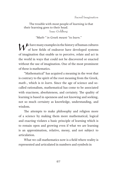The trouble with most people of learning is that their learning goes to their head. Isaac Goldberg

*"Math-" in Greek meant "to learn."*

 $\mathcal{W}^{\text{e} \text{ have many examples in the history of human cultures}}$ of how fields of endeavor have developed systems of imagination that enable us to perceive, relate and act in the world in ways that could not be discovered or enacted without the use of imagination. One of the most prominent of these is mathematics.

"Mathematical" has acquired a meaning in the west that is contrary to the spirit of the root meaning from the Greek, *math-*, which is *to learn*. Since the age of science and socalled rationalism, mathematical has come to be associated with exactness, absoluteness, and certainty. The quality of learning is based in openness and not knowing and seeking, not so much certainty as knowledge, understanding, and wisdom.

The attempts to make philosophy and religion more of a science by making them more mathematical, logical and exacting violates a basic principle of learning which is to remain open and growing even if what we are learning is an approximation, relative, messy, and not subject to articulation.

What we call mathematics now is a field where reality is represented and articulated in numbers and symbols in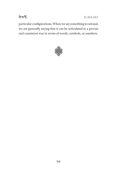

E-MA-HO

particular configurations. When we say something is rational, we are generally saying that it can be articulated in a precise and consistent way in terms of words, symbols, or numbers.

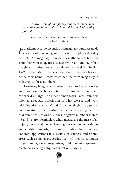*The invention of imaginary numbers made new ways of perceiving and working with physical reality possible.*

#### Everyone sits in the prison of his own ideas. Albert Einstein

 $\int$ n mathematics, the invention of imaginary numbers made new ways of perceiving and working with physical reality possible. An imaginary number is a mathematical term for a number whose square is a negative real number. When imaginary numbers were first defined by Rafael Bombelli in 1572, mathematicians believed that they did not really exist, hence their name. Descartes coined the term imaginary in reference to these numbers.

However, imaginary numbers are as real as any other and have come to be accepted by the mathematicians and the world at large. For most human tasks, "real" numbers offer an adequate description of what we see and work with. Fractions such as ⅔ and ⅛ are meaningless to a person counting stones, but essential to a person comparing the sizes of different collections of stones. Negative numbers such as −3 and −5 are meaningless when measuring the mass of an object, but essential when keeping track of monetary debits and credits. Similarly, imaginary numbers have essential concrete applications in a variety of sciences and related areas such as signal processing, control theory, computer programming, electromagnetism, fluid dynamics, quantum mechanics, cartography, and vibration analysis.

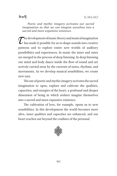*Poetic and mythic imagery activates our sacred imagination so that we can imagine ourselves into a sacred and more expansive existence.*

 $\tau$  he development of music theory and musical imagination<br>has made it possible for us to shape sounds into creative<br>natterns, and to explore online now woulds of auditory has made it possible for us to shape sounds into creative patterns and to explore entire new worlds of auditory possibilities and experiences. In music the inner and outer are merged in the process of deep listening. In deep listening our mind and body dance inside the flow of sound and are actively carried away by the currents of notes, rhythms, and movements. As we develop musical sensibilities, we create new ears.

The use of poetic and mythic imagery activates the sacred imagination to open, explore and cultivate the qualities, capacities, and energies of the heart, a profound and deeper dimension of being in which seekers imagine themselves into a sacred and more expansive existence.

The cultivation of love, for example, opens us to new sensibilities. In this development the world becomes more alive, inner qualities and capacities are enhanced, and our heart reaches out beyond the confines of the personal.

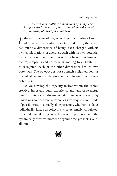#### Sacred Imagination

*The world has multiple dimensions of being, each charged with its own configurations of energies, each with its own potential for cultivation.*

 $\int$ n the tantric view of life, according to a number of Asian traditions and particularly Tibetan Buddhism, the world has multiple dimensions of being, each charged with its own configurations of energies, each with its own potential for cultivation. The dimension of pure being, fundamental nature, simply is and so there is nothing to cultivate but to recognize. Each of the other dimensions has its own potentials. The objective is not so much enlightenment as it is full aliveness and development and integration of these potentials.

As we develop the capacity to live within the sacred creative, inner and outer experience and landscape merge into an integrated dreamlike state in which everyday limitations and habitual relevancies give way to a multitude of possibilities. Eventually all experience, whether inside us individually, inside us collectively, or externally stimulated, is sacred, manifesting as a fullness of presence and the dynamically creative moment beyond time yet inclusive of all time.

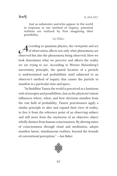<u>ৰূমৰ্দ্ধ</u>

Just as subatomic particles appear in the world in response to our method of inquiry, potential realities are realized by first imagining their possibility.

Ian Baker

According to quantum physics, the viewpoint and act<br>of observation affects not only what phenomena are<br>absented by also the phenomena being absented How we of observation affects not only what phenomena are observed but also the phenomena being observed. How we look determines what we perceive and affects the reality we are trying to see. According to Werner Heisenberg's uncertainty principle, the spatial location of a particle is undetermined and probabilistic until subjected to an observer's method of inquiry that causes the particle to manifest in a particular time and space.

"In Buddhist Tantra the world is perceived as a luminous web of energies and possibilities. Just as the physicist's intent influences where, when, and how electrons manifest from the vast field of probability, Tantric practitioners apply a similar principle to alter and expand their view of reality, to free it from the reference point of an observing subject and still more from the oxymoron of an objective object wholly distinct from human consciousness. By altering states of consciousness through ritual and meditation, adepts manifest latent, simultaneous realities, beyond the bounds of conventional perception." —Ian Baker

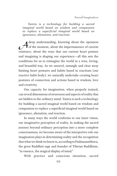*Tantra is a technology for building a sacred imaginal world based on wisdom and compassion to replace a superficial imaginal world based on ignorance, alienation, and reaction.*

A deep understanding, knowing about the openness<br>of the moment, about the impermanence of current<br>originates about the wave that our qurant heart perture of the moment, about the impermanence of current existence, about the ways that our current heart posture and imagining is shaping our experience—all this sets the conditions for us to reimagine the world in a wise, loving, and beautiful way. As we unravel, untangle and clear away limiting heart postures and habits based in reactions (our reactive habit body), we naturally undertake creating heart postures of connection and actions based in wisdom, love and creativity.

Our capacity for imagination, when properly trained, can reveal dimensions of awareness and aspects of reality that are hidden to the ordinary mind. Tantra is such a technology for building a sacred imaginal world based on wisdom and compassion to replace a superficial imaginal world based on ignorance, alienation, and reaction.

In many ways the world conforms to our inner vision, our imaginative perception of reality. In making the sacred journey beyond ordinary perception into a more complete consciousness, we become aware of the interpretive role our imagination plays in determining reality and the recognition that what we think we know is, according to Padmasambhava, the great Buddhist sage and founder of Tibetan Buddhism, "in essence, the magical display of mind."

With practice and conscious intention, sacred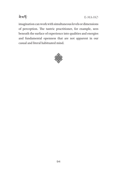

imagination can work with simultaneous levels or dimensions of perception. The tantric practitioner, for example, sees beneath the surface of experience into qualities and energies and fundamental openness that are not apparent in our casual and literal habituated mind.

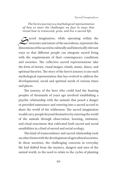*The hero's journey is a mythological representation of how to meet the challenges we face in ways that reveal how to transcend, grow, and live a sacred life.*

Sacred imagination, while operating within the<br>structure and nature of the sacredness, represents the<br>dimensions of the second in sulturally and historically relevant structure and nature of the sacredness, represents the dimensions of the sacred in culturally and historically relevant ways so that different people can integrate sacred living with the requirements of their contemporary conditions and societies. The collective sacred representations take the form of stories, visual images, rituals, music, dance, and spiritual theories. The story of the hero's journey is one such mythological representation that has evolved to address the developmental, social and spiritual needs of various times and places.

The journey of the hero who could lead the hunting peoples of thousands of years ago involved establishing a psychic relationship with the animals that posed a danger or provided sustenance and entering into a sacred accord to share the world of the wilderness. The sacred imagination would carry people beyond themselves by entering the world of the animals through observation, learning, imitation, and ritual enactment that cultivated both sacred and social sensibilities in a kind of sacred and social ecology.

This kind of transcendence and sacred relationship took on other forms with the development of agricultural societies. In these societies, the challenging concerns in everyday life had shifted from the mystery, dangers and uses of the animal world, to the need to relate to the cycles of planting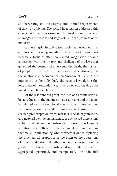#### <u>ৰামৰ্দ</u>

and harvesting and the external and internal requirements of this way of living. The sacred imagination addressed this change with the transformation of animal totem imagery to an imagery of seasons and stages of life in the progression to maturity.

As these agriculturally-based societies developed into empires and weaving together extensive social structures became a focus of attention, sacred imagination became concerned with the mystery and challenge of the laws that governed the cosmos, the heavens, the earth, the history of peoples, the structure of authority and legitimacy, and the relationship between the macrocosm of life and the microcosm of the individual. The cosmic laws during this long phase of thousands of years were viewed as having both manifest and hidden faces.

For the last hundred years, the idea of a cosmic law has been reduced to the manifest, material realm and the focus has shifted to both the global mechanisms of interactions, particularly economic, and to human beings themselves. The secular preoccupation with markets, social organization, and material well-being marginalizes any sacred dimensions at best and denies their existence at worst. The locus of attention falls on the constituent elements and interactions that make up functioning wholes whether one is exploring the biochemical properties of the brain or the operations of the production, distribution and consumption of goods. Everything is deconstructed into units that can be aggregated, quantified, and manipulated. The individual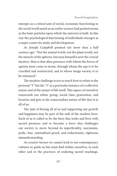emerges as a critical unit of social, economic functioning in the social world much as an earlier science had posited atoms as the basic particles upon which the universe is built. In this way the psychological functioning of individuals emerges as a major center for study and development.

As Joseph Campbell pointed out more than a half century ago: "Not the animal world, not the plant world, not the miracle of the spheres, but man himself is now the crucial mystery. Man is that alien presence with whom the forces of egoism must come to terms, through whom the ego is to be crucified and resurrected, and in whose image society is to be reformed."

The modern challenge is not so much how to relate to the personal "I" but the "I" as a particular instance of a collective nature and of the nature of life itself. This aspect of ourselves transcends our ethnic group, social class, generation, and location and gets at the transcendent nature of life that is in all of us.

The task of freeing all of us and supporting our growth and happiness may be part of the task of the modern hero. Each of us is called to be the hero that seeks and lives with sacred presence and to become a force that challenges our society to move beyond its superficiality, narcissism, pride, fear, rationalized greed, and reductionist, righteous misunderstanding.

As creative heroes we cannot look to our contemporary cultures to guide us but must find within ourselves, in each other and in the practices of enduring sacred teachings,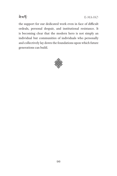

E-MA-HO

the support for our dedicated work even in face of difficult ordeals, personal despair, and institutional resistance. It is becoming clear that the modern hero is not simply an individual but communities of individuals who personally and collectively lay down the foundations upon which future generations can build.

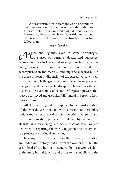A hero ventures forth from the world of common day into a region of supernatural wonder: fabulous forces are there encountered and a decisive victory is won: the hero comes back from this mysterious adventure with the power to bestow boons on his fellow man.

Joseph Campbell

Wyths and legends, even of actual personages,<br>and successes, and successes, are stories of journeys, deeds, and successes, represented, not in literal lifelike ways, but in imaginative configurations. The point is not so much what was accomplished in the material and superficial world but in the more important dimension of the sacred world with all its riddles and challenges to our established heart postures. The journey depicts the landscape of hidden resistances that must be overcome, of secret or forgotten powers that must be retrieved and used skillfully, and of the growth from innocence to maturity.

All of this is designed to be applied to the transformation of the world. We then act with a vision of possibility undeterred by recurrent disasters, the cries of anguish, and the tumultuous shifting of events. Inflamed by the fire of an all-sustaining awakening and self-surpassing love, we are dedicated to repairing the world, to generating beauty, and to a process of continual enlivening.

In many myths, the hero and the supreme realization are united in the story that mirrors the mystery of life. The great deed of the hero is to acquire the hard won wisdom of the unity in multiplicity and to make this manifest in the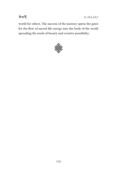

E-MA-HO

world for others. The success of the journey opens the gates for the flow of sacred life energy into the body of the world spreading the seeds of beauty and creative possibility.

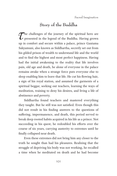# **Story of the Buddha**

The challenges of the journey of the spiritual hero are<br>presented in the legend of the Buddha. Having grown<br>we in comfort and source within a polace, prince Coutame presented in the legend of the Buddha. Having grown up in comfort and secure within a palace, prince Gautama Sakyamuni, also known as Siddhartha, secretly set out from his gilded prison of wealth to understand life and the world and to find the highest and most perfect happiness. Having had the initial awakening to the reality that life involves pain, old age and death, he alone of everyone in the palace remains awake when a strange force puts everyone else to sleep enabling him to leave that life. He cut his flowing hair, a sign of his royal station, and assumed the garments of a spiritual beggar, seeking out teachers, learning the ways of meditation, training to deny his desires, and living a life of abstinence and poverty.

Siddhartha found teachers and mastered everything they taught. But he still was not satisfied. Even though this did not result in his finding answers to the questions of suffering, impermanence, and death, this period served to break deep rooted habits acquired in his life as a prince. Not succeeding in his quest, he redoubled his efforts over the course of six years, carrying austerity to extremes until he finally collapsed near death.

Even these extremes did not bring him any closer to the truth he sought than had his pleasures. Realizing that the struggle of depriving his body was not working, he recalled a time when he meditated on death and he had become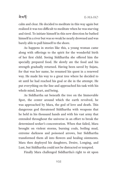### <u>ৰামৰ্দ</u>

calm and clear. He decided to meditate in this way again but realized it was too difficult to meditate when he was starving and tired. To initiate himself in this new direction he bathed himself in a river but was so weak he nearly drowned and was barely able to pull himself to the shore.

As happens in stories like this, a young woman came along with offerings to the spirit for the wonderful birth of her first child. Seeing Siddhartha she offered him the specially prepared food. He slowly ate the food and his strength gradually returned. Having been saved by Sujata, for that was her name, he resumed his quest in a renewed way. He made his way to a great tree where he decided to sit until he had reached his goal or die in the attempt. He put everything on the line and approached his task with his whole mind, heart, and being.

As Siddhartha sat beneath the tree on the Immovable Spot, the center around which the earth revolved, he was approached by Mara, the god of love and death. This dangerous god threatened Siddhartha with weapons that he held in his thousand hands and with his vast army that extended throughout the universe in an effort to break the determined seeker's concentration. When that failed, Mara brought on violent storms, burning coals, boiling mud, extreme darkness and poisoned arrows, but Siddhartha transformed them all into flowers and healing ointments. Mara then deployed his daughters, Desire, Longing, and Lust, but Siddhartha could not be distracted or tempted.

Finally Mara challenged Siddhartha's right to sit upon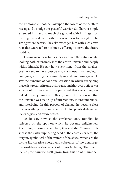the Immovable Spot, calling upon the forces of the earth to rise up and dislodge this peaceful warrior. Siddhartha simply extended his hand to touch the ground with his fingertips, inviting the goddess Earth to bear witness to his right to be sitting where he was. She acknowledged him with such a vast roar that Mara fell to his knees, offering to serve the future Buddha.

Having won these battles, he examined the nature of life, looking both extensively into the entire universe and deeply within himself. He saw how everything, from the smallest grain of sand to the largest galaxy, was constantly changing emerging, growing, decaying, dying and emerging again. He saw the dynamic of continual creation in which everything that exists resulted from a prior cause and that every effect was a cause of further effects. He perceived that everything was linked to everything else in this dynamic of creation and that the universe was made up of interactions, interconnections, and interbeing. In this process of change, he became clear that everything is also recycled, including physical elements, life energies, and awarenesses.

As he sat, now as the awakened one, Buddha, he reflected on the spot on which he became enlightened. According to Joseph Campbell, it is said that "beneath this spot is the earth-supporting head of the cosmic serpent, the dragon, symbolical of the waters of the abyss, which are the divine life-creative energy and substance of the demiurge, the world-generative aspect of immortal being. The tree of life, i.e., the universe itself, grows from this point." Campbell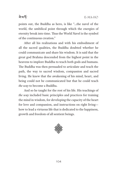### ৰ ম'ৰ্দ

points out, the Buddha as hero, is like "…the navel of the world, the umbilical point through which the energies of eternity break into time. Thus the World Navel is the symbol of the continuous creation."

After all his realizations and with his embodiment of all the sacred qualities, the Buddha doubted whether he could communicate and share his wisdom. It is said that the great god Brahma descended from the highest point in the heavens to implore Buddha to teach both gods and humans. The Buddha was then persuaded to articulate and teach the path, the way to sacred wisdom, compassion and sacred living. He knew that the awakening of his mind, heart, and being could not be communicated but that he could teach *the way* to become a Buddha.

And so he taught for the rest of his life. His teachings of *the way* included basic principles and practices for training the mind in wisdom, for developing the capacity of the heart for love and compassion, and instructions on right living how to lead a virtuous life that is dedicated to the happiness, growth and freedom of all sentient beings.

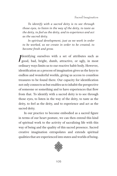*To identify with a sacred deity is to see through those eyes, to listen in the way of the deity, to taste as the deity, to feel as the deity, and to experience and act as the sacred deity.*

*In spiritual development, just as we work in order to be worked, so we create in order to be created, to become fresh and grow.*

dentifying ourselves with a set of attributes such as<br>good, bad, bright, dumb, attractive, or ugly, in most<br>endingnumous limits us to current in habit hady Houseway good, bad, bright, dumb, attractive, or ugly, in most ordinary ways limits us to our reactive habit body. However, identification as a process of imagination gives us the keys to endless and wonderful worlds, giving us access to countless treasures to be found there. Our capacity for identification not only connects us but enables us to inhabit the perspective of someone or something and to have experiences that flow from that. To identify with a sacred deity is to see through those eyes, to listen in the way of the deity, to taste as the deity, to feel as the deity, and to experience and act as the sacred deity.

In our practice to become embodied as a sacred figure in terms of our heart posture, we can then extend this kind of spiritual work to the activity of sacralizing life with this way of being and the quality of this sacred presence. Sacred creative imagination extrapolates and extends spiritual qualities that are experienced into states and worlds of being.

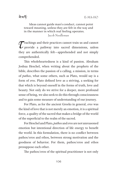Ideas cannot guide man's conduct, cannot point toward meaning, unless they are felt in the way and in the manner in which real feeling operates. Jacob Needleman

Teachings and their practices cannot train us and cannot<br>provide a pathway into sacred dimensions, unless<br>they are authorizedly felt, approbanded and not simply provide a pathway into sacred dimensions, unless they are authentically felt—apprehended and not simply comprehended.

This wholeheartedness is a kind of passion. Abraham Joshua Heschel, when writing about the prophets of the bible, describes the passion of a calling, a mission, in terms of *pathos*, what some others, such as Plato, would say is a form of *eros*. Plato defined love as a striving, a seeking for that which is beyond oneself in the forms of truth, love and beauty. Not only do we strive for a deeper, more profound sense of being, we also seek to do this through consciousness and to gain some measure of understanding of our journey.

For Plato, as for the ancient Greeks in general, *eros* was the kind of love that is not merely an emotion, it is a spiritual force, a quality of the sacred that makes a bridge of the world of the superficial to the realm of the sacred.

For Heschel and Plato, *pathos* and *eros* are not unreasoned emotion but intentional direction of life energy to benefit the world. In this formulation, there is no conflict between pathos/eros and ethos, between strong motivation and the goodness of behavior. For them, pathos/eros and ethos presuppose each other.

The pathos/eros of the spiritual practitioner is not only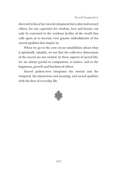directed to his or her own development but is directed toward others, for our capacities for wisdom, love and beauty can only be exercised in the workout facility of the world that calls upon us to become ever greater embodiments of the sacred qualities that inspire us.

When we go to the core of our sensibilities about what is spiritually valuable, we see that the collective dimensions of the sacred are not neutral. In these aspects of sacred life, we are always partial to compassion, to justice, and to the happiness, growth and freedom of others.

Sacred pathos/eros integrates the eternal and the temporal, the mysterious and meaning, and sacred qualities with the flow of everyday life.

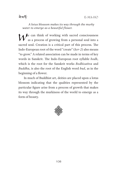

*A lotus blossom makes its way through the murky water to emerge as a beautiful flower.*

 $M$ <sup>e</sup> can think of working with sacred consciousness as a process of growing from a personal soul into a sacred soul. Creation is a critical part of this process. The Indo-European root of the word "create" (*ker-2*) also means "to grow." A related association can be made in terms of key words in Sanskrit. The Indo-European root syllable *bodh*, which is the root for the Sanskrit works *Bodhisattva* and *Buddha*, is also the root of the English word *bud*, as in the beginning of a flower.

In much of Buddhist art, deities are placed upon a lotus blossom indicating that the qualities represented by the particular figure arise from a process of growth that makes its way through the murkiness of the world to emerge as a form of beauty.

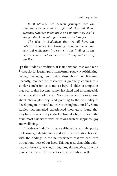*In Buddhism, two central principles are the interconnectedness of all life and that all living systems, whether individuals or communities, evolve along a developmental path with distinct stages.*

*The idea in Buddhism that we all have the natural capacity for learning, enlightenment and spiritual realization fits well with the findings in the neurosciences that we can learn throughout most of our lives.*

 $\int f(x)$ n the Buddhist tradition, it is understood that we have a capacity for learning and transforming our ways of thinking, feeling, behaving, and being throughout our lifetimes. Recently, modern neuroscience is gradually coming to a similar conclusion as it moves beyond older assumptions that our brains become somewhat fixed and unchangeable sometime after adolescence. Now neuroscientists are talking about "brain plasticity" and pointing to the possibility of developing new neural networks throughout our life. Some studies that included experienced meditators found that they have more activity in the left frontal lobe, the part of the brain most associated with emotions such as happiness, joy and wellbeing.

The idea in Buddhism that we all have the natural capacity for learning, enlightenment and spiritual realization fits well with the findings in the neurosciences that we can learn throughout most of our lives. This suggests that, although it may not be easy, we can, through regular practice, train our minds to improve the capacities of our attention, will,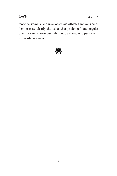

E-MA-HO

tenacity, stamina, and ways of acting. Athletes and musicians demonstrate clearly the value that prolonged and regular practice can have on our habit body to be able to perform in extraordinary ways.

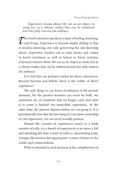*Experience knows about life not as an object to study but as a vibrant reality that can be embraced and that fully returns the embrace.*

The word *experience* speaks to a unity of feeling, knowing,<br>and living. *Experience* is beyond simply feeling in that<br>it involves knowing, not only perseiving but also knowing. and living. *Experience* is beyond simply feeling in that it involves knowing, not only perceiving but also knowing about. *Experience* reaches out to taste honey and comes to know sweetness as well as lemon to know tartness. *Experience* knows about life not as an object to study but as a vibrant reality that can be embraced and that fully returns the embrace.

It is vital that our primary teacher be direct experience. Beyond theories and beliefs, there is the reality of direct experience.

The only thing we can know of existence is the present moment. Yet the present moment can never be held, our memories are of moments that no longer exist and what is to come is beyond our immediate experience. At the same time, the present departs before we can grasp it. It is paradoxically true that the one thing we can claim ownership of, our experience, we can never actually possess.

Human life consists of experiences much as a body consists of cells, yet a bunch of experiences is no more a full and satisfying life than a mass of cells is a functioning body. A happy life involves having purpose, a sense of home in the world, and connectedness.

What is essential in each moment is the completeness of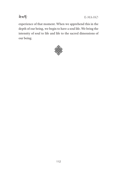

E-MA-HO

experience of that moment. When we apprehend this in the depth of our being, we begin to have a soul life. We bring the intensity of soul to life and life to the sacred dimensions of our being.

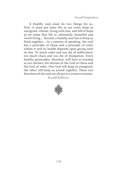Sacred Imagination

A healthy soul…must do two things for us. First, it must put some fire in our veins, keep us energized, vibrant, living with zest, and full of hope as we sense that life is, ultimately, beautiful and worth living…. Second, a healthy soul has to keep us fixed together…. In a manner of speaking, the soul has a principle of chaos and a principle of order within it and its health depends upon giving each its due. To much order and you die of suffocation; too much chaos and you die of dissipation. Every healthy spirituality, therefore, will have to worship at two shrines: the shrines of the God of chaos and the God of order. One God will keep us energized, the other will keep us joined together. These two functions of the soul are always in a creative tension.

Ronald Rolheiser

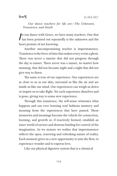#### ৰ ম'ৰ্দ

*Our dance teachers for life are—The Unknown, Transience, and Death*

 $\int$ n our dance with Grace, we have many teachers. One that has been pointed out repeatedly is the unknown and the heart posture of not knowing.

Another uncompromising teacher is impermanence. Transience is the force of time that makes every event a ghost. There was never a sunrise that did not progress through the day to sunset. There never was a sunset, no matter how stunning, that did not become night and a night that did not give way to dawn.

The same is true of our experience. Our experiences are as close to us as our skin, surround us like the air and are inside us like our mind. Our experiences can weigh us down or inspire us to take flight. Yet each experience dissolves and is gone, giving way to some new experience.

Through this transience, the self-sense witnesses what happens and our ever learning soul fashions memory and meaning from the experiences that have passed. These memories and meanings become the vehicle for connection, learning, and growth or, if reactively formed, establish an inner world of saviors and demons battling for control of the imagination. As we mature we realize that impermanence reflects the open, renewing and refreshing nature of reality. Each moment gives us a new opportunity to join the flow, to experience wonder and to express love.

Like our physical digestive system that is a chemical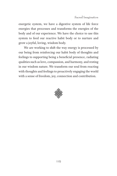energetic system, we have a digestive system of life force energies that processes and transforms the energies of the body and of our experience. We have the choice to use this system to feed our reactive habit body or to nurture and grow a joyful, loving, wisdom body.

We are working to shift the way energy is processed by our being from reinforcing our habit body of thoughts and feelings to supporting being a beneficial presence, radiating qualities such as love, compassion, and harmony, and resting in our wisdom nature. We transform our soul from reacting with thoughts and feelings to proactively engaging the world with a sense of freedom, joy, connection and contribution.

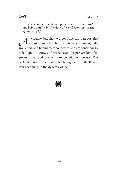ৰ ম'ৰ্দ

*The completion of our goal is not an end state but being totally in the flow of ever becoming, in the dynamic of life.*

 $\mathcal{A}$ s creative buddhas we confront the paradox that we are completely fine in this very moment, fully we are completely fine in this very moment, fully awakened, and boundlessly connected and are continuously called upon to grow and realize even deeper wisdom, feel greater love, and create more benefit and beauty. Our perfection is not an end state but being totally in the flow of ever becoming, in the dynamic of life.

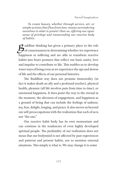*To create beauty, whether through service, art, or simple actions that flow from love, means surrendering ourselves to what is greater than us, offering our egoic sense of privilege and transcending our reactive body of habits.*

**2** uddhist thinking has given a primary place to the role of consciousness in determining whether we experience happiness or suffering and are able to transform reactive habits into heart postures that reflect our basic sanity, love and impulse to contribute to life. This enables us to develop wiser ways of being even as we experience the ups and downs of life and the effects of our personal histories.

The Buddhist way does not promise immortality (in fact it makes death an ally and a profound teacher), physical health, pleasure (all life involves pain from time to time), or emotional happiness. It does point the way to the eternal in the moment, the aliveness of engagement, and happiness as a ground of being that can include the feelings of sadness, joy, fear, delight, longing, and peace. It also moves us beyond our self-preoccupations with the realization that each of us is not "the one."

Our reactive habit body has its own momentum and can continue in the tendencies of even highly developed spiritual people. The profundity of our realization does not mean that our bodymind is not affected by past experiences and patterns and present habits, not to mention external situations. This simply is what is. We may change it to some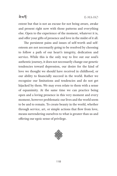### ৰ ম'ৰ্দ

extent but that is not an excuse for not being aware, awake and present right now with those patterns and everything else. Open to the experience of the moment, whatever it is, and offer your gifts of presence and love in the midst of it all.

The persistent pains and issues of self-worth and selfesteem are not necessarily going to be resolved by choosing to follow a path of our heart's integrity, dedication and service. While this is the only way to live out our soul's authentic journey, it does not necessarily change our genetic tendencies toward depression, our desire for the kind of love we thought we should have received in childhood, or our ability to financially succeed in the world. Rather we recognize our limitations and tendencies and do not get hijacked by them. We may even relate to them with a sense of equanimity. At the same time we can practice being open and a loving presence in this very moment and every moment, however problematic our lives and the world seem to be and to remain. To create beauty in the world, whether through service, art, or simple actions that flow from love, means surrendering ourselves to what is greater than us and offering our egoic sense of privilege.

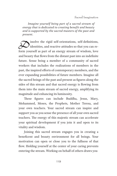*Imagine yourself being part of a sacred stream of energy that is dedicated to creating benefit and beauty and is supported by the sacred masters of the past and present.*

Sissolve the rigid self-orientations, self-definitions,<br>identities, and reactive attitudes so that you can re-<br>form yourself as part of an aparexy stream of widom, love identities, and reactive attitudes so that you can reform yourself as part of an energy stream of wisdom, love and beauty that flows from the distant past into an indefinite future. Sense being a member of a community of sacred workers that includes the realizations of members in the past, the inspired efforts of contemporary members, and the ever expanding possibilities of future members. Imagine all the sacred beings of the past and present as figures along the sides of this stream and that sacred energy is flowing from them into the main stream of sacred energy, amplifying its magnitude and enhancing its luminosity.

These figures can include Buddha, Jesus, Mary, Mohammed, Moses, the Prophets, Mother Teresa, and your own teachers. Your sacred stream can inspire and support you as you sense the presence of all your own sacred teachers. The energy of this majestic stream can accelerate your spiritual development if you join it and open to its vitality and wisdom.

Joining this sacred stream engages you in creating a beneficent and beauty environment for all beings. Your motivation can open or close you to the fullness of that flow. Holding yourself at the center of your caring prevents entering the stream. Working on behalf of others draws you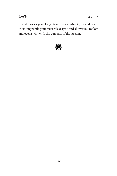

E-MA-HO

in and carries you along. Your fears contract you and result in sinking while your trust relaxes you and allows you to float and even swim with the currents of the stream.

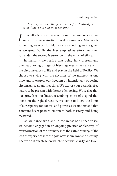*Mastery is something we work for. Maturity is something we are given as we grow.*

 $\int\limits_{-\infty}^{\infty}% \frac{1}{\sqrt{2\pi}}\left( \int\limits_{-\infty}^{\infty}% \frac{1}{\sqrt{2\pi}}\frac{1}{\sqrt{2\pi}}\frac{1}{\sqrt{2\pi}}\frac{1}{\sqrt{2\pi}}\frac{1}{\sqrt{2\pi}}\frac{1}{\sqrt{2\pi}}\frac{1}{\sqrt{2\pi}}\frac{1}{\sqrt{2\pi}}\frac{1}{\sqrt{2\pi}}\frac{1}{\sqrt{2\pi}}\frac{1}{\sqrt{2\pi}}\frac{1}{\sqrt{2\pi}}\frac{1}{\sqrt{2\pi}}\frac{1}{\sqrt{2\pi}}\frac{1}{\sqrt{2\$ n our efforts to cultivate wisdom, love and service, we come to value maturity as well as mastery. Mastery is something we work for. Maturity is something we are given as we grow. While the first emphasizes effort and then surrender, the second is surrender in the midst of effort.

In maturity we realize that being fully present and open as a loving bringer of blessings means we dance with the circumstances of life and play in the field of Reality. We choose to swing with the rhythms of the moment at one time and to express our freedom by intentionally opposing circumstance at another time. We express our essential free nature to be present with the act of choosing. We realize that our growth is not linear, resembling more of a spiral that moves in the right direction. We come to know the limits of our capacity for control and power as we understand that a mature heart posture embraces both mastery and being mastered.

As we dance with and in the midst of all that arises, we become engaged in an ongoing practice of alchemy, of transformation of the ordinary into the extraordinary, of the lead of experience into the gold of wisdom, love and blessing. The world is our stage on which to act with clarity and love.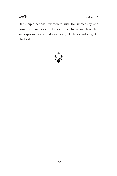

E-MA-HO

Our simple actions reverberate with the immediacy and power of thunder as the forces of the Divine are channeled and expressed as naturally as the cry of a hawk and song of a bluebird.

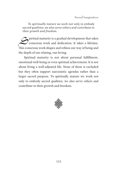*To spiritually mature we work not only to embody sacred qualities; we also serve others and contribute to their growth and freedom.*

Spiritual maturity is a gradual development that takes<br>
conscious work and dedication. It takes a lifetime. conscious work and dedication. It takes a lifetime. This conscious work shapes and refines our way of being and the depth of our relating, our loving.

Spiritual maturity is not about personal fulfillment, emotional well-being or even spiritual achievement. It is not about living a well-adjusted life. None of these is excluded but they often support narcissistic agendas rather than a larger sacred purpose. To spiritually mature we work not only to embody sacred qualities; we also serve others and contribute to their growth and freedom.

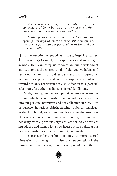ৰ ম'ৰ্দ

*The transcendent refers not only to greater dimensions of being but also to the movement from one stage of our development to another.*

*Myth, poetry, and sacred practices are the openings through which the inexhaustible energies of the cosmos pour into our personal narratives and our collective culture.*

|<br>|<br>| t is the function of practices, rituals, inspiring stories, and teachings to supply the experiences and meaningful symbols that can carry us forward in our development and counteract the constant pull of old reactive habits and fantasies that tend to hold us back and even regress us. Without these personal and collective supports, we will tend toward not only narcissism but also addiction to superficial substitutes for authentic, living, spiritual fulfillment.

Myth, poetry, and sacred practices are the openings through which the inexhaustible energies of the cosmos pour into our personal narratives and our collective culture. Rites of passage, initiations (birth, naming, puberty, marriage, leadership, burial, etc.), often involve challenging exercises of severance where our ways of thinking, feeling, and behaving from a previous stage are left behind and we are introduced and trained for a new heart posture befitting our new responsibilities in our community and in life.

The transcendent refers not only to more sacred dimensions of being. It is also a characteristic of the movement from one stage of our development to another.

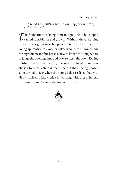Sacred Imagination

*Sacred sensibilities are the kindling for the fire of spiritual growth.*

The foundation of living a meaningful life is built upon<br>sacred sensibilities and growth. Without these, nothing<br>of spiritual significance happens. It is like the story of a sacred sensibilities and growth. Without these, nothing of spiritual significance happens. It is like the story of a young apprentice to a master baker who learned how to mix the ingredients for fine breads, how to kneed the dough, how to judge the cooking time and how to clean the oven. Having finished the apprenticeship, the newly minted baker was chosen to cater a state dinner. The delight at being chosen soon turned to fear when the young baker realized that with all his skills and knowledge in working with bread, he had overlooked how to make the fire in the oven.

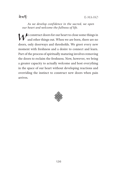

*As we develop confidence in the sacred, we open our heart and welcome the fullness of life.*

**M** e construct doors for our heart to close some things in and other things out. When we are born, there are no doors, only doorways and thresholds. We greet every new moment with freshness and a desire to connect and learn. Part of the process of spiritually maturing involves removing the doors to reclaim the freshness. Now, however, we bring a greater capacity to actually welcome and host everything in the space of our heart without developing reactions and overriding the instinct to construct new doors when pain arrives.

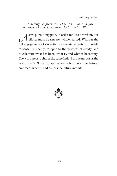Sacred Imagination

*Sincerity appreciates what has come before, embraces what is, and dances the future into life.*

As we pursue any path, in order for it to bear fruit, our<br>efforts must be sincere, wholehearted. Without the<br>full approximant of sincerity, we remain superficial unable efforts must be sincere, wholehearted. Without the full engagement of sincerity, we remain superficial, unable to sense life deeply, to open to the vastness of reality, and to celebrate what has been, what is, and what is becoming. The word *sincere* shares the same Indo-European root as the word *create*. Sincerity appreciates what has come before, embraces what is, and dances the future into life.

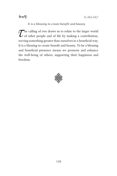

*It is a blessing to create benefit and beauty.*

The calling of *eros* draws us to relate to the larger world<br>of other people and of life by making a contribution,<br>corrier comething greater than ourselves in a hangfield way. of other people and of life by making a contribution, serving something greater than ourselves in a beneficial way. It is a blessing to create benefit and beauty. To be a blessing and beneficial presence means we promote and enhance the well-being of others, supporting their happiness and freedom.

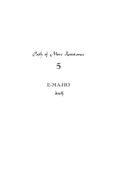# Path of More Resistance **5**

## **E-MA-HO**

बे'याई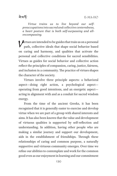*Virtue trains us to live beyond our selfpreoccupations into sacred and collective centeredness, a heart posture that is both self-surpassing and allencompassing.*

*Sirtues are intended to be guides that train us on a personal* path, collective ideals that shape social behavior based on caring and harmony, and qualities that activate the personal and collective conditions for sacred sensibilities. Virtues as guides for social behavior and collective action reflect the principles of compassion, caring, justice, fairness, and inclusion in a community. The practice of virtues shapes the character of the society.

Virtues involve three principle aspects: a behavioral aspect—doing right action, a psychological aspect operating from good intentions, and an energetic aspect acting in alignment with and as a conduit for sacred wisdom energy.

From the time of the ancient Greeks, it has been recognized that it is generally easier to exercise and develop virtue when we are part of a group with shared interests and aims. It has also been known that the value and development of virtuous qualities is supported by self-reflection and understanding. In addition, having other people who are making a similar journey and support our development, aids in the establishment of friendships. Through these relationships of caring and common purpose, a naturally supportive and virtuous community emerges. Over time we refine our abilities to contemplate and work for the common good even as our enjoyment in learning and our commitment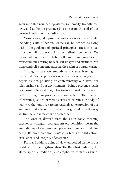grows and shifts our heart postures. Generosity, friendliness, love, and authentic presence blossom from the soil of our personal and collective dedication.

Virtue can guide, promote and sustain a conscious life, including a life of action. Virtue can be defined as living within the guidance of spiritual principles. These spiritual principles all support a kind of self-transcendence. We transcend our reactive habit self. We train ourselves to transcend our limiting beliefs, self-images and attitudes. We transcend self-concern, entering the realm of a larger caring.

Through virtue we embody and create blessings in the world. Virtue preserves or enhances what is good. It begins by not polluting or contaminating our lives, our relationships, and our environment—being a presence that is not harmful. Beyond that, it has to do with making the world better through our presence and our actions. The practice of certain qualities of virtue serves to retrain our body of habits so that our lives are increasingly an expression of our authentic and wisdom nature. Virtues ground us in the way we live life and interact with each other.

The word is derived from the Latin *virtus* meaning excellence, strength, courage. An old definition meant the embodiment of a supernatural power or influence of a divine being. Its more common usage is in terms of right action, excellence, and integrity of character.

From a Buddhist point of view, embodied virtue is our Buddha nature acting through us. The Buddhist tradition, like all the spiritual traditions, also emphasizes virtues as guides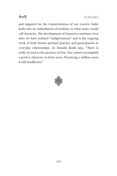

and supports for the transformation of our reactive habit body into an embodiment of wisdom, or what many would call character. The development of character continues even after we have realized "enlightenment" and is the ongoing work of both formal spiritual practice and participation in everyday relationships. As Yamada Roshi says, "There is really no end to the practice of Zen. You cannot accomplish a perfect character in forty years. Practicing a million years is still insufficient."

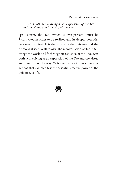*Te is both active living as an expression of the Tao and the virtue and integrity of the way.*

 $\int$ n Taoism, the Tao, which is ever-present, must be cultivated in order to be realized and its deeper potential becomes manifest. It is the source of the universe and the primordial seed in all things. The manifestation of Tao, "*Te*", brings the world to life through its radiance of the Tao. *Te* is both active living as an expression of the Tao and the virtue and integrity of the way. *Te* is the quality in our conscious actions that can manifest the essential creative power of the universe, of life.

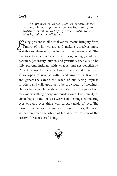*The qualities of virtue, such as consciousness, courage, kindness, patience, generosity, humor, and gratitude, enable us to be fully present, intimate with what is, and act beneficially.*

**EX** eing present in all our aliveness means bringing forth more of who we are and making ourselves more available to whatever arises in life for the benefit of all. The qualities of virtue, such as consciousness, courage, kindness, patience, generosity, humor, and gratitude, enable us to be fully present, intimate with what is, and act beneficially. Consciousness, for instance, keeps us aware and intentional as we open to what is within and around us. Kindness and generosity extend the reach of our caring impulse to others and calls upon us to be the creator of blessings. Humor helps us play with our situation and keeps us from making everything heavy and burdensome. Each quality of virtue helps to train us as a weaver of blessings, connecting everyone and everything with threads made of love. The more proficient we become with these qualities, the more we can embrace the whole of life as an expression of the creative force of sacred being.

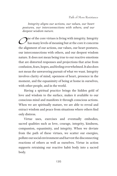*Integrity aligns our actions, our values, our heart postures, our interconnections with others, and our deepest wisdom nature.*

One of the core virtues is living with integrity. Integrity<br>has many levels of meaning but at the core it concerns<br>the eligament of our estimal curvalues, our heatt nectures has many levels of meaning but at the core it concerns the alignment of our actions, our values, our heart postures, our interconnections with others, and our deepest wisdom nature. It does not mean being true to our reactive emotions that are distorted responses and projections that arise from confusion, fears, hopes, and feeling overwhelmed. It also does not mean the unwavering pursuit of what we want. Integrity involves clarity of mind, openness of heart, presence in the moment, and the equanimity of being at home in ourselves, with other people, and in the world.

Having a spiritual practice brings the hidden gold of love and wisdom to the surface, makes it available to our conscious mind and manifests it through conscious actions. When we are spiritually mature, we are able to reveal and extract wisdom and peace from situations where others find only distress.

Virtue uses, exercises and eventually embodies, sacred qualities such as love, courage, integrity, kindness, compassion, equanimity, and integrity. When we deviate from the path of these virtues, we scatter our energies, pollute our social environment and harvest the disconnecting reactions of others as well as ourselves. Virtue in action supports retraining our reactive habit body into a sacred body.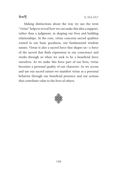<u>ৰামৰ্দ</u>

Making distinctions about the way we use the term "virtue" helps to reveal how we can make this idea a support, rather than a judgment, in shaping our lives and building relationships. At the core, virtue concerns sacred qualities rooted in our basic goodness, our fundamental wisdom nature. Virtue is also a sacred force that shapes us—a force of the sacred that finds expression in our conscience and works through us when we seek to be a beneficial force ourselves. As we make this force part of our lives, virtue becomes a personal quality of our character. As we access and use our sacred nature we manifest virtue as a personal behavior through our beneficial presence and our actions that contribute value to the lives of others.

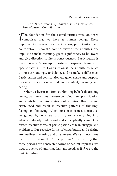*The three jewels of aliveness: Consciousness, Participation, Contribution*

 $\tau$  impulses that we have as human beings. These<br>impulses of alivances are consciousness participation and impulses that we have as human beings. These impulses of aliveness are consciousness, participation, and contribution. From the point of view of the impulses, our impulse to make meaning, grant significance, to be aware and give direction to life is consciousness. Participation is the impulse to "show up," to exist and express aliveness, to "participate" in life. Contribution is the impulse to relate to our surroundings, to belong, and to make a difference. Participation and contribution are given shape and purpose by our consciousness as it defines context, meaning and caring.

When we live in and from our limiting beliefs, distressing feelings, and reactions, we turn consciousness, participation and contribution into fixations of attention that become crystallized and result in reactive patterns of thinking, feeling, and behaving. When our consciousness is reactive, we go numb, deny reality or try to fit everything into what we already understand and conceptually know. Our fixated reactive forms of participation are fear, struggle and avoidance. Our reactive forms of contribution and relating are neediness, wanting and attachment. We call these three patterns of fixation the "three poisons." Not realizing that these poisons are contracted forms of natural impulses, we treat the sense of ignoring, fear, and need, as if *they* are the basic impulses.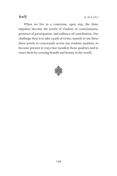**ৰা**মৰ্দ

When we live in a conscious, open way, the three impulses become the jewels of wisdom of consciousness, presence of participation, and radiance of contribution. Our challenge then is to take a path of virtue, namely to use these three jewels to consciously access our wisdom qualities, to become present in ways that manifest these qualities and to enact them by creating benefit and beauty in the world.

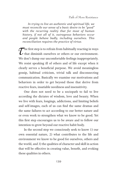*In trying to live an authentic and spiritual life, we must reconcile our sense of a basic desire to be "good" with the recurring reality that for most of human history, if not all of it, outrageous behaviors occur and people behave badly, including ourselves. This reconciliation requires the practice of virtue.*

 $\sum$  he first step is to refrain from habitually reacting in ways<br>that diminish ourselves or others or our environment. that diminish ourselves or others or our environment. We don't dump our uncomfortable feelings inappropriately. We resist speaking ill of others and of life except when it clearly serves a beneficial purpose. We avoid meaningless gossip, habitual criticism, trivial talk and disconnecting communication. Basically we examine our motivations and behaviors in order to get beyond those that derive from reactive fears, insatiable neediness and insensitivity.

One does not need to be a sociopath to fail to live according the dictates of wisdom, love and beauty. When we live with fears, longings, addictions, and limiting beliefs and self-images, each of us can find the same dramas and the same failures to act according to our better nature and or even work to strengthen what we know to be good. Yet this first step encourages us to be aware and to follow our intention to grow beyond our reactive habit body.

In the second step we consciously seek to know 1) our own essential nature, 2) what contributes to the life and environment we know to be good for ourselves, others and the world, and 3) the qualities of character and skill in action that will be effective in creating value, benefit, and evoking these qualities in others.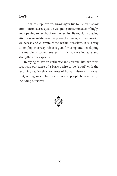<u>ৰামৰ্দ</u>

The third step involves bringing virtue to life by placing attention on sacred qualities, aligning our actions accordingly, and opening to feedback on the results. By regularly placing attention in qualities such as praise, kindness, and generosity, we access and cultivate these within ourselves. It is a way to employ everyday life as a gym for using and developing the muscle of sacred energy. In this way we increase and strengthen our capacity.

In trying to live an authentic and spiritual life, we must reconcile our sense of a basic desire to be "good" with the recurring reality that for most of human history, if not all of it, outrageous behaviors occur and people behave badly, including ourselves.

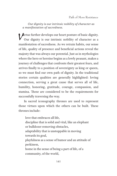*Our dignity is our intrinsic nobility of character as a manifestation of sacredness.*

Virtue further develops our heart posture of basic dignity. Our dignity is our intrinsic nobility of character as a manifestation of sacredness. As we retrain habits, our sense of life, quality of presence and beneficial actions reveal the majesty that was always our potential. Just as in mythologies where the hero or heroine begins as a lowly peasant, makes a journey of challenges that confronts their greatest fears, and arrives finally to a position of sovereignty as king or queen, so we must find our own path of dignity. In the traditional stories certain qualities are generally highlighted: loving connection, serving a great cause that serves all of life, humility, honoring, gratitude, courage, compassion, and stamina. These are considered to be the requirements for successfully traversing the way.

In sacred iconography thrones are used to represent those virtues upon which the others can be built. These thrones include:

love that embraces all life, discipline that is solid and vital, like an elephant or bulldozer removing obstacles, adaptability that is unstoppable in moving towards its goal, playfulness as a sense of humor and an attitude of perkiness, home in the sense of being a part of life, of a community, of the world,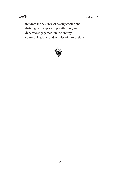

freedom in the sense of having choice and thriving in the space of possibilities, and dynamic engagement in the energy, communications, and activity of interactions.

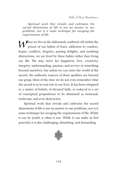*Spiritual work that reveals and cultivates the sacred dimensions of life is not an answer to our problems, nor is it some technique for escaping the requirements of life.*

When we live in the elaborately outfitted cell within the<br>prison of our habits of fears, addiction to comfort,<br>happen conflicts, depairs, pessing delights, and numbing prison of our habits of fears, addiction to comfort, hopes, conflicts, despairs, passing delights, and numbing distractions, we are lived by these habits rather than living our life. We may strive for happiness, love, creativity, integrity, understanding, passion, and service to something beyond ourselves, but unless we can enter the world of the sacred, the authentic sources of these qualities are beyond our grasp. Most of the time we do not even remember what the sacred is or its real role in our lives. It has been relegated to a matter of beliefs, of dictated faith, or reduced to a set of conceptual propositions to be dismissed as irrational, irrelevant, and even destructive.

Spiritual work that reveals and cultivates the sacred dimensions of life is not an answer to our problems, nor is it some technique for escaping the requirements of life. While it can be joyful, it often is not. While it can make us feel peaceful, it is also challenging, disturbing, and demanding.

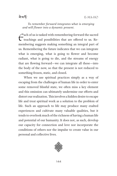*To remember forward integrates what is emerging and will flower into a dynamic present.*

 $\epsilon$  ach of us is tasked with remembering forward the sacred<br>teachings and possibilities that are offered to us. Re-<br>membering suggests melting compthing an integral part of teachings and possibilities that are offered to us. Remembering suggests making something an integral part of us. Remembering the future indicates that we can integrate what is emerging, what is going to flower and become radiant, what is going to die, and the streams of energy that are flowing forward—we can integrate all these—into the body of the now, so that the present is not reduced to something frozen, static, and closed.

When we use spiritual practices simply as a way of escaping from the challenges of human life in order to enter some removed blissful state, we often miss a key element and this omission can ultimately undermine our efforts and distort our realization. This involves a hidden desire to escape life and treat spiritual work as a solution to the problem of life. Such an approach to life may produce many exalted experiences and cultivate many valuable qualities, but it tends to overlook much of the richness of having a human life and potential of our humanity. It does not, as such, develop our capacity for connection and love nor incorporate the conditions of others nor the impulse to create value in our personal and collective lives.

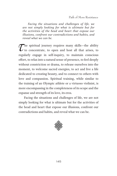*Facing the situations and challenges of life, we are not simply looking for what is ultimate but for the activities of the head and heart that expose our illusions, confront our contradictions and habits, and reveal what we can be.*

 $\mathcal{T}$  he spiritual journey requires many skills—the ability<br>to concentrate, to open and host all that arises, to<br>reculerly engage in self-inquiry to maintain equations to concentrate, to open and host all that arises, to regularly engage in self-inquiry, to maintain conscious effort, to relax into a natural sense of presence, to feel deeply without constriction or drama, to release ourselves into the moment, to welcome sacred energies, to act and live a life dedicated to creating beauty, and to connect to others with love and compassion. Spiritual training, while similar to the training of an Olympic athlete or a virtuoso violinist, is more encompassing in the completeness of its scope and the expanse and strength of its love, its eros.

Facing the situations and challenges of life, we are not simply looking for what is ultimate but for the activities of the head and heart that expose our illusions, confront our contradictions and habits, and reveal what we can be.

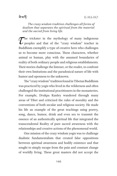### ঐমর্দ্দ

*The crazy wisdom tradition challenges all forms of dualism that separates the spiritual from the material and the sacred from living life.*

The trickster in the mythology of many indigenous peoples and that of the "crazy wisdom" teacher in Buddhism exemplify a type of creative hero who challenges us to become more conscious. These characters, whether animal or human, play with the assumed boundaries of reality of both ordinary people and religious establishments. Their stories challenge the listener, or the reader, to confront their own limitations and the paradoxical nature of life with humor and openness to the unknown.

The "crazy wisdom" tradition found in Tibetan Buddhism was practiced by yogis who lived in the wilderness and often challenged the institutional practitioners in the monasteries. For example, Drukpa Kunley wandered through many areas of Tibet and criticized the rules of morality and the conventions of both secular and religious society. He made his life an example of the great teachings using poetry, song, dance, humor, drink and even sex to transmit the essence of an authentically spiritual life that integrated the transcendental Reality of pure sacred awareness with the relationships and creative actions of the phenomenal world.

One mission of the crazy wisdom yogis was to challenge dualistic fundamentalism that created false oppositions between spiritual awareness and bodily existence and that sought to simply escape from the pain and constant change of worldly living. These great masters did not accept the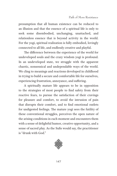presumption that all human existence can be reduced to an illusion and that the essence of a spiritual life is only to seek some disembodied, unchanging, unattached, and relationless essence that is beyond activity in the world. For the yogi, spiritual realization is fully embodied, lovingly connected to all life, and endlessly creative and playful.

The difference between the experience of the world for undeveloped souls and the crazy wisdom yogi is profound. In an undeveloped state, we struggle with the apparent chaotic, nonsensical and undependable ways of the world. We cling to meanings and reactions developed in childhood in trying to build a secure and comfortable life for ourselves, experiencing frustration, annoyance, and suffering.

A spiritually mature life appears to be in opposition to the strategies of most people to find safety from their reactive fears, to pursue the satisfaction of their cravings for pleasure and comfort, to avoid the intrusion of pain that disrupts their comfort, and to find emotional outlets for undigested feelings. The mature yogi sees the futility of these conventional struggles, perceives the open nature of the arising conditions in each moment and encounters them with a sense of delightful humor, creative opportunity, and a sense of sacred play. As the Sufis would say, the practitioner is "drunk with God."

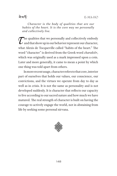### ৰ ম'ৰ্দ

*Character is the body of qualities that are our habits of the heart. It is the core way we personally and collectively live.*

 $\sum$  he qualities that we personally and collectively embody<br>and that show up in our behavior represent our character,<br>what Aleria de Teasuerille colled "behits of the beart". The and that show up in our behavior represent our character, what Alexis de Tocqueville called "habits of the heart." The word "character" is derived from the Greek word *charaktêr*, which was originally used as a mark impressed upon a coin. Later and more generally, it came to mean a point by which one thing was told apart from others.

In more recent usage, character refers to that core, interior part of ourselves that holds our values, our conscience, our convictions, and the virtues we operate from day to day as well as in crisis. It is not the same as personality and is not developed suddenly. It is character that reflects our capacity to live according to our sacred nature and how much we have matured. The real strength of character is built on having the courage to actively engage the world, not in abstaining from life by seeking some personal nirvana.

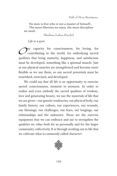No man is free who is not a master of himself… The more liberties we enjoy, the more discipline we need.

Abraham Joshua Heschel

*Life is a gym.*

Our capacity for consciousness, for loving, for<br>contributing to the world, for embodying sacred contributing to the world, for embodying sacred qualities that bring maturity, happiness, and satisfaction must be developed, something like a spiritual muscle. Just as our physical muscles are strengthened and become more flexible as we use them, so our sacred potentials must be nourished, exercised, and developed.

We could say that all life is an opportunity to exercise sacred consciousness, moment to moment. In order to realize and even embody the sacred qualities of wisdom, love and generating beauty, we use the materials of life that we are given—our genetic tendencies, our physical body, our family history, our culture, our experiences, our wounds, our blessings, our challenges, our fears, our longings, our relationships and the unknown. These are the exercise equipment that we can embrace and use to strengthen the qualities we value both for us personally and for the larger community collectively. It is through working out in life that we cultivate what is commonly called *character*.

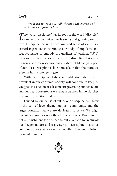### ৰ ম'ৰ্দ

*We learn to walk our talk through the exercise of discipline as a form of love.*

 $\sum$  he word "discipline" has its root in the word "disciple,"<br>
one who is committed to learning and growing out of<br>
lays Discipling derived from lays and sense of value is a one who is committed to learning and growing out of love. Discipline, derived from love and sense of value, is a critical ingredient in retraining our body of impulsive and reactive habits to embody the qualities of wisdom. "Will" gives us the juice to start our work. It is discipline that keeps us going and makes conscious creation of blessings a part of our lives. Discipline is like a muscle in that the more we exercise it, the stronger it gets.

Without discipline, habits and addictions that are so prevalent in our consumer society will continue to keep us wrapped in a cocoon of self-concern governing our behaviors and our heart postures as we remain trapped in the clutches of comfort, reaction, and fear.

Guided by our sense of value, our discipline can grow in the soil of love, divine support, community, and the larger contexts that we are dedicated to serve. We align our inner resources with the efforts of others. Discipline is not a punishment for our habits but a vehicle for realizing our deeper nature and a greater joy. Discipline makes us conscious actors as we seek to manifest love and wisdom moment to moment.

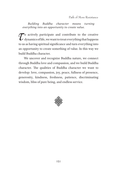*Building Buddha character means turning everything into an opportunity to create value.*

 $\mathcal{T}$ <sup>o</sup> actively participate and contribute to the creative<br>dynamics of life, we want to treat everything that happens<br>to us as having enigitivel significance and turn avanable girts. dynamics of life, we want to treat everything that happens to us as having spiritual significance and turn everything into an opportunity to create something of value. In this way we build Buddha character.

We uncover and recognize Buddha nature, we connect through Buddha love and compassion, and we build Buddha character. The qualities of Buddha character we want to develop: love, compassion, joy, peace, fullness of presence, generosity, kindness, freshness, patience, discriminating wisdom, bliss of pure being, and endless service.

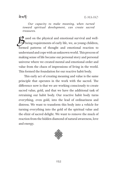ৰ ম'ৰ্দ

*Our capacity to make meaning, when turned toward spiritual development, can create sacred treasures.*

ased on the physical and emotional survival and well-<br>being requirements of early life, we, as young children, formed patterns of thought and emotional reaction to understand and cope with an unknown world. This process of making sense of life became our personal story and personal universe where we created mental and emotional order and value from the chaos of impressions of living in the world. This formed the foundation for our reactive habit body.

This early act of creating meaning and value is the same principle that operates in the work with the sacred. The difference now is that we are working consciously to create sacred value, gold, and that we have the additional task of retraining our habit body. Our reactive habit body turns everything, even gold, into the lead of ordinariness and distress. We want to transform this body into a vehicle for turning everything into the gold of the spiritual value and the elixir of sacred delight. We want to remove the muck of reaction from the hidden diamond of natural awareness, love and energy.

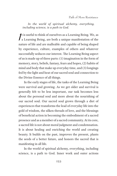*In the world of spiritual alchemy, everything, including science, is a path to God.*

 $\int$ t is useful to think of ourselves as a Learning Being. We, as a Learning Being, are both a unique manifestation of the nature of life and are malleable and capable of being shaped by experience, culture, examples of others and whatever successfully seduces our interest. The Learning Being aspect of us is made up of three parts: (1) imagination in the form of memory, story, beliefs, fantasy, fears and hopes, (2) habits of mind and body that make up everyday time, and (3) longings fed by the light and heat of our sacred soul and connection to the Divine Essence of all things.

In the early stages of life, the tasks of the Learning Being were survival and growing. As we get older and survival is generally felt to be less important, our task becomes less about the personal soul and more about the nourishing of our sacred soul. Our sacred soul grows through a diet of experiences that transforms the lead of everyday life into the gold of wisdom, the silken threads of love, and the blessings of beneficial action in becoming the embodiment of a sacred presence and as a member of a sacred community. At its core, a sacred life is not about moral judgment and condemnation. It is about healing and enriching the world and creating beauty. It builds on the past, improves the present, plants the seeds of a better future, and honors the sacred that is manifesting in all life.

In the world of spiritual alchemy, everything, including science, is a path to God. Inner work and outer actions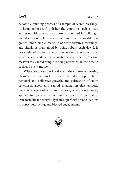

become a building process of a temple of sacred blessings. Alchemy refines and polishes the emotions such as hate and grief with love so that these can be used in building a sacred inner temple to serve the temple of the world. This golden inner temple, made up of heart postures, meanings, and rituals, is maintained by being rebuilt each day. It is not confined to one place or time as the material world is. It is portable and can be recreated at any time. In spiritual masters this sacred temple is being recreated all the time in each and every moment.

When conscious work is done in the context of creating blessings in the world, it can naturally support both personal and collective growth. The cultivation of states of consciousness and sacred imagination that embody increasing levels of wisdom and love, when continuously applied to living in a community, has the potential to transform life for everybody from superficial preoccupations to conscious, loving, and blessed engagement.

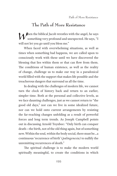## **The Path of More Resistance**

When the biblical Jacob wrestles with the angel, he says something very profound and unexpected. He says, "I will not let you go until you bless me."

When faced with overwhelming situations, as well as times when something bad happens, we are called upon to consciously work with these until we have discovered the blessing that lies within them or that can flow from them. The conditions of human existence, as well as the reality of change, challenge us to make our way in a paradoxical world filled with the support that makes life possible and the treacherous dangers that surround us all the time.

In dealing with the challenges of modern life, we cannot turn the clock of history back and return to an earlier, simpler time. Both at the personal and collective levels, as we face daunting challenges, just as we cannot return to "the good old days," nor can we live in some idealized future, nor can we hold onto current arrangements by resisting the far-reaching changes unfolding as a result of powerful forces and long term trends. As Joseph Campbell points out in discussing Arnold Toynbee: "Only birth can conquer death—the birth, not of the old thing again, but of something new. Within the soul, within the body social, there must be…a continuous 'recurrence of birth' (*palingenesia)* to nullify the unremitting recurrences of death."

The spiritual challenge is to make the modern world spiritually meaningful, to create the conditions in which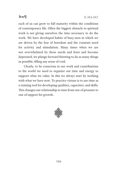

each of us can grow to full maturity within the conditions of contemporary life. Often the biggest obstacle to spiritual work is not giving ourselves the time necessary to do the work. We have developed habits of busy-ness in which we are driven by the fear of boredom and the constant need for activity and stimulation. Many times when we are not overwhelmed by these needs and fears and become depressed, we plunge forward thirsting to do as many things as possible, filling any sense of void.

Clearly, to be conscious in our work and contributions to the world we need to organize our time and energy to support what we value. In this we always start by working with what we have now. To practice virtues is to use time as a training tool for developing qualities, capacities, and skills. This changes our relationship to time from one of pressure to one of support for growth.

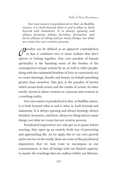*Our own nature is paradoxical in that, as Buddha nature, it is both beyond what is and is what is, both beyond and immanent. It is always opening and always forming; always formless, formative, and form; always no-thing and yet many things; not what we create but our creative process.*

**Paradox can be defined as an** *apparent* contradiction<br>in that it combines two or more realities that don't in that it combines two or more realities that don't *appear* to belong together. One core paradox of human spirituality is the haunting sense of the burden of the consequences of past actions by us, as well as other people, along with the existential freedom of *Now* to consciously act to create blessings, benefit and beauty on behalf something greater than ourselves. This gets at the paradox of *karma* which means both action and the results of action. In other words, *karma* is about creation as a process and creation as a resulting reality.

Our own nature is paradoxical in that, as Buddha nature, it is both beyond what is and is what is, both beyond and immanent. It is always opening and always forming; always formless, formative, and form; always no-thing and yet many things; not what we create but our creative process.

Paradoxical imperatives not only get us to pause before reacting, they open up an entirely fresh way of perceiving and approaching life. As we apply this to our own growth and to service in the world, these are some of the paradoxical imperatives that we may want to encompass in our consciousness: to free all beings with our limited capacity, to master the teachings that are endless within our lifetime,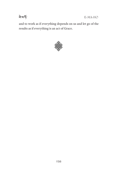

E-MA-HO

and to work as if everything depends on us and let go of the results as if everything is an act of Grace.

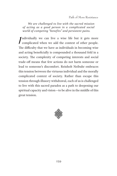*We are challenged to live with the sacred mission of acting as a good person in a complicated social world of competing "benefits" and persistent pains.*

|<br>ד ndividually we can live a wise life but it gets more complicated when we add the context of other people. The difficulty that we have as individuals in becoming wise and acting beneficially is compounded a thousand fold in a society. The complexity of competing interests and social trade-off means that few actions do not harm someone or lead to someone's discomfort. Reinholt Neibuhr embraces this tension between the virtuous individual and the morally complicated context of society. Rather than escape this tension through illusory withdrawal, each of us is challenged to live with this sacred paradox as a path to deepening our spiritual capacity and vision—to be alive in the middle of this great tension.

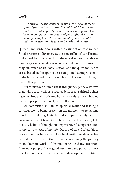ঐমর্দ্দ

*Spiritual work centers around the development of our "personal soul" into "Sacred Soul." The former relates to that capacity in us to learn and grow. The latter encompasses our potential for profound wisdom, encompassing love, the embodiment of sacred qualities and the creation of a legacy of benefit and beauty.*

I teach and write books with the assumption that we can<br>take responsibility to create blessings of benefit and beauty<br>in the world and can transform the world as we surrently see take responsibility to create blessings of benefit and beauty in the world and can transform the world as we currently see it into a glorious manifestation of a sacred vision. Philosophy, religion, much of art, social action, and the quest for justice are all based on the optimistic assumption that improvement in the human condition is possible and that we can all play a role in that process.

Yet thinkers and luminaries through the ages have known that, while great visions, great leaders, great spiritual beings have inspired and motivated humanity, this is not embodied by most people individually and collectively.

As committed as I am to spiritual work and leading a spiritual life, to being present in the moment, to remaining mindful, to relating lovingly and compassionately, and to creating a flow of benefit and beauty in each situation, I do not. My habits of thought and my reactive feelings are often in the driver's seat of my life. On top of this, I often fail to notice that they have taken the wheel until some damage has been done or I realize that I have been missing the journey as an alternate world of distraction seduced my attention. Like many people, I have good intentions and powerful ideas but they do not transform my life or develop the capacities I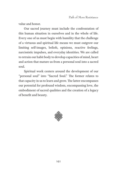value and honor.

Our sacred journey must include the confrontation of this human situation in ourselves and in the whole of life. Every one of us must begin with humility that the challenge of a virtuous and spiritual life means we must outgrow our limiting self-images, beliefs, opinions, reactive feelings, narcissistic impulses, and everyday identities. We are called to retrain our habit body to develop capacities of mind, heart and action that mature us from a personal soul into a sacred soul.

Spiritual work centers around the development of our "personal soul" into "Sacred Soul." The former relates to that capacity in us to learn and grow. The latter encompasses our potential for profound wisdom, encompassing love, the embodiment of sacred qualities and the creation of a legacy of benefit and beauty.

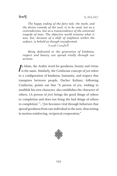ৰ ম'ৰ্দ

*The happy ending of the fairy tale, the myth, and the divine comedy of the soul, is to be read, not as a contradiction, but as a transcendence of the universal tragedy of man. The objective world remains what it was, but, because of a shift of emphasis within the subject, is beheld as though transformed.*

Joseph Campbell

*Being dedicated to the generation of kindness, respect and beauty can spread virally through our actions.*

 $\int$ n Islam, the Arabic word for goodness, beauty and virtue is the same. Similarly, the Confucian concept of *jen* refers to a configuration of kindness, humanity, and respect that transpires between people. Dacher Keltner, following Confucius, points out that "A person of *jen*, wishing to establish his own character, also establishes the character of others. (A person of *jen*) brings the good things of others to completion and does not bring the bad things of others to completion' "…"*Jen* becomes viral through behaviors that spread goodness from one individual to the next, thus setting in motion reinforcing, reciprocal cooperation."

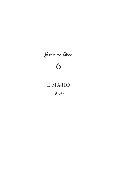# Born to Give **6**

# **E-MA-HO**

बेशर्क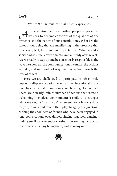### *We are the environment that others experience.*

As the environment that other people experience,<br>we seek to become conscious of the qualities of our<br>presence and the pature of our contributions. What are the we seek to become conscious of the qualities of our presence and the nature of our contributions. What are the states of our being that are manifesting in the presence that others see, feel, hear, and are impacted by? What would a social and spiritual environmental impact study of us reveal? Are we ready to step up and be consciously responsible in the ways we show up, the communications we make, the actions we take, and multitude of ways we interactively touch the lives of others?

Here we are challenged to participate in life entirely beyond self-preoccupation even as we intentionally use ourselves to create conditions of blessing for others. There are a nearly infinite number of actions that create a welcoming, beneficial environment: a smile to a stranger while walking, a "thank you" when someone holds a door for you, joining children in their play, hugging as a greeting, rubbing the shoulders of friends who have been engaged in long conversations over dinner, singing together, dancing, finding small ways to support others, decorating a space so that others can enjoy being there, and so many more.

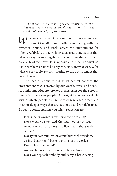*Kabbalah, the Jewish mystical tradition, teaches that what we say creates angels that go out into the world and have a life of their own.*

hat we say matters. Our communications are intended to direct the attention of others and, along with our presence, actions and work, create the environment for others. Kabbalah, the Jewish mystical tradition, teaches that what we say creates angels that go out into the world and have a life of their own. It is impossible to re-call an angel, so it is incumbent on us to be very conscious in what we say, for what we say is always contributing to the environment that we all live in.

The idea of etiquette has as its central concern the environment that is created by our words, dress, and deeds. At minimum, etiquette creates mechanisms for the smooth interaction between people. At best, it becomes a vehicle within which people can reliably engage each other and meet in deeper ways that are authentic and wholehearted. Etiquette considerations you might reflect on are:

Is this the environment you want to be making?

Does what you say and the way you say it really reflect the world you want to live in and share with others?

Does your communication contribute to the wisdom, caring, beauty, and better working of the world? Does it feed the sacred?

Are you being conscious or simply reactive? Does your speech embody and carry a basic caring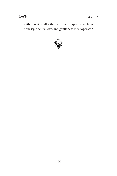within which all other virtues of speech such as honesty, fidelity, love, and gentleness must operate?

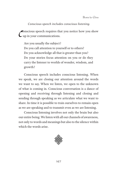*Conscious speech includes conscious listening.*

 $\mathcal{C}_{\mathcal{C}_{\mathcal{C}}}$ **P**onscious speech requires that you notice how you show up in your communications.

Are you usually the subject? Do you call attention to yourself or to others? Do you acknowledge all that is greater than you? Do your stories focus attention on you or do they carry the listener to worlds of wonder, wisdom, and growth?

Conscious speech includes conscious listening. When we speak, we are closing our attention around the words we want to say. When we listen, we open to the unknown of what is coming in. Conscious conversation is a dance of opening and receiving through listening and closing and sending through speaking as we articulate what we want to share. In time it is possible to train ourselves to remain open as we are speaking and to transmit even as we are listening.

Conscious listening involves not only the brain but also our entire being. We listen with all our channels of awareness, not only to words and meanings but also to the silence within which the words arise.

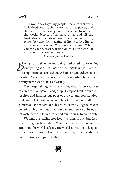ৰ ম'ৰ্দ

I would say to young people….be sure that every little deed counts, that every word has power, and that we can do—every one—our share to redeem the world despite of all absurdities and all the frustration and all disappointments. And above all, remember that the meaning of life is to live life as it if were a work of art. You're not a machine. When you are young, start working on this great work of art called your own existence.

Abraham Joshua Heschel

**2** eing fully alive means being dedicated to receiving everything as a blessing and creating blessings in return. Blessing means to strengthen. Whatever strengthens us is a blessing. When we act in ways that strengthen benefit and beauty in the world, it is a blessing.

Our deep calling, our fire within, what Robert Graves referred to as our genius and Joseph Campbell called our bliss, inspires and informs our path of growth and contribution. It defines that domain of our heart that is committed to a mission. It reflects our desire to create a legacy that is beneficial. It grows out of our fundamental sense of being an intimate part of a larger story and our impulse to contribute.

We find our calling not from working it out, but from uncovering our true intent. When we live with tremendous attention, the world calls us. The world sometimes whispers, sometimes shouts, what our mission is, what needs our contributions and participation.

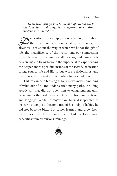*Dedication brings soul to life and life to our work, relationships, and play. It transforms tasks from burdens into sacred rites.*

dication is not simply about meaning; it is about<br>the shape we give our vitality, our energy of<br>elimoness It is about the way in which we happer the gift of the shape we give our vitality, our energy of aliveness. It is about the way in which we honor the gift of life, the magnificence of the world, and our connections to family, friends, community, all peoples, and nature. It is perceiving and living beyond the superficial to experiencing the deeper, more open dimensions of the sacred. Dedication brings soul to life and life to our work, relationships, and play. It transforms tasks from burdens into sacred rites.

Failure can be a blessing as long as we make something of value out of it. The Buddha tried many paths, including asceticism, that did not open him to enlightenment until he sat under the Bodhi tree and faced all his demons, fears, and longings. While he might have been disappointed at his early attempts to become free of his body of habits, he did not become bitter but rather learned and grew from the experiences. He also knew that he had developed great capacities from his various trainings.

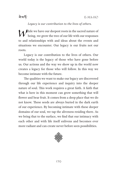

### *Legacy is our contribution to the lives of others.*

 $\bigwedge \hspace{-3.35cm} \bigwedge \hspace{-3.3cm} \begin{array}{l} \text{hile we have our deepest roots in the sacred nature of} \end{array}$ being, we grow the tree of our life with our responses to and relationships with and ideas about the events and situations we encounter. Our legacy is our fruits not our roots.

Legacy is our contribution to the lives of others. Our world today is the legacy of those who have gone before us. Our actions and the way we show up in the world now creates a legacy for those who will follow. In this way we become intimate with the future.

The qualities we want to make our legacy are discovered through our life experience and inquiry into the deeper nature of soul. This work requires a great faith. A faith that what is here in this moment can grow something that will flower and bear fruit. It comes from a deep place that we do not know. These seeds are always buried in the dark earth of our experience. By becoming intimate with these deeper domains of our soul, we tap the aliveness residing there. As we bring that to the surface, we find that our intimacy with each other and with life itself enlivens and becomes ever more radiant and can create never before seen possibilities.

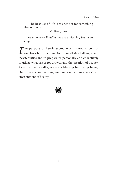The best use of life is to spend it for something that outlasts it.

William James

*As a creative Buddha, we are a blessing bestowing being.*

 $\mathcal{T}$  he purpose of heroic sacred work is not to control<br>our lives but to submit to life in all its challenges and<br>inovitabilities and to propage us personally and collectively. our lives but to submit to life in all its challenges and inevitabilities and to prepare us personally and collectively to utilize what arises for growth and the creation of beauty. As a creative Buddha, we are a blessing bestowing being. Our presence, our actions, and our connections generate an environment of beauty.

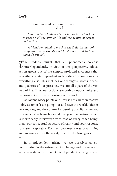ঐমর্দ্দ

#### To save one soul is to save the world. Talmud

*Our greatest challenge is not immortality but how to pass on all the gifts of life and the beauty of sacred realization.*

*A friend remarked to me that the Dalai Lama took compassion so seriously that he did not need to take himself seriously.*

 $\tau$  he Buddha taught that all phenomena co-arise<br>interdependently. In view of this perspective, ethical<br>action groups out of the simple profound surveyers that interdependently. In view of this perspective, ethical action grows out of the simple, profound awareness that everything is interdependent and creating the conditions for everything else. This includes our thoughts, words, deeds, and qualities of our presence. We are all a part of the vast web of life. Thus, our actions are both an opportunity and responsibility to create blessings in the world.

As Joanna Macy points out, "this is not a burden that we nobly assume: 'I am going out and save the world.' That is very tedious, and the context for burning out. But when you experience it as being liberated into your true nature, which is inextricably interwoven with that of every other being, then your conceptual structure of reality and your response to it are inseparable. Each act becomes a way of affirming and knowing afresh the reality that the doctrine gives form to."

In interdependent arising we see ourselves as cocontributing in the existence of all beings and in the world we co-create with them. (Interdependent arising is also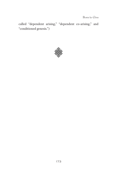Born to Give

called "dependent arising," "dependent co-arising," and "conditioned genesis.")

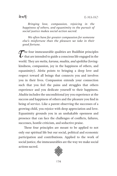ঐমর্দ্দ

*Bringing love, compassion, rejoicing in the happiness of others, and equanimity to the pursuit of social justice makes social action sacred.*

*We often have far greater compassion for someone else's misfortune than the pleasure we take in their good fortune.*

 $\sum$  he four immeasurable qualities are Buddhist principles<br>that are intended to guide a conscious life engaged in the<br>usual They are watte, having mudits, and utablist (leving that are intended to guide a conscious life engaged in the world. They are *metta, karuna, mudita, and upekkha* (lovingkindness, compassion, joy in the happiness of others, and equanimity). *Metta* points to bringing a deep love and respect toward all beings that connects you and involves you in their lives. Compassion extends your connection such that you feel the pains and struggles that others experience and you dedicate yourself to their happiness. *Mudita* includes the unconditional joy you experience at the success and happiness of others and the pleasure you find in being of service. Like a parent observing the successes of a growing child, you rejoice with deep appreciation and love. Equanimity grounds you in an unshakable openness and presence that can face the challenges of conflicts, failures, successes, hostile criticism, and seductive praise.

These four principles are meant to be applied to not only our spiritual life but our social, political and economic participation and contributions. Applied to the work of social justice, the immeasurables are the way we make social actions sacred.

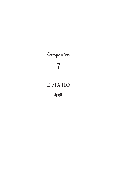# Compassion **7**

## **E-MA-HO**

<sup>ৰ ম</sup>ৰ্ক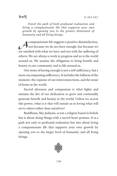*Travel the path of both profound realization and living a compassionate life that supports your own growth by opening you to the greater dimension of humanity and all living beings.*

compassionate life suggests a positive dissatisfaction,<br>not because we do not have enough, but because we<br>are estisfed with what we have and not with the suffering of not because we do not have enough, but because we are satisfied with what we have and not with the suffering of others. We are always a work in progress and so is the world around us. We assume the obligation to bring benefit and beauty to our community and to life around us.

Our sense of having enough is not a self-sufficiency, but a more encompassing sufficiency. It includes the fullness of the moment, the expanse of our interconnections, and the sense of home in the world.

Sacred aliveness and compassion is what lights and sustains the fire of our dedication to grow and continually generate benefit and beauty in the world. Unless we access this power, what is it that will sustain us in loving what will serve others rather than ourselves?

Buddhism, like Judaism, is not a religion based in beliefs but is about doing things with a sacred heart posture. It is a path not only to profound realization but also about living a compassionate life that supports your own growth by opening you to the larger level of humanity and all living beings.

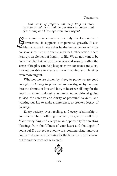*Our sense of fragility can help keep us more conscious and alert, making our drive to create a life of meaning and blessings even more urgent.*

Example more conscious not only develops states of<br>awareness, it supports our personal growth. It also awareness, it supports our personal growth. It also enables us to act in ways that further enhance not only our consciousness, but also our capacity for further action. There is always an element of fragility to life. We do not want to be consumed by that fact and live in fear and anxiety. Rather the sense of fragility can help keep us more conscious and alert, making our drive to create a life of meaning and blessings even more urgent.

Whether we are driven by *doing* to prove we are good enough, by *having* to prove we are worthy, or by *merging* into the dramas of love and loss, at heart we all long for the depth of sacred belonging as *home*, unconditional giving as *love*, the serenity and clarity of profound *wisdom*, and wanting our life to make a difference, to create a legacy of *blessings*.

Every activity, every feeling, and every relationship in your life can be an offering in which you give yourself fully. Make everything and everyone an opportunity for creating blessings from the fullness of your heart and the depth of your soul. Do not reduce your work, your marriage, and your family to dramatic substitutes for the bliss that is at the heart of life and the core of the Sacred.

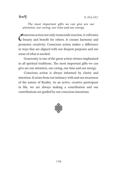*The most important gifts we can give are our attention, our caring, our time and our energy.*

 $\mathcal{C}$ onscious action not only transcends reaction, it cultivates beauty and benefit for others. It creates harmony and promotes creativity. Conscious action makes a difference in ways that are aligned with our deepest purposes and our sense of what is needed.

Generosity is one of the great action virtues emphasized in all spiritual traditions. The most important gifts we can give are our attention, our caring, our time and our energy.

Conscious action is always informed by clarity and intention. It arises from our intimacy with and our awareness of the nature of Reality. As an active, creative participant in life, we are always making a contribution and our contributions are guided by our conscious intentions.

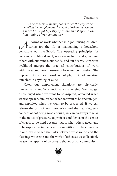*To be conscious in our jobs is to see the way we can beneficially complement the work of others in weaving a more beautiful tapestry of colors and shapes in the functioning of our community.*

All forms of work whether in a job, raising children,<br>caring for the ill, or maintaining a household caring for the ill, or maintaining a household constitute our livelihood. The operating principles for conscious livelihood are 1) not causing harm and 2) helping others with our minds, our hands, and our hearts. Conscious livelihood merges the practical contributions of work with the sacred heart posture of love and compassion. The opposite of conscious work is not play, but not investing ourselves in anything of value.

Often our employment situations are physically, intellectually, and/or emotionally challenging. We may get discouraged when we want to be inspired, offended when we want peace, diminished when we want to be encouraged, and exploited when we want to be respected. If we can release the grip of fear, insecurity, and the haunting selfconcern of not being good enough, we can find ways to relax in the midst of pressure, to project confidence in the center of chaos, to be kind because that is what others need, and to be supportive in the face of competition. To be conscious in our jobs is to see the links between what we do and the blessings we create and the work of others as we collectively weave the tapestry of colors and shapes of our community.

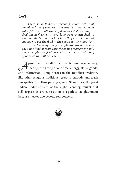ৰ ম'ৰ্দ

*There is a Buddhist teaching about hell that imagines hungry people sitting around a great banquet table filled with all kinds of delicious dishes trying to feed themselves with very long spoons attached to their hands. Not matter how hard they try, they cannot manage to get the food in the spoon to their mouths.*

*In the heavenly image, people are sitting around the same kind of table with the same predicament only these people are feeding each other with their long spoons so that all can eat.*

**A** prominent Buddhist virtue is *dana*—generosity,<br>sharing, the giving of our time, energy, skills, goods, sharing, the giving of our time, energy, skills, goods, and information. Many heroes in the Buddhist tradition, like other religious traditions, grew to embody and teach this quality of self-surpassing giving. Shantideva, the great Indian Buddhist saint of the eighth century, taught that self-surpassing service to others is a path to enlightenment because it takes one beyond self-concern.

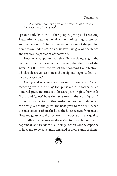*At a basic level, we give our presence and receive the presence of the world.*

 $\int$ n our daily lives with other people, giving and receiving attention creates an environment of caring, presence, and connection. Giving and receiving is one of the guiding practices in Buddhism. At a basic level, we give our presence and receive the presence of the world.

Heschel also points out that "in receiving a gift the recipient obtains, besides the present, also the love of the giver. A gift is thus the vessel that contains the affection, which is destroyed as soon as the recipient begins to look on it as a possession."

Giving and receiving are two sides of one coin. When receiving we are hosting the presence of another as an honored guest. In terms of Indo-European origins, the words "host" and "guest" have the same root in the word "ghosti." From the perspective of this wisdom of inseparability, when the host gives to the guest, the host gives to the host. When the guest receives from the host, the host receives from guest. Host and guest actually host each other. One primary quality of a Bodhisattva, someone dedicated to the enlightenment, happiness, and freedom of all beings, centers on the capacity to host and to be constantly engaged in giving and receiving.

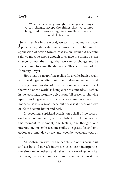We must be strong enough to change the things we can change, accept the things that we cannot change and be wise enough to know the difference. Reinhold Niebuhr

 $\int$ n our service in the world, we want to maintain a sober perspective, dedicated to a vision and viable in the application of action toward that vision. Reinhold Niebuhr said we must be strong enough to change the things we can change, accept the things that we cannot change and be wise enough to know the difference. This is the basis of the "Serenity Prayer".

Hope may be an uplifting feeling for awhile, but it usually has the danger of disappointment, discouragement, and wearing us out. We do not need to see ourselves as saviors of the world or the world as being close to some ideal. Rather, in the teachings, the gift we give is our full presence, showing up and working to expand our capacity to embrace the world, not because it is in good shape but because it needs our love of life to become better and heal.

In becoming a spiritual activist on behalf of the sacred, on behalf of humanity, and on behalf of all life, we do this moment to moment, one feeling, one thought, one interaction, one embrace, one smile, one gratitude, and one action at a time, day by day and week by week and year by year.

As bodhisattvas we see the people and needs around us and act beyond our self-interest. Our concern incorporates the situation of others and takes the form of generosity, kindness, patience, support, and genuine interest. In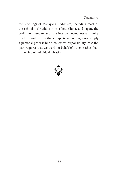Compassion

the teachings of Mahayana Buddhism, including most of the schools of Buddhism in Tibet, China, and Japan, the bodhisattva understands the interconnectedness and unity of all life and realizes that complete awakening is not simply a personal process but a collective responsibility, that the path requires that we work on behalf of others rather than some kind of individual salvation.

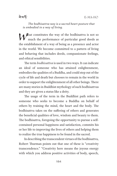ৰ ম'ৰ্দ

*The bodhisattva way is a sacred heart posture that is embodied in a way of living.*

W hat constitutes the way of the bodhisattva is not so<br>much the performance of particular good deeds as much the performance of particular good deeds as the establishment of a way of being as a presence and actor in the world. We become committed to a pattern of living and behaving that includes deeds, compassionate feelings, and ethical sensibilities.

The term *bodhisattva* is used in two ways. It can indicate an ideal of someone who has attained enlightenment, embodies the qualities of a Buddha, and could step out of the cycle of life and death but chooses to remain in the world in order to support the enlightenment of all other beings. There are many stories in Buddhist mythology of such bodhisattvas and they are given a status like a deity.

The usage of the term in the Buddhist path refers to someone who seeks to become a Buddha on behalf of others by training the mind, the heart and the body. The bodhisattva takes on the suffering of others and generates the beneficial qualities of love, wisdom and beauty to them. The bodhisattva, foregoing the opportunity to pursue a selfcontained personal happiness and satisfaction, commits his or her life to improving the lives of others and helping them to realize the true happiness to be found in the sacred.

In describing the transcendent virtues of the bodhisattva, Robert Thurman points out that one of these is "creativity transcendence." "Creativity here means the joyous energy with which you address positive activities of body, speech,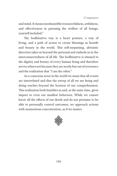and mind. It means inexhaustible resourcefulness, artfulness, and effectiveness in pursuing the welfare of all beings, yourself included."

The bodhisattva way is a heart posture, a way of living, and a path of action to create blessings as benefit and beauty in the world. This self-surpassing, altruistic direction takes us beyond the personal and embeds us in the interconnectedness of all life. The bodhisattva is attuned to the dignity and beauty of every human being and therefore serves others not because they are needy but out of reverence and the realization that "I am the other."

As a conscious actor in the world we sense that all events are interrelated and that the sweep of all we are being and doing reaches beyond the horizon of our comprehension. This realization both humbles us and, at the same time, gives import to even our smallest behaviors. While we cannot know all the effects of our deeds and do not presume to be able to personally control outcomes, we approach actions with momentous concentration, as if we matter.

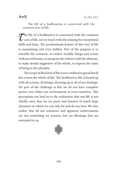### ৰ ম'ৰ্দ

*The life of a bodhisattva is concerned with the common acts of life.*

 $\sum$  he life of a bodhisattva is concerned with the common<br>acts of life, not so much with the training for exceptional<br>akilla and feats. The prodominant feature of this way of life acts of life, not so much with the training for exceptional skills and feats. The predominant feature of this way of life is unassuming and even hidden. Part of the purpose is to ennoble the common, to endow worldly things and events with sacred beauty, to integrate the relative with the ultimate, to make details suggestive of the whole, to express the unity of being in the plurality.

The scope of this kind of life is not confined to good deeds but covers the whole of life. The bodhisattva life is bound up with all actions, all doings, showing up in all of our dealings. Yet part of the challenge is that we do not have complete power over either our environment or even ourselves. This perception can lead us to the realization that our life is not wholly ours, that we are parts and features of much large dynamics in which we can only be and do our best. We also realize that all our resources and apparent achievements are not something we possess, but are blessings that are entrusted to us.

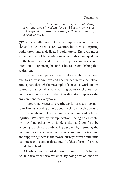*The dedicated person, even before embodying great qualities of wisdom, love and beauty, generates a beneficial atmosphere through their example of conscious work.*

There is a difference between an aspiring sacred warrior<br>and a dedicated sacred warrior, between an aspiring<br>hadhierty and a dedicated hadhierty. The conjunt is and a dedicated sacred warrior, between an aspiring bodhisattva and a dedicated bodhisattva. The aspirant is someone who holds the intention to embody sacred qualities for the benefit of all and the dedicated person moves beyond intention to organizing his or her life to accomplishing that aspiration.

The dedicated person, even before embodying great qualities of wisdom, love and beauty, generates a beneficial atmosphere through their example of conscious work. In this sense, no matter what your starting point on the journey, your continuous effort in the right direction improves the environment for everybody.

There are many ways to serve the world. It is also important to realize that serving others does not simply revolve around material needs and relief from social, economic and political injustice. We serve by exemplification—being an example, by providing others with food, shelter and comfort, by listening to their story and sharing our own, by improving the communities and environments we share, and by teaching and supporting them in their own journeys toward authentic happiness and sacred realization. All of these forms of service should be valued.

Clearly service is not determined simply by "what we do" but also by the way we do it. By doing acts of kindness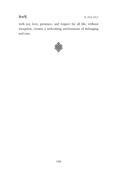

E-MA-HO

with joy, love, presence, and respect for all life, without exception, creates a welcoming environment of belonging and care.

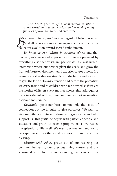Compassion

*The heart posture of a bodhisattva is like a sacred world-embracing warrior mother having many qualities of love, wisdom, and creativity.*

y developing *equanimity* we regard all beings as equal<br>and all events as simply passing moments in time in our<br>alloctive evolution toward seemed embodiment and all events as simply passing moments in time in our collective evolution toward sacred embodiment.

By *knowing our infinite interconnectedness* and that our very existence and experiences in life are parented by everything else that exists, we participate in a vast web of interaction where our actions plant the seeds and grow the fruits of future environments and experiences for others. In a sense, we realize that we give birth to the future and we want to give the kind of loving attention and care to the potentials we carry inside and to children we have birthed as if we are the mother of life. As every mother knows, this task requires daily investment of love, time and energy, not to mention patience and stamina.

*Gratitude* opens our heart to not only the sense of connection but the impulse to give ourselves. We want to give something in return to those who gave us life and who support us. This gratitude begins with particular people and situations and grows to cosmic proportions as we realize the splendor of life itself. We want our freedom and joy to be experienced by others and we seek to pass on all our blessings.

*Identity with others* grows out of our realizing our common humanity, our precious living nature, and our sharing desires. In this understanding, we can see our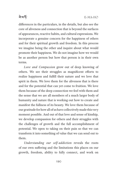

differences in the particulars, in the details, but also see the core of aliveness and connection that is beyond the surfaces of appearances, reactive habits, and cultural expressions. We incorporate a genuine concern for the happiness of others and for their spiritual growth and freedom. In this process we imagine being the other and inquire about what would promote their happiness. We do not imagine how we would be as another person but how that person is in their own terms.

*Love and Compassion* grow out of deep knowing of others. We see their struggles as magnificent efforts to realize happiness and fulfill their nature and we love that spirit in them. We love them for the aliveness that is there and for the potential that can yet come to fruition. We love them because of the deep connection we feel with them and the sense that we are all members of a much larger body of humanity and nature that is working out how to create and manifest the fullness of its beauty. We love them because of our gratitude for how all of us have collectively made this very moment possible. And out of that love and sense of kinship, we develop compassion for others and their struggles with the challenges of growth and the full accomplishment of potential. We open to taking on their pain so that we can transform it into something of value that we can send out to them.

*Understanding our self-addiction* reveals the roots of our own suffering and the limitations this places on our growth, freedom, ability to fully connect, and work on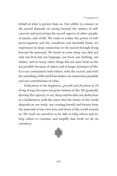#### Compassion

behalf of what is greater than us. Our ability to connect to the sacred depends on seeing beyond the surface of selfconcern and perceiving the sacred aspects of other people, of nature, and of life. We come to realize the prison of selfpreoccupation and the wondrous and beautiful home we experience in deep connection to the sacred through living beyond the personal. We know in some deep way that not only our lives but our language, our food, our clothing, our shelter, and so many other things did not arise from us but are possible because of others and of larger dynamics of life. It is our communion with others, with the sacred, and with the unfolding of life itself that makes our maturation possible and our contributions of value.

*Dedication to the happiness, growth and freedom of all living beings* becomes our great mission in life. We gradually develop the capacity to eat, sleep and breathe our dedication as a bodhisattva with the sense that the future of the world depends on our work, our creating benefit and beauty from the materials of our own lives and those of the world around us. We work on ourselves to be able to help others and we help others to continue and amplify that work we do on ourselves.

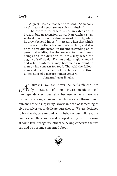ৰ ম'ৰ্দ

A great Hasidic teacher once said, "Somebody else's material needs are my spiritual duties."

The concern for others is not an extension in breadth but an ascension, a rise. Man reaches a new vertical dimension, the dimension of the holy, when he grows beyond his self-interests, when that which of interest to others becomes vital to him, and it is only in this dimension, in the understanding of its perennial validity, that the concern for other human beings and the devotion to ideals may reach the degree of self-denial. Distant ends, religious, moral and artistic interests, may become as relevant to man as his concern for food. The self, the fellowman and the dimension of the holy are the three dimensions of a mature human concern.

Abraham Joshua Heschel

s humans, we can never be self-sufficient, not<br>
only because of our interconnections and **Tonly** because of our interconnections interdependencies, but also because of what we are instinctually designed to give. While a rock is self-sustaining, humans are self-surpassing, always in need of something to give ourselves to, to dedicate ourselves to. We are designed to bond with, care for and act in behalf of our children, our families, and those we have developed caring for. This caring at some level recognizes others as having concerns that we can and do become concerned about.

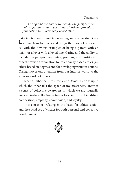*Caring and the ability to include the perspectives, pains, passions, and positions of others provide a foundation for relationally-based ethics.*

 $\mathcal C$  $\mathcal$ aring is a way of making meaning and connecting. Care connects us to others and brings the sense of other into us, with the obvious examples of being a parent with an infant or a lover with a loved one. Caring and the ability to include the perspectives, pains, passions, and positions of others provide a foundation for relationally-based ethics (vs. ethics based on dogma) and for developing virtuous actions. Caring moves our attention from our interior world to the exterior world of others.

Martin Buber calls this the *I* and *Thou* relationship in which the other fills the space of my awareness. There is a sense of collective awareness in which we are mutually engaged in the collective virtues of love, intimacy, friendship, compassion, empathy, communion, and loyalty.

This conscious relating is the basis for ethical action and the social use of virtues for both personal and collective development.

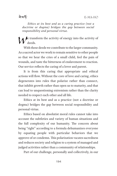*Ethics at its best and as a caring practice (not a doctrine or dogma) bridges the gap between social responsibility and personal virtue.*

 $\triangle$   $\blacktriangleright$  e transform the activity of energy into the activity of deeds.

With these deeds we contribute to the larger community. As a sacred actor we work to remain sensitive to other people so that we hear the cries of a small child, feel the pain of wounds, and taste the bitterness of enslavement to reaction. Our service reflects the caring of a lover and parent.

It is from this caring that appropriate and ethical actions will flow. Without the core of love and caring, ethics degenerates into rules that polarize rather than connect, that inhibit growth rather than open us to maturity, and that can lead to unquestioning extremism rather than the clarity needed to respect each other and all life.

Ethics at its best and as a practice (not a doctrine or dogma) bridges the gap between social responsibility and personal virtue.

Ethics based on absolutist moral rules cannot take into account the subtleties and variety of human situations and the full complexity of our humanity. The concern about being "right" according to a formula dehumanizes everyone by equating people with particular behaviors that we approve of or condemn. This polarization vacates sacredness and reduces society and religion to a system of managed and judged activities rather than a community of relationships.

Part of our challenge, personally and collectively, in our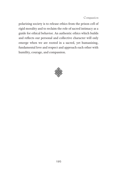Compassion

polarizing society is to release ethics from the prison cell of rigid morality and to reclaim the role of sacred intimacy as a guide for ethical behavior. An authentic ethics which builds and reflects our personal and collective character will only emerge when we are rooted in a sacred, yet humanizing, fundamental love and respect and approach each other with humility, courage, and compassion.

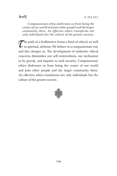*Compassionate ethics dethrones us from being the center of our world and puts other people and the larger community there. An effective ethics transforms not only individuals but the culture of the greater society.*

 $\mathcal{T}$ he path of a bodhisattva forms a kind of ethical, as well<br>as spiritual, alchemy. We behave in a compassionate way<br>and this abances us. The development of sutherize sthical as spiritual, alchemy. We behave in a compassionate way and this changes us. The development of authentic ethical concerns diminishes our self-centeredness, our inclination to be greedy, and impulse to seek security. Compassionate ethics dethrones us from being the center of our world and puts other people and the larger community there. An effective ethics transforms not only individuals but the culture of the greater society.

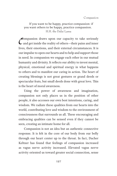If you want to be happy, practice compassion: if you want others to be happy, practice compassion. H.H. the Dalai Lama

 $\mathcal C$ ompassion draws upon our capacity to take seriously and get inside the reality of others—their pains and inner lives, their emotions, and their external circumstances. It is our impulse to open our hearts and to help and support those in need. In compassion we engage each other in our mutual humanity and divinity. It reflects our ability to invest mental, physical, emotional and spiritual energy in what happens to others and to manifest our caring in action. The heart of creating blessings is not great gestures or grand deeds or spectacular feats, but small deeds done with great love. This is the heart of moral awareness.

Using the power of awareness and imagination, compassion not only places us in the position of other people, it also accesses our own best intentions, caring, and wisdom. We radiate these qualities from our hearts into the world, contributing love and wisdom to the environment of consciousness that surrounds us all. These encouraging and embracing qualities can be sensed even if they cannot be seen, creating an intimate home for all.

Compassion is not an idea but an authentic connective response. It is felt in the core of our body from our belly through our heart center up to the throat. In fact, Dacher Keltner has found that feelings of compassion increased as vagus nerve activity increased. Elevated vagus nerve activity oriented us toward greater social connection, sense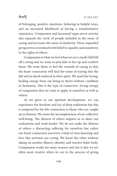### <u>ৰামৰ্দ</u>

of belonging, positive emotions, behaving in helpful ways, and an increased likelihood of having a transformative experience. Compassion and increased vagus nerve activity also expands the circle of people included in the sense of caring and increases the sense of similarity. These expanded perspectives correlated with belief in equality and sensitivity to the rights of others.

Compassion is what we feel when we see a small child fall off a swing and we want to pick him or her up and comfort them. We want them to feel the warmth of caring so that the heart connection will heal the sense of tearing that the fall and its shock induced in their spirit. We send the loving, healing energy from our being to theirs without condition or hesitation. This is the type of connective, loving energy of compassion that we want to apply to ourselves as well as others.

As we grow in our spiritual development, we can experience the freedom and joy of deep realization but this is tempered by the felt connection to those who are caught up in distress. We sense the incompleteness of our collective well-being. The distress of others inspires us to share our realizations and work harder. We do not make the distress of others a distracting suffering for ourselves but rather our heart connection uncovers a kind of wise knowing and love that activates our caring. We know the other without taking on another illusory identity and reactive habit body. Compassion works for many reasons and one is that we are often most creative when we are in the process of giving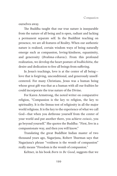ourselves away.

The Buddha taught that our true nature is inseparable from the nature of all being and is open, radiant and lacking a permanent separate self. In the Buddhist teaching on presence, we are all features of Reality. When our authentic nature is realized, certain wisdom ways of being naturally emerge such as compassion, loving-kindness, equanimity, and generosity (*Brahma-viharas*). From this profound realization, we develop the heart posture of *bodhichitta*, the desire and dedication to free all beings from suffering.

In Jesus's teachings, love is at the center of all being love that is forgiving, unconditional, and generously unselfcentered. For many Christians, Jesus was a human being whose great gift was that as a human with all our frailties he could incorporate the true nature of the Divine.

For Karen Armstrong, the noted writer on comparative religion, "Compassion is the key to religion, the key to spirituality. It is the litmus test of religiosity in all the major world religions. It is the key to the experience of what we call God—that when you dethrone yourself from the center of your world and put another there, you achieve *extasis*, you go beyond yourself." She quotes the Buddha: "First, live in a compassionate way, and then you will know."

Translating the great Buddhist Indian master of two thousand years ago, Nagarjuna, Robert Thurman says that Nagarjuna's phrase "voidness is the womb of compassion" really means "Freedom is the womb of compassion."

Keltner, in his book *Born to Be Good*, suggests that we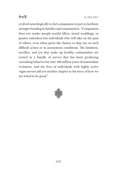

evolved neurologically to feel compassion in part to facilitate stronger bonding in families and communities. "Compassion does not render people tearful idlers, moral weaklings, or passive onlookers but individuals who will take on the pain of others, even when given the chance to skip out on such difficult action or in anonymous conditions. The kindness, sacrifice, and *jen* that make up healthy communities are rooted in a bundle of nerves that has been producing caretaking behavior for over 100 million years of mammalian evolution. And the lives of individuals with highly active vagus nerves add yet another chapter to the story of how we are wired to be good."

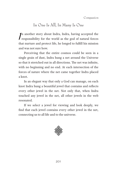Compassion

### In One Is All, In Many Is One

 $\int$ n another story about Indra, Indra, having accepted the responsibility for the world as the god of natural forces that nurture and protect life, he longed to fulfill his mission and was not sure how.

Perceiving that the entire cosmos could be seen in a single grain of dust, Indra hung a net around the Universe so that it stretched out in all directions. The net was infinite, with no beginning and no end. At each intersection of the forces of nature where the net came together Indra placed a knot.

In an elegant way that only a God can manage, on each knot Indra hung a beautiful jewel that contains and reflects every other jewel in the net. Not only that, when Indra touched any jewel in the net, all other jewels in the web resonated.

If we select a jewel for viewing and look deeply, we find that each jewel contains every other jewel in the net, connecting us to all life and to the universe.

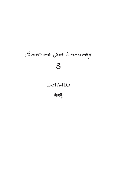# Sacred and Just Community **8**

## **E-MA-HO**

बे'राई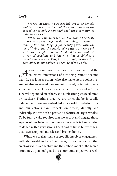*We realize that, in a sacred life, creating benefit and beauty is collective and the embodiment of the sacred is not only a personal goal but a community objective as well.*

*What we can do when we live whole-heartedly is lose ourselves deep inside our doing, traveling a road of love and longing for beauty paved with the joy of living and the music of creation. As we work with other people, shoulder to shoulder, we establish a way of speaking and knowing that establishes a corridor between us. This, in turn, amplifies the art of possibility in our collective shaping of the world.*

As we become more conscious, we discover that the<br>collective dimensions of our being cannot become collective dimensions of our being cannot become truly free as long as others, who also make up the collective, are not also awakened. We are not isolated, self-arising, selfsufficient beings. Our existence came from a social act, our survival depended on others, and our learning was facilitated by teachers. Nothing that we are or could be is totally independent. We are embedded in a world of relationships and our actions have impacts on others, directly and indirectly. We are both a part and a feature of larger wholes. To be fully awake requires that we accept and engage those aspects of our being and of life. Otherwise it is like wanting to dance with a very strong heart and fit lungs but with legs that have atrophied muscles and broken bones.

When we realize that a sacred life involves engagement with the world in beneficial ways, it becomes clear that creating value is collective and the embodiment of the sacred is not only a personal goal but a community objective as well.

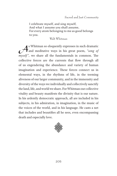I celebrate myself, and sing myself, And what I assume you shall assume, For every atom belonging to me as good belongs to you.

#### Walt Whitman

As Whitman so eloquently expresses in such dramatic<br>and meditative ways in his great poem, "song of and meditative ways in his great poem, *"song of myself"*, we share all the fundamentals in common. The collective forces are the currents that flow through all of us engendering the abundance and variety of human imagination and experience. These forces connect us in elemental ways, in the rhythms of life, in the teeming aliveness of our larger community, and in the immensity and diversity of the ways we individually and collectively sanctify the land, life, and world we share. For Whitman our collective vitality and beauty manifests the divinity that is our nature. In his ardently democratic approach, all are included in his subjects, in his admiration, in imagination, in the music of the voices of the world, and in his language. He casts a net that includes and beautifies all he sees, even encompassing death and especially love.

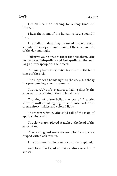<u>ৰামৰ্দ</u>

I think I will do nothing for a long time but listen,…

I hear the sound of the human voice….a sound I love,

I hear all sounds as they are tuned to their uses…. sounds of the city and sounds out of the city….sounds of the day and night;

Talkative young ones to those that like them….the recitative of fish-pedlars and fruit-pedlars….the loud laugh of workpeople at their meals,

The angry base of disjointed friendship….the faint tones of the sick,

The judge with hands tight to the desk, his shaky lips pronouncing a death-sentence,

The heave'e'yo of stevedores unlading ships by the wharves….the refrain of the anchor-lifters;

The ring of alarm-bells….the cry of fire….the whirr of swift-streaking engines and hose-carts with premonitory tinkles and colored lights,

The steam-whistle….the solid roll of the train of approaching cars;

The slow-march played at night at the head of the association,

They go to guard some corpse….the flag-tops are draped with black muslin.

I hear the violincello or man's heart's complaint,

And hear the keyed cornet or else the echo of sunset.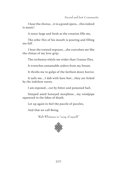I hear the chorus….it is a grand opera….this indeed is music!

A tenor large and fresh as the creation fills me,

The orbic flex of his mouth is pouring and filling me full.

I hear the trained soprano….she convulses me like the climax of my love-grip;

The orchestra whirls me wider than Uranus flies,

It wrenches unnamable ardors from my breast,

It throbs me to gulps of the farthest down horror,

It sails me….I dab with bare feet….they are licked by the indolent waves,

I am exposed….cut by bitter and poisoned hail,

Steeped amid honeyed morphine….my windpipe squeezed in the fakes of death,

Let up again to feel the puzzle of puzzles,

And that we call Being.

Walt Whitman in "song of myself*"*

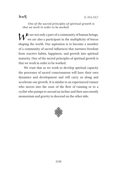ৰ ম'ৰ্দ

*One of the sacred principles of spiritual growth is that we work in order to be worked.*

We are not only a part of a community of human beings, we are also a participant in the multiplicity of forces shaping the world. Our aspiration is to become a member of a community of sacred influences that nurtures freedom from reactive habits, happiness, and growth into spiritual maturity. One of the sacred principles of spiritual growth is that we work in order to be worked.

We trust that as we work to develop spiritual capacity the processes of sacred consciousness will have their own dynamics and development and will carry us along and accelerate our growth. It is similar to an experienced runner who moves into the zone of the flow of running or to a cyclist who pumps to ascend an incline and then uses mostly momentum and gravity to descend on the other side.

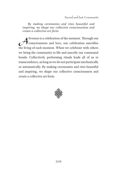*By making ceremonies and rites beautiful and inspiring, we shape our collective consciousness and create a collective art form.*

Aliveness is a celebration of the moment. Through our<br>consciousness and love, our celebration sanctifies<br>the living of each moment. When we celebrate with others consciousness and love, our celebration sanctifies the living of each moment. When we celebrate with others we bring the community to life and sanctify our communal bonds. Collectively performing rituals leads all of us to transcendence, as long as we do not participate mechanically or automatically. By making ceremonies and rites beautiful and inspiring, we shape our collective consciousness and create a collective art form.

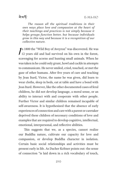<u>ৰে'ক্ষ'</u>

*The reason all the spiritual traditions in their own ways place love and compassion at the heart of their teachings and practices is not simply because it helps groups function better, but because individuals grow in this way and because it is a recognition of our collective nature.*

|<br>C n 1800 the "Wild Boy of Aveyron" was discovered. He was 12 years old and had survived on his own in the forest, scavenging for acorns and hunting small animals. When he was taken in he could only grunt, howl and cackle in attempts to communicate. He never smiled, cried, touched, or met the gaze of other humans. After five years of care and teaching by Jean Itard, Victor, the name he was given, did learn to wear cloths, sleep in beds, eat at table and have a bond with Jean Itard. However, like the other documented cases of feral children, he did not develop language, a moral sense, or an ability to interact with and cooperate with other people. Further Victor and similar children remained incapable of self-awareness. It is hypothesized that the absence of early experiences of connection and care with a parent or caretaker deprived these children of necessary conditions of love and examples that are required to develop cognitive, intellectual, emotional, interpersonal, and reflective abilities.

This suggests that we, as a species, cannot realize our Buddha nature, cultivate our capacity for love and compassion, or develop Buddha character in isolation. Certain basic social relationships and activities must be present early in life. As Dacher Keltner points out: the sense of connection "is laid down in a rich vocabulary of touch,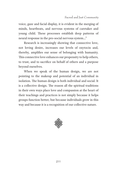voice, gaze and facial display, it is evident in the merging of minds, heartbeats, and nervous systems of caretaker and young child. These processes establish deep patterns of neural response in the pro-social nervous system..."

Research is increasingly showing that connective love, not loving desire, increases our levels of oxytocin and, thereby, amplifies our sense of belonging with humanity. This connective love enhances our propensity to help others, to trust, and to sacrifice on behalf of others and a purpose beyond ourselves.

When we speak of the human design, we are not pointing to the makeup and potential of an individual in isolation. The human design is both individual and social. It is a collective design. The reason all the spiritual traditions in their own ways place love and compassion at the heart of their teachings and practices is not simply because it helps groups function better, but because individuals grow in this way and because it is a recognition of our collective nature.

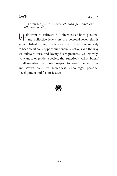E-MA-HO

ৰ ম'ৰ্দ

*Cultivate full aliveness at both personal and collective levels.*

We want to cultivate full aliveness at both personal and collective levels. At the personal level, this is accomplished through the way we care for and train our body to become fit and support our beneficial actions and the way we cultivate wise and loving heart postures. Collectively, we want to engender a society that functions well on behalf of all members, promotes respect for everyone, nurtures and grows collective sacredness, encourages personal development and fosters justice.

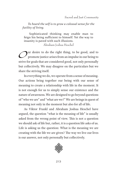*To hoard the self is to grow a colossal sense for the futility of living.*

Sophisticated thinking may enable man to feign his being sufficient to himself. Yet the way to insanity is paved with such illusions.

Abraham Joshua Heschel

Our desire to do the right thing, to be good, and to<br>promote justice arises from an impulse in our being to promote justice arises from an impulse in our being to strive for goals that are considered good, not only personally but collectively. We may disagree on the particulars but we share the striving itself.

In everything we do, we operate from a sense of meaning. Our actions bring together our being with our sense of meaning to create a relationship with life in the moment. It is not enough for us to simply sense our existence and the nature of awareness. We are designed to go beyond questions of "who we are" and "what are we?" We are beings in quest of meaning not only in the moment but also for all of life.

As Viktor Frankl and Abraham Joshua Heschel have argued, the question "what is the meaning of life" is usually asked from the wrong point of view. This is not a question we should ask of life but, rather, it is a question life asks of us. Life is asking us the question: What is the meaning we are creating with the life we are given? The way we live our lives is our answer, not only personally but collectively.

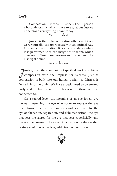Compassion means justice….The person who understands what I have to say about justice understands everything I have to say.

Meister Eckhart

Justice is the virtue of treating others as if they were yourself, just appropriately in an optimal way for their actual situation. It is a transcendence when it is performed with the insight of wisdom, which does not differentiate between self, other, and the just right action.

Robert Thurman

Justice, from the standpoint of spiritual work, combines<br>Compassion with the impulse for fairness. Just as compassion is built into our human design, so fairness is "wired" into the brain. We have a basic need to be treated fairly and to have a sense of fairness for those we feel connected to.

On a sacred level, the meaning of an eye for an eye means transferring the eye of wisdom to replace the eye of confusion, the eye that connects and is intimate for the eye of alienation, separation, and dehumanization, the eye that sees the sacred for the eye that sees superficially, and the eye that creates in the sacred imagination for the eye that destroys out of reactive fear, addiction, or confusion.

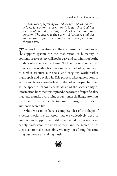*One way of referring to God is that God, the sacred, is love, is wisdom, is creation. It is not that God has love, wisdom and creativity. God is love, wisdom and creation. The sacred is the potential for these qualities and is these qualities manifesting through us and through life.*

The work of creating a cultural environment and social<br>support system for the maturation of humanity in<br>contemporary society will not be examend east in lung that he has support system for the maturation of humanity in contemporary society will not be easy and certainly not be the product of some grand scheme. Such ambitious conceptual prescriptions readily become dogma and ideology and tend to further fracture our social and religious world rather than repair and develop it. This process takes generations to evolve and it works on the level of the collective psyche. Even as the speed of change accelerates and the accessibility of information becomes widespread, the forces of superficiality that tend to make everything reductionist challenge attempts by the individual and collective souls to forge a path for an authentic sacred life.

While we cannot have a complete idea of the shape of a better world, we do know that we collectively need to embrace and support many different sacred paths even as we deeply understand the unity of them and the sacred truths they seek to make accessible. We may not all sing the same song but we are all making music.

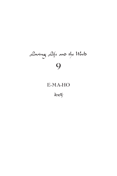# Loving Life and the World **9**

## **E-MA-HO**

बेशर्क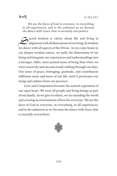*We see the faces of God in everyone, in everything, in all experiences, and in the unknown as we become the dance with Grace that is eternally everywhere.*

Sacred wisdom is clarity about life and living in<br>alignment with all dimensions of our being. In wisdom alignment with all dimensions of our being. In wisdom we dance with all aspects of the Divine. As we come home to our deeper wisdom nature, we unify the dimensions of our being and integrate our experiences and understandings into a stronger, fuller, more poised sense of being than when we were reactively and unconsciously rushing through our days. Our sense of peace, belonging, gratitude, and contribution infiltrates more and more of our life, until it permeates our being and radiates from our presence.

Love and Compassion become the natural expression of our open heart. We treat all people and living beings as part of our family. As we give to others, we are mending the world and creating an environment of love for everyone. We see the faces of God in everyone, in everything, in all experiences, and in the unknown as we become the dance with Grace that is eternally everywhere.

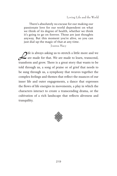There's absolutely no excuse for our making our passionate love for our world dependent on what we think of its degree of health, whether we think it's going to go on forever. Those are just thoughts anyway. But this moment you're alive, so you can just dial up the magic of that at any time.

#### Joanna Macy

Tife is always asking us to stretch a little more and we<br>are made for that. We are made to learn, transcend,<br>transform and group There is a great story that works to be are made for that. We are made to learn, transcend, transform and grow. There is a great story that wants to be told through us, a song of praise or of grief that needs to be sung through us, a symphony that weaves together the complex feelings and themes that reflect the nuances of our inner life and outer engagements, a dance that expresses the flows of life energies in movements, a play in which the characters interact to create a transcending drama, or the cultivation of a rich landscape that reflects aliveness and tranquility.

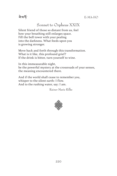

## Sonnet to Orpheus XXIX

Silent friend of those so distant from us, feel how your breathing still enlarges space. Fill the bell tower with your pealing into the darkness. What feeds upon you is growing stronger.

Move back and forth through this transformation. What is it like, this profound grief? If the drink is bitter, turn yourself to wine.

In this immeasurable night, be the powerful mystery at the crossroads of your senses, the meaning encountered there.

And if the world shall cease to remember you, whisper to the silent earth: I flow. And to the rushing water, say: I am.

Rainer Marie Rilke

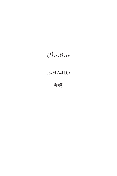## **E-MA-HO**

<sup>ৰ ম</sup>ৰ্ক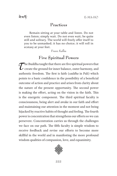Remain sitting at your table and listen. Do not even listen; simply wait. Do not even wait; be quite still and solitary. The world will freely offer itself to you to be unmasked; it has no choice; it will roll in ecstasy at your feet.

Franz Kafka

## **Five Spiritual Powers**

 $\sum$  he Buddha taught that there are five spiritual powers that<br>create the ground for inner balance, outer harmony, and<br>cuthortic freedom. The first is faith (caddha in Poli) which create the ground for inner balance, outer harmony, and authentic freedom. The first is faith (*saddha* in Pali) which points to a basic confidence in the possibility of a beneficial outcome of action and practice and arises from clarity about the nature of the present opportunity. The second power is making the effort, acting on the vision in the faith. This is the energetic component. The third spiritual faculty is consciousness, being alert and awake in our faith and effort and maintaining our attention in the moment and not being hijacked by reactive habits of thought and feeling. The fourth power is concentration that strengthens our efforts so we can persevere. Concentration carries us through the challenges we face on our path. The fifth faculty is simple wisdom to receive feedback and revise our efforts to become more skillful in the world and in manifesting the more profound wisdom qualities of compassion, love, and equanimity.

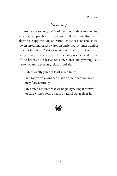## **Yawning**

Andrew Newberg and Mark Waldman advocate yawning as a regular practice. They argue that yawning stimulates alertness, supports concentration, enhances consciousness, lowers stress, increases awareness and empathy, and a number of other functions. While yawning is usually associated with being tired, it is also a way that the body resets the alertness of the brain and releases tension. Conscious yawning can make you more present, relaxed and alert.

Intentionally yawn at least seven times.

Ten to twelve yawns can make a difference and more may flow naturally.

This often requires that we begin by faking it for two or three times before a more natural yawn kicks in.

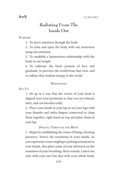## **Radiating From The Inside Out**

**Purpose**

1. To move attention through the body

2. To relax and open the body with our awareness using our attention

3. To establish a harmonious relationship with the body as our temple

4. To cultivate the heart posture of love and gratitude, to perceive the world from that view, and to radiate that wisdom energy to the world

#### **MEDITATION**

**Set Up**

1. Sit up in a way that the crown of your head is aligned over your perineum so that you are relaxed, alert, and can breathe easily.

2. Place your hands in your lap or on your legs with your thumbs and index fingers connected or clasp them together, right hand on top and place them in your lap.

**Smiling Through the Body**

1. Begin by establishing the sense of being a hosting presence. Notice the sensations in your hands. As you experience some tingling or pulsing sensations in your hands, also place some of your attention on the sensation of your breathing. Hear sounds. Listen not only with your ears but also with your whole body.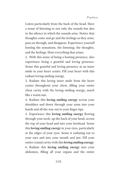Listen particularly from the back of the head. Have a sense of listening to not only the sounds but also to the silence in which the sounds arise. Notice that thoughts come and go and the feelings as they arise, pass on through, and disappear. Experience yourself hosting the sensations, the listening, the thoughts, and the feelings. Host everything that arises.

2. With this sense of being a hosting presence, also experience being a grateful and loving presence. Sense this grateful and loving presence as an inner smile in your heart center. Fill your heart with this radiant loving smiling energy.

3. Radiate this loving inner smile from the heart center throughout your chest, filling your entire chest cavity with the loving smiling energy, much like a warm sun.

4. Radiate this **loving smiling energy** across your shoulders and down through your arms into your hands and all the way out to your finger tips.

5. Experience this **loving smiling energy** flowing through your neck, up the back of your head, across the top of your head and into your forehead. Sense this **loving smiling energy** in your eyes, particularly at the edges of your eyes. Sense it radiating out to your ears and into your mouth and jaw. Fill your entire cranial cavity with this **loving smiling energy**. 6. Radiate this **loving smiling energy** into your abdomen, filling all your organs and the entire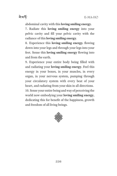ৰ ম'ৰ্দ

abdominal cavity with this **loving smiling energy**.

7. Radiate this **loving smiling energy** into your pelvic cavity and fill your pelvic cavity with the radiance of this **loving smiling energy**.

8. Experience this **loving smiling energy.** flowing down into your legs and through your legs into your feet. Sense this **loving smiling energy** flowing into and from the earth.

9. Experience your entire body being filled with and radiating your **loving smiling energy**. Feel this energy in your bones, in your muscles, in every organ, in your nervous system, pumping through your circulatory system with every beat of your heart, and radiating from your skin in all directions.

10. Sense your entire being and way of perceiving the world now embodying your **loving smiling energy**, dedicating this for benefit of the happiness, growth and freedom of all living beings.

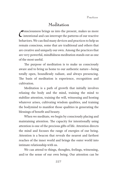## **Meditation**

 $\mathcal{C}$ onsciousness brings us into the present, makes us more intentional and can interrupt the patterns of our reactive behaviors. We can find many devices and practices to help us remain conscious, some that are traditional and others that are creative and uniquely our own. Among the practices that are very powerful, mindfulness meditation stands out as one of the most useful.

The purpose of meditation is to make us consciously aware and to bring us home to our authentic nature—being totally open, boundlessly radiant, and always presencing. The basis of meditation is experience, recognition and cultivation.

Meditation is a path of growth that initially involves relaxing the body and the mind, training the mind to stabilize attention, training the will, witnessing and hosting whatever arises, cultivating wisdom qualities, and training the bodymind to manifest those qualities in generating the blessings of benefit and beauty.

When we meditate, we begin by consciously placing and maintaining attention. The capacity for intentionally using attention is one of the precious gifts of life. Attention directs the mind and focuses the range of energies of our being. Attention is a beacon that reveals the nearest and farthest reaches of the inner world and brings the outer world into intimate relationship with us.

We can attend to things, thoughts, feelings, witnessing, and/or the sense of our own being. Our attention can be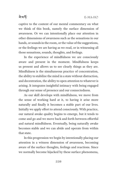### <u>ৰামৰ্দ</u>

captive to the content of our mental commentary on what we think of this book, namely the surface dimension of awareness. Or we can intentionally place our attention in other dimensions of awareness such as the sensations in our hands, or sounds in the room, or the value of the suggestions, or the feelings we are having as we read, or in witnessing all those sensations, sounds, thoughts, and feelings.

In the experience of mindfulness we are consciously aware and present in the moment. Mindfulness keeps us present and allows us to see clearly things as they are. Mindfulness is the simultaneous practice of concentration, the ability to stabilize the mind in a state without distraction, and decentration, the ability to open attention to whatever is arising. It integrates insightful intimacy with being engaged through our sense of presence and our connectedness.

As our skill develops with mindfulness, we move from the sense of working hard at it, to having it arise more naturally and finally it becomes a stable part of our lives. Initially we apply effort to attend consciously. With practice, our natural awake quality begins to emerge, but it tends to come and go and we move back and forth between effortful and natural mindfulness. Eventually, being naturally awake becomes stable and we can abide and operate from within that state.

In this progression we begin by intentionally placing our attention in a witness dimension of awareness, becoming aware of the surface thoughts, feelings and reactions. Since we normally become hijacked by these surface phenomena,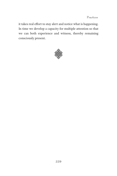it takes real effort to stay alert and notice what is happening. In time we develop a capacity for multiple attention so that we can both experience and witness, thereby remaining consciously present.

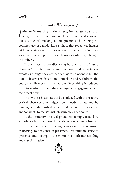### **Intimate Witnessing**

 $\int$ ntimate Witnessing is the direct, immediate quality of being present in the moment. It is intimate and involved but unattached, making no judgments and bringing no commentary or agenda. Like a mirror that reflects all images without having the qualities of any image, so the intimate witness remains open without being disturbed by changes in our lives.

The witness we are discussing here is not the "numb observer" that is disassociated, remote, and experiences events as though they are happening to someone else. The numb observer is distant and unfeeling and withdraws the energy of aliveness from situations. Everything is reduced to information rather than energetic engagement and reciprocal flow.

This witness is also not to be confused with the reactive critical observer that judges, feels needy, is haunted by longing, feels diminished or defeated by painful experience, and/or wants to merge with pleasurable experiences.

To the intimate witness, all phenomena simply are and we experience both a connection with and detachment from all this. The attention of witnessing brings a sense of inclusion, of hosting, to our sense of presence. This intimate sense of presence and hosting in the moment is both transcending and transformative.

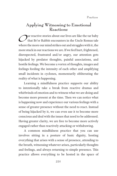### **Applying Witnessing to Emotional Reactions**

 $\sum$ ur reactive stories about our lives are like the tar baby<br>that Br'er Rabbit encounters in the Uncle Remus tale<br>where the more our mind strikes out and struggles with it, the that Br'er Rabbit encounters in the Uncle Remus tale where the more our mind strikes out and struggles with it, the more stuck in our reactions we are. If we feel hurt, frightened, disrespected, frustrated and/or angry, our attention gets hijacked by predator thoughts, painful associations, and hostile feelings. We become a vortex of thoughts, images and feelings feeding the intensity of each other and amplifying small incidents in cyclones, momentarily obliterating the reality of what is happening.

Learning a mindfulness practice supports our ability to intentionally take a break from reactive dramas and whirlwinds of emotion and to witness what we are doing and become more present at the time. Then we can notice what is happening now and experience our various feelings with a sense of greater presence without the need to react. Instead of being hijacked by it, we can even use it to become more conscious and deal with the issues that need to be addressed. Having greater clarity, we are free to become more actively engaged rather than reactively attacking or withdrawing.

A common mindfulness practice that you can use involves sitting in a posture of basic dignity, hosting everything that arises with a sense of presence, attending to the breath, witnessing whatever arises, particularly thoughts and feelings, and always returning to simple presence. This practice allows everything to be hosted in the space of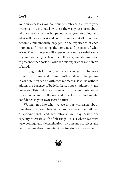

your awareness as you continue to embrace it all with your presence. You intimately witness the way your stories about who you are, what has happened, what you are doing, and what will happen next and your feelings about all these. You become simultaneously engaged in the experience of each moment and witnessing the content and process of what arises. Over time you will experience a more settled sense of your own being, a clear, open, flowing, and abiding sense of presence that hosts all your various experiences and states of mind.

Through this kind of practice you can learn to be more present, affirming, and intimate with whatever is happening in your life. You can be with each moment just as it is without adding the baggage of beliefs, fears, hopes, judgments, and fantasies. This helps you connect with your basic sense of aliveness and wellbeing and develops a fundamental confidence in your own sacred nature.

We may not like what we see in our witnessing about ourselves and our behaviors. As we examine failures, disappointments, and frustrations, we may doubt our capacity to create a life of blessings. This is where we must have courage and determination to confront ourselves and dedicate ourselves to moving in a direction that we value.

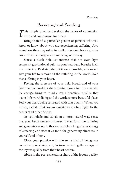## **Receiving and Sending**

This simple practice develops the sense of connection  $\mathcal L$  with and compassion for others.

Bring to mind a particular person or persons who you know or know about who are experiencing suffering. Also sense how they may suffer in similar ways and how a greater circle of other beings is also suffering in this way.

Sense a black hole—so intense that not even light escapes it gravitational pull—in your heart and breathe in all this suffering. Realizing that, if it were possible, you would give your life to remove all the suffering in the world, hold that suffering in your heart.

Feeling the pressure of your held breath and of your heart center breaking the suffering down into its essential life energy, bring to mind a joy, a beneficial quality, that makes life worth living and the world a more beautiful place. Feel your heart being saturated with that quality. When you exhale, radiate that joyous quality as a white light to the hearts of all other beings.

As you inhale and exhale in a more natural way, sense that your heart center continues to transform the suffering and generates value. In this way your heart digests the energy of suffering and uses it as food for generating aliveness in yourself and others.

Close your practice with the sense that all beings are collectively receiving and, in turn, radiating the energy of the joyous quality from their heart centers.

Abide in the pervasive atmosphere of the joyous quality.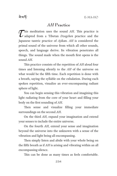## *AH* **Practice**

This meditation uses the sound *AH*. This practice is<br>dapted from a Tibetan *Dzogchen* practice and the<br>largences tentric practice of Aiilam AH is considered the adapted from a Tibetan *Dzogchen* practice and the Japanese tantric practice of *Ajikan*. *AH* is considered the primal sound of the universe from which all other sounds, speech, and language derive. Its vibration penetrates all things. The sound made when the mouth first opens is the sound *AH*.

This practice consists of the repetition of *AH* aloud four times and listening silently to the *AH* of the universe on what would be the fifth time. Each repetition is done with a breath, saying the syllable on the exhalation. During each spoken repetition, visualize an ever-encompassing radiant sphere of light.

You can begin sensing this vibration and imagining this light radiating from the core of your heart and filling your body on the first sounding of *AH*.

Then sense and visualize filling your immediate surroundings on the second *AH*.

On the third *AH*, expand your imagination and extend your senses to include the entire universe.

On the fourth *AH*, extend your sense and imagination beyond the universe into the unknown with a sense of the vibration and light being all encompassing.

Then simply listen and abide with your whole being on the fifth breath as if *AH* is arising and vibrating within an all encompassing silence.

This can be done as many times as feels comfortable.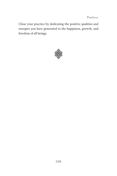Close your practice by dedicating the positive qualities and energies you have generated to the happiness, growth, and freedom of all beings.

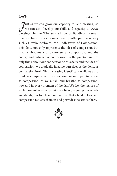<u>ৰামৰ্দ্ধ</u>

Just as we can grow our capacity to *be* a blessing, so we can also develop our skills and capacity to *create* blessings. In the Tibetan tradition of Buddhism, certain practices have the practitioner identify with a particular deity such as Avalokiteshvara, the Bodhisattva of Compassion. This deity not only represents the idea of compassion but is an embodiment of awareness as compassion, and the energy and radiance of compassion. In the practice we not only think about our connection to this deity and the idea of compassion, we gradually imagine ourselves as the deity, as compassion itself. This increasing identification allows us to think as compassion, to feel as compassion, open to others as compassion, to walk, talk and breathe as compassion, now and in every moment of the day. We feel the texture of each moment as a compassionate being, aligning our words and deeds, our touch and our gaze so that a field of love and compassion radiates from us and pervades the atmosphere.

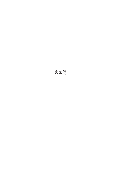बेग्ड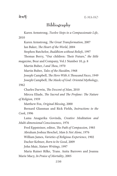## **Bibliography**

Karen Armstrong, *Twelve Steps to a Compassionate Life*, 2010

Karen Armstrong, *The Great Transformation*, 2007 Ian Baker, *The Heart of the World*, 2004 Stephen Batchelor, *Buddhism without Beliefs*, 1997 Thomas Berry, "Our children: Their Future," *the little magazine*, Bear and Company, Vol.1 Number 10, p. 8 Martin Buber, *I and Thou*, 1970 Martin Buber, *Tales of the Hasidim*, 1968 Joseph Campbell, *The Hero With A Thousand Faces*, 1949 Joseph Campbell, *The Masks of God: Oriental Mythology*, 1962 Charles Darwin, *The Descent of Man*, 2010 Mircea Eliade, *The Sacred and The Profane: The Nature of Religion,* 1959 Matthew Fox, *Original Blessing*, 2000 Bernard Glassman and Rick Fields, *Instructions to the Cook*, 1996 Lama Anagarika Govinda, *Creative Meditation and Multi-dimensional Consciousness*, 1976 Fred Eppsteiner, editor, *The Path of Compassion*, 1985 Abraham Joshua Heschel, *Man Is Not Alone*, 1976 William James, *Varieties of Religious Experience*, 1902 Dacher Keltner, *Born to be Good*, 2009 John Muir, *Nature Writings,* 1997 Maria Rainer Rilke, Trans. Anita Barrows and Joanna

Marie Macy, *In Praise of Mortality*, 2005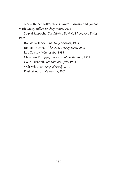Maria Rainer Rilke, Trans. Anita Barrows and Joanna Marie Macy, *Rilke's Book of Hours*, 2005

Sogyal Rinpoche, *The Tibetan Book Of Living And Dying*, 1992

Ronald Rolheiser, *The Holy Longing*, 1999 Robert Thurman, *The Jewel Tree of Tibet*, 2005 Leo Tolstoy, *What is Art*, 1985 Chögyam Trungpa, *The Heart of the Buddha*, 1991 Colin Turnbull, *The Human Cycle*, 1983 Walt Whitman, *song of myself*, 2010 Paul Woodruff, *Reverence*, 2002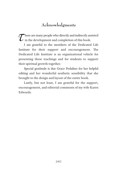## **Acknowledgments**

 $\sum$  here are many people who directly and indirectly assisted<br>in the development and completion of this book. in the development and completion of this book.

I am grateful to the members of the Dedicated Life Institute for their support and encouragement. The Dedicated Life Institute is an organizational vehicle for presenting these teachings and for students to support their spiritual growth together.

Special gratitude is due Grace Pedalino for her helpful editing and her wonderful aesthetic sensibility that she brought to the design and layout of the entire book.

Lastly, but not least, I am grateful for the support, encouragement, and editorial comments of my wife Karen Edwards.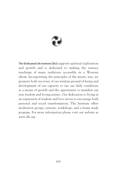

**The Dedicated Life Institute (DLI)** supports spiritual exploration and growth and is dedicated to making the essence teachings of many traditions accessible in a Western idiom. Incorporating the principles of the mystic way, we promote both recovery of our wisdom ground of being and development of our capacity to use our daily conditions as a means of growth and the opportunity to manifest our true wisdom and loving nature. Our dedication to living as an expression of wisdom and love serves to encourage both personal and social transformation. The Institute offers meditation groups, retreats, workshops, and a home study program. For more information please visit our website at www.dli.org.